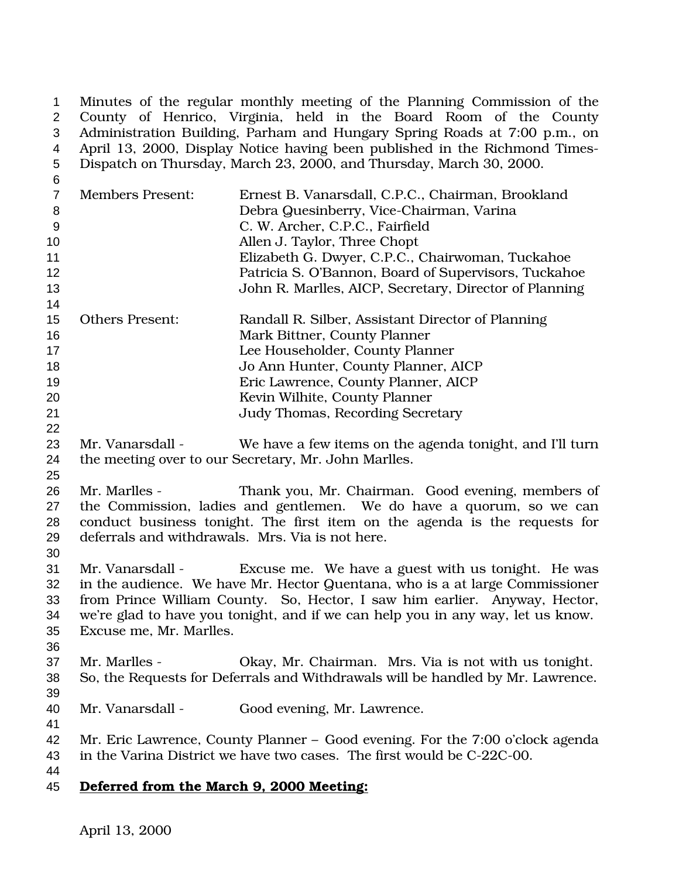1 Minutes of the regular monthly meeting of the Planning Commission of the<br>2 County of Henrico, Virginia, held in the Board Room of the County County of Henrico, Virginia, held in the Board Room of the County Administration Building, Parham and Hungary Spring Roads at 7:00 p.m., on April 13, 2000, Display Notice having been published in the Richmond Times-Dispatch on Thursday, March 23, 2000, and Thursday, March 30, 2000.

| 6              |                                                                                 |                                                                                 |  |
|----------------|---------------------------------------------------------------------------------|---------------------------------------------------------------------------------|--|
| $\overline{7}$ | <b>Members Present:</b>                                                         | Ernest B. Vanarsdall, C.P.C., Chairman, Brookland                               |  |
| 8              |                                                                                 | Debra Quesinberry, Vice-Chairman, Varina                                        |  |
| $9\,$          |                                                                                 | C. W. Archer, C.P.C., Fairfield                                                 |  |
| 10             |                                                                                 | Allen J. Taylor, Three Chopt                                                    |  |
| 11             |                                                                                 | Elizabeth G. Dwyer, C.P.C., Chairwoman, Tuckahoe                                |  |
| 12             |                                                                                 | Patricia S. O'Bannon, Board of Supervisors, Tuckahoe                            |  |
| 13             |                                                                                 | John R. Marlles, AICP, Secretary, Director of Planning                          |  |
| 14             |                                                                                 |                                                                                 |  |
| 15             | <b>Others Present:</b>                                                          | Randall R. Silber, Assistant Director of Planning                               |  |
| 16             |                                                                                 | Mark Bittner, County Planner                                                    |  |
| 17             |                                                                                 | Lee Householder, County Planner                                                 |  |
| 18             |                                                                                 | Jo Ann Hunter, County Planner, AICP                                             |  |
| 19             |                                                                                 | Eric Lawrence, County Planner, AICP                                             |  |
| 20             |                                                                                 | Kevin Wilhite, County Planner                                                   |  |
| 21             |                                                                                 | <b>Judy Thomas, Recording Secretary</b>                                         |  |
| 22             |                                                                                 |                                                                                 |  |
| 23             | Mr. Vanarsdall -                                                                | We have a few items on the agenda tonight, and I'll turn                        |  |
| 24             |                                                                                 | the meeting over to our Secretary, Mr. John Marlles.                            |  |
| 25             |                                                                                 |                                                                                 |  |
| 26             | Mr. Marlles -                                                                   | Thank you, Mr. Chairman. Good evening, members of                               |  |
| 27             |                                                                                 | the Commission, ladies and gentlemen. We do have a quorum, so we can            |  |
| 28             |                                                                                 | conduct business tonight. The first item on the agenda is the requests for      |  |
| 29             |                                                                                 | deferrals and withdrawals. Mrs. Via is not here.                                |  |
| 30             |                                                                                 |                                                                                 |  |
| 31             | Mr. Vanarsdall -                                                                | Excuse me. We have a guest with us tonight. He was                              |  |
| 32             |                                                                                 | in the audience. We have Mr. Hector Quentana, who is a at large Commissioner    |  |
| 33             |                                                                                 | from Prince William County. So, Hector, I saw him earlier. Anyway, Hector,      |  |
| 34             | we're glad to have you tonight, and if we can help you in any way, let us know. |                                                                                 |  |
| 35             | Excuse me, Mr. Marlles.                                                         |                                                                                 |  |
| 36             |                                                                                 |                                                                                 |  |
| 37             | Mr. Marlles -                                                                   | Okay, Mr. Chairman. Mrs. Via is not with us tonight.                            |  |
| 38             |                                                                                 | So, the Requests for Deferrals and Withdrawals will be handled by Mr. Lawrence. |  |
| 39             |                                                                                 |                                                                                 |  |
| 40             | Mr. Vanarsdall -                                                                | Good evening, Mr. Lawrence.                                                     |  |
| 41             |                                                                                 |                                                                                 |  |
| 42             |                                                                                 | Mr. Eric Lawrence, County Planner - Good evening. For the 7:00 o'clock agenda   |  |
| 43             |                                                                                 | in the Varina District we have two cases. The first would be C-22C-00.          |  |
| 44<br>45       | Deferred from the March 9, 2000 Meeting:                                        |                                                                                 |  |
|                |                                                                                 |                                                                                 |  |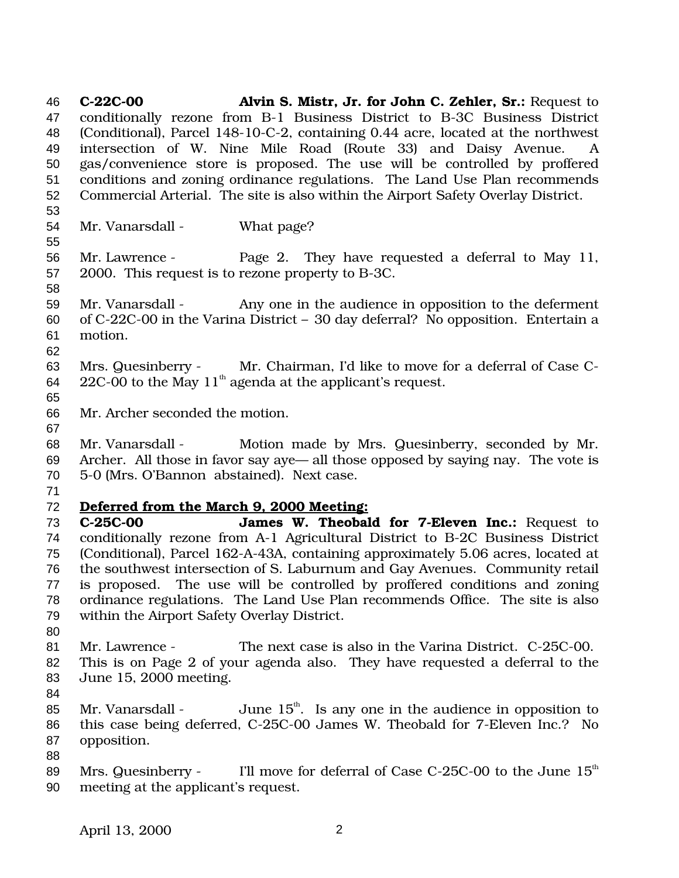**C-22C-00 Alvin S. Mistr, Jr. for John C. Zehler, Sr.:** Request to conditionally rezone from B-1 Business District to B-3C Business District (Conditional), Parcel 148-10-C-2, containing 0.44 acre, located at the northwest intersection of W. Nine Mile Road (Route 33) and Daisy Avenue. A gas/convenience store is proposed. The use will be controlled by proffered conditions and zoning ordinance regulations. The Land Use Plan recommends Commercial Arterial. The site is also within the Airport Safety Overlay District. Mr. Vanarsdall - What page? Mr. Lawrence - Page 2. They have requested a deferral to May 11, 2000. This request is to rezone property to B-3C. Mr. Vanarsdall - Any one in the audience in opposition to the deferment of C-22C-00 in the Varina District – 30 day deferral? No opposition. Entertain a motion. Mrs. Quesinberry - Mr. Chairman, I'd like to move for a deferral of Case C- $22C-00$  to the May  $11<sup>th</sup>$  agenda at the applicant's request. Mr. Archer seconded the motion. Mr. Vanarsdall - Motion made by Mrs. Quesinberry, seconded by Mr. Archer. All those in favor say aye— all those opposed by saying nay. The vote is 5-0 (Mrs. O'Bannon abstained). Next case. **Deferred from the March 9, 2000 Meeting: C-25C-00 James W. Theobald for 7-Eleven Inc.:** Request to conditionally rezone from A-1 Agricultural District to B-2C Business District (Conditional), Parcel 162-A-43A, containing approximately 5.06 acres, located at the southwest intersection of S. Laburnum and Gay Avenues. Community retail is proposed. The use will be controlled by proffered conditions and zoning ordinance regulations. The Land Use Plan recommends Office. The site is also within the Airport Safety Overlay District. Mr. Lawrence - The next case is also in the Varina District. C-25C-00. This is on Page 2 of your agenda also. They have requested a deferral to the June 15, 2000 meeting. 85 Mr. Vanarsdall - June  $15<sup>th</sup>$ . Is any one in the audience in opposition to this case being deferred, C-25C-00 James W. Theobald for 7-Eleven Inc.? No opposition. 89 Mrs. Quesinberry - I'll move for deferral of Case C-25C-00 to the June  $15<sup>th</sup>$ meeting at the applicant's request.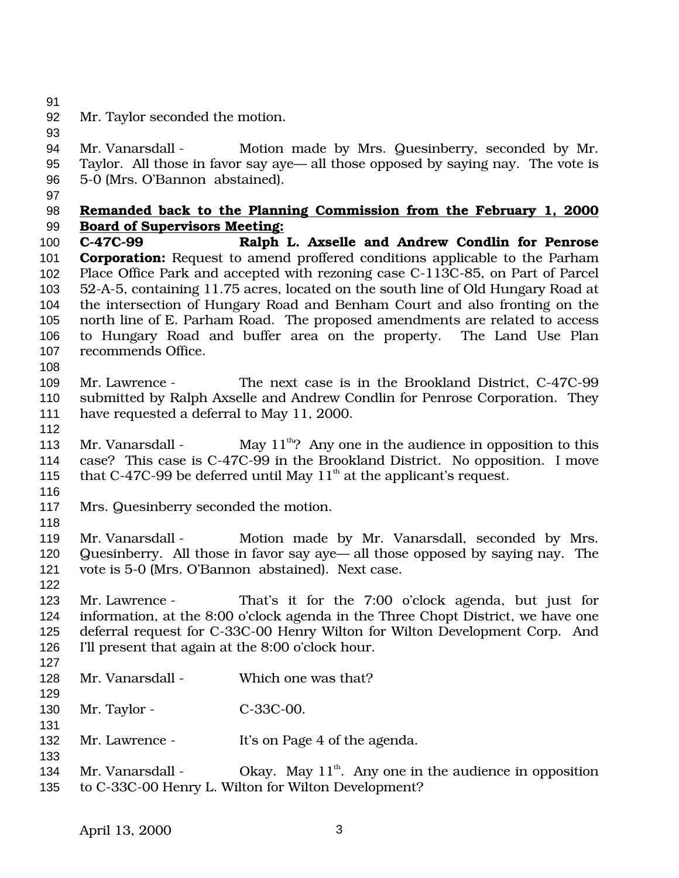Mr. Taylor seconded the motion.

94 Mr. Vanarsdall - Motion made by Mrs. Quesinberry, seconded by Mr. Taylor. All those in favor say aye— all those opposed by saying nay. The vote is 5-0 (Mrs. O'Bannon abstained).

## **Remanded back to the Planning Commission from the February 1, 2000 Board of Supervisors Meeting:**

 **C-47C-99 Ralph L. Axselle and Andrew Condlin for Penrose Corporation:** Request to amend proffered conditions applicable to the Parham Place Office Park and accepted with rezoning case C-113C-85, on Part of Parcel 52-A-5, containing 11.75 acres, located on the south line of Old Hungary Road at the intersection of Hungary Road and Benham Court and also fronting on the north line of E. Parham Road. The proposed amendments are related to access to Hungary Road and buffer area on the property. The Land Use Plan recommends Office.

- 
- Mr. Lawrence The next case is in the Brookland District, C-47C-99 submitted by Ralph Axselle and Andrew Condlin for Penrose Corporation. They have requested a deferral to May 11, 2000.
- 

113 Mr. Vanarsdall - May  $11^{th}$ ? Any one in the audience in opposition to this case? This case is C-47C-99 in the Brookland District. No opposition. I move that C-47C-99 be deferred until May  $11<sup>th</sup>$  at the applicant's request. 

- Mrs. Quesinberry seconded the motion.
- 

119 Mr. Vanarsdall - Motion made by Mr. Vanarsdall, seconded by Mrs. Quesinberry. All those in favor say aye— all those opposed by saying nay. The vote is 5-0 (Mrs. O'Bannon abstained). Next case.

 Mr. Lawrence - That's it for the 7:00 o'clock agenda, but just for information, at the 8:00 o'clock agenda in the Three Chopt District, we have one deferral request for C-33C-00 Henry Wilton for Wilton Development Corp. And I'll present that again at the 8:00 o'clock hour.

- 
- 128 Mr. Vanarsdall Which one was that?

130 Mr. Taylor - C-33C-00.

- 132 Mr. Lawrence It's on Page 4 of the agenda.
- 

134 Mr. Vanarsdall - Okay. May  $11<sup>th</sup>$ . Any one in the audience in opposition to C-33C-00 Henry L. Wilton for Wilton Development?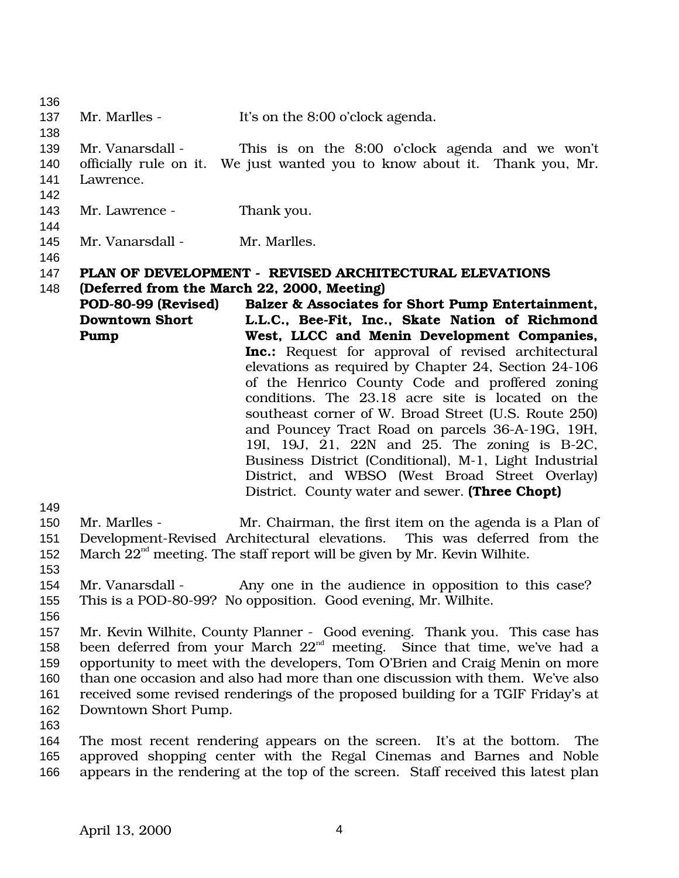| 136        |                                                                                                                                                            |                                                                                                           |  |
|------------|------------------------------------------------------------------------------------------------------------------------------------------------------------|-----------------------------------------------------------------------------------------------------------|--|
| 137        | Mr. Marlles -                                                                                                                                              | It's on the 8:00 o'clock agenda.                                                                          |  |
| 138        |                                                                                                                                                            |                                                                                                           |  |
| 139        | Mr. Vanarsdall -                                                                                                                                           | This is on the 8:00 o'clock agenda and we won't                                                           |  |
| 140<br>141 | Lawrence.                                                                                                                                                  | officially rule on it. We just wanted you to know about it. Thank you, Mr.                                |  |
| 142<br>143 | Mr. Lawrence -                                                                                                                                             | Thank you.                                                                                                |  |
| 144        |                                                                                                                                                            |                                                                                                           |  |
| 145        | Mr. Vanarsdall -                                                                                                                                           | Mr. Marlles.                                                                                              |  |
| 146<br>147 |                                                                                                                                                            |                                                                                                           |  |
| 148        | PLAN OF DEVELOPMENT - REVISED ARCHITECTURAL ELEVATIONS<br>(Deferred from the March 22, 2000, Meeting)                                                      |                                                                                                           |  |
|            | POD-80-99 (Revised)                                                                                                                                        | Balzer & Associates for Short Pump Entertainment,                                                         |  |
|            | <b>Downtown Short</b>                                                                                                                                      | L.L.C., Bee-Fit, Inc., Skate Nation of Richmond                                                           |  |
|            | Pump                                                                                                                                                       | West, LLCC and Menin Development Companies,                                                               |  |
|            |                                                                                                                                                            | <b>Inc.:</b> Request for approval of revised architectural                                                |  |
|            |                                                                                                                                                            | elevations as required by Chapter 24, Section 24-106                                                      |  |
|            |                                                                                                                                                            | of the Henrico County Code and proffered zoning                                                           |  |
|            |                                                                                                                                                            | conditions. The 23.18 acre site is located on the<br>southeast corner of W. Broad Street (U.S. Route 250) |  |
|            |                                                                                                                                                            | and Pouncey Tract Road on parcels 36-A-19G, 19H,                                                          |  |
|            |                                                                                                                                                            | 19I, 19J, 21, 22N and 25. The zoning is B-2C,                                                             |  |
|            |                                                                                                                                                            | Business District (Conditional), M-1, Light Industrial                                                    |  |
|            |                                                                                                                                                            | District, and WBSO (West Broad Street Overlay)                                                            |  |
|            |                                                                                                                                                            | District. County water and sewer. (Three Chopt)                                                           |  |
| 149<br>150 | Mr. Marlles -                                                                                                                                              | Mr. Chairman, the first item on the agenda is a Plan of                                                   |  |
| 151        |                                                                                                                                                            | Development-Revised Architectural elevations. This was deferred from the                                  |  |
| 152        |                                                                                                                                                            | March $22nd$ meeting. The staff report will be given by Mr. Kevin Wilhite.                                |  |
| 153        |                                                                                                                                                            |                                                                                                           |  |
| 154        | Mr. Vanarsdall -                                                                                                                                           | Any one in the audience in opposition to this case?                                                       |  |
| 155        |                                                                                                                                                            | This is a POD-80-99? No opposition. Good evening, Mr. Wilhite.                                            |  |
| 156        |                                                                                                                                                            |                                                                                                           |  |
| 157<br>158 | Mr. Kevin Wilhite, County Planner - Good evening. Thank you. This case has                                                                                 |                                                                                                           |  |
| 159        | been deferred from your March $22nd$ meeting. Since that time, we've had a<br>opportunity to meet with the developers, Tom O'Brien and Craig Menin on more |                                                                                                           |  |
| 160        | than one occasion and also had more than one discussion with them. We've also                                                                              |                                                                                                           |  |
| 161        | received some revised renderings of the proposed building for a TGIF Friday's at                                                                           |                                                                                                           |  |
| 162        | Downtown Short Pump.                                                                                                                                       |                                                                                                           |  |
| 163        |                                                                                                                                                            |                                                                                                           |  |
| 164        |                                                                                                                                                            | The most recent rendering appears on the screen. It's at the bottom. The                                  |  |
| 165<br>166 | approved shopping center with the Regal Cinemas and Barnes and Noble<br>appears in the rendering at the top of the screen. Staff received this latest plan |                                                                                                           |  |
|            |                                                                                                                                                            |                                                                                                           |  |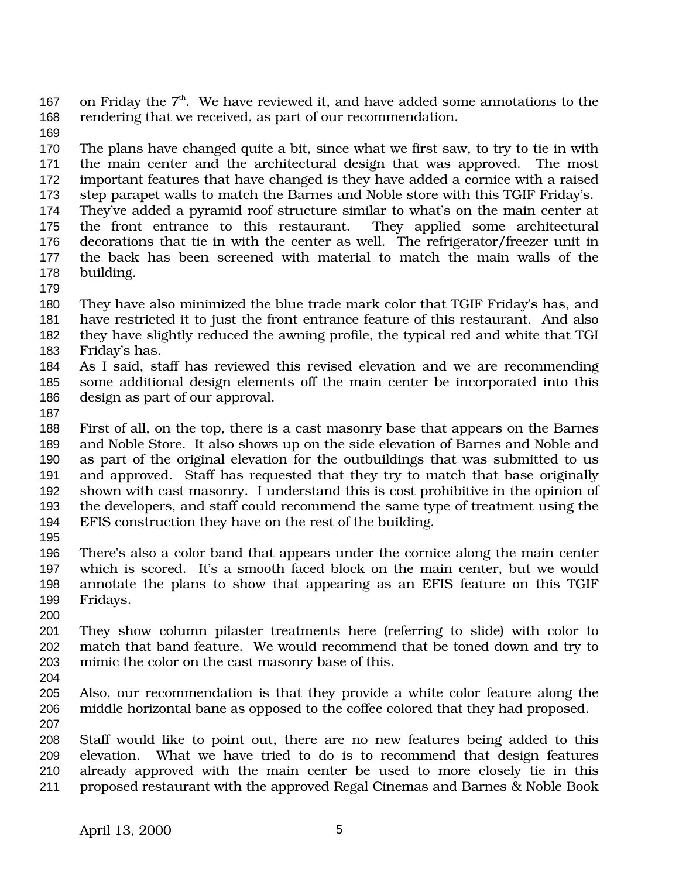167 on Friday the  $7<sup>th</sup>$ . We have reviewed it, and have added some annotations to the rendering that we received, as part of our recommendation.

 The plans have changed quite a bit, since what we first saw, to try to tie in with the main center and the architectural design that was approved. The most important features that have changed is they have added a cornice with a raised step parapet walls to match the Barnes and Noble store with this TGIF Friday's.

- They've added a pyramid roof structure similar to what's on the main center at the front entrance to this restaurant. They applied some architectural decorations that tie in with the center as well. The refrigerator/freezer unit in the back has been screened with material to match the main walls of the building.
- 

 They have also minimized the blue trade mark color that TGIF Friday's has, and have restricted it to just the front entrance feature of this restaurant. And also they have slightly reduced the awning profile, the typical red and white that TGI

- Friday's has.
- As I said, staff has reviewed this revised elevation and we are recommending some additional design elements off the main center be incorporated into this design as part of our approval.
- 

 First of all, on the top, there is a cast masonry base that appears on the Barnes and Noble Store. It also shows up on the side elevation of Barnes and Noble and as part of the original elevation for the outbuildings that was submitted to us and approved. Staff has requested that they try to match that base originally shown with cast masonry. I understand this is cost prohibitive in the opinion of the developers, and staff could recommend the same type of treatment using the EFIS construction they have on the rest of the building.

 There's also a color band that appears under the cornice along the main center which is scored. It's a smooth faced block on the main center, but we would annotate the plans to show that appearing as an EFIS feature on this TGIF Fridays.

 They show column pilaster treatments here (referring to slide) with color to match that band feature. We would recommend that be toned down and try to mimic the color on the cast masonry base of this.

 Also, our recommendation is that they provide a white color feature along the middle horizontal bane as opposed to the coffee colored that they had proposed. 

 Staff would like to point out, there are no new features being added to this elevation. What we have tried to do is to recommend that design features already approved with the main center be used to more closely tie in this proposed restaurant with the approved Regal Cinemas and Barnes & Noble Book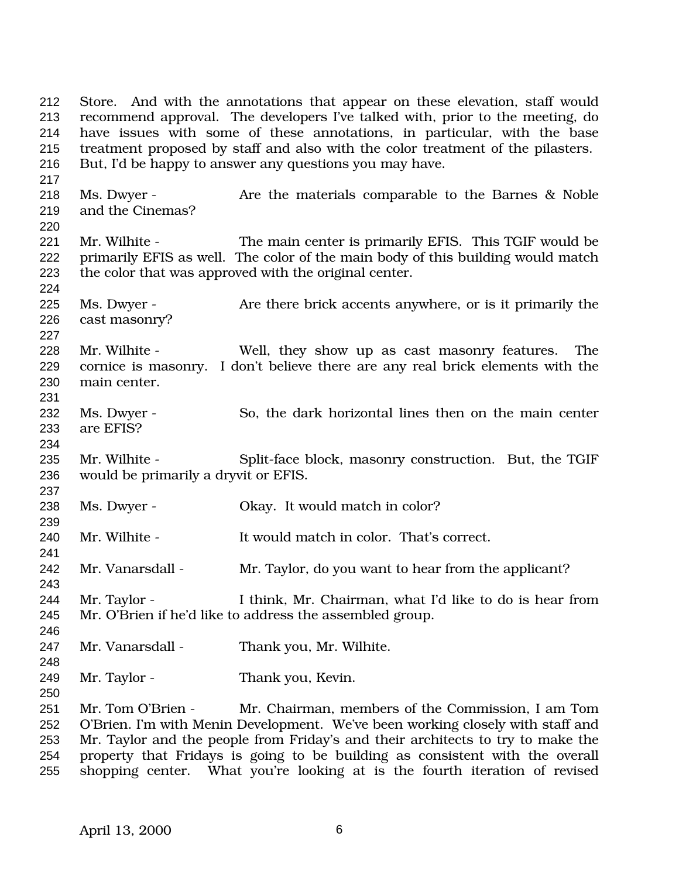Store. And with the annotations that appear on these elevation, staff would recommend approval. The developers I've talked with, prior to the meeting, do have issues with some of these annotations, in particular, with the base treatment proposed by staff and also with the color treatment of the pilasters. But, I'd be happy to answer any questions you may have. 218 Ms. Dwyer - Are the materials comparable to the Barnes & Noble and the Cinemas? Mr. Wilhite - The main center is primarily EFIS. This TGIF would be primarily EFIS as well. The color of the main body of this building would match the color that was approved with the original center. 225 Ms. Dwyer - Are there brick accents anywhere, or is it primarily the cast masonry? Mr. Wilhite - Well, they show up as cast masonry features. The cornice is masonry. I don't believe there are any real brick elements with the main center. 232 Ms. Dwyer - So, the dark horizontal lines then on the main center are EFIS? 235 Mr. Wilhite - Split-face block, masonry construction. But, the TGIF would be primarily a dryvit or EFIS. Ms. Dwyer - Okay. It would match in color? Mr. Wilhite - It would match in color. That's correct. Mr. Vanarsdall - Mr. Taylor, do you want to hear from the applicant? Mr. Taylor - I think, Mr. Chairman, what I'd like to do is hear from Mr. O'Brien if he'd like to address the assembled group. Mr. Vanarsdall - Thank you, Mr. Wilhite. Mr. Taylor - Thank you, Kevin. Mr. Tom O'Brien - Mr. Chairman, members of the Commission, I am Tom O'Brien. I'm with Menin Development. We've been working closely with staff and Mr. Taylor and the people from Friday's and their architects to try to make the property that Fridays is going to be building as consistent with the overall

shopping center. What you're looking at is the fourth iteration of revised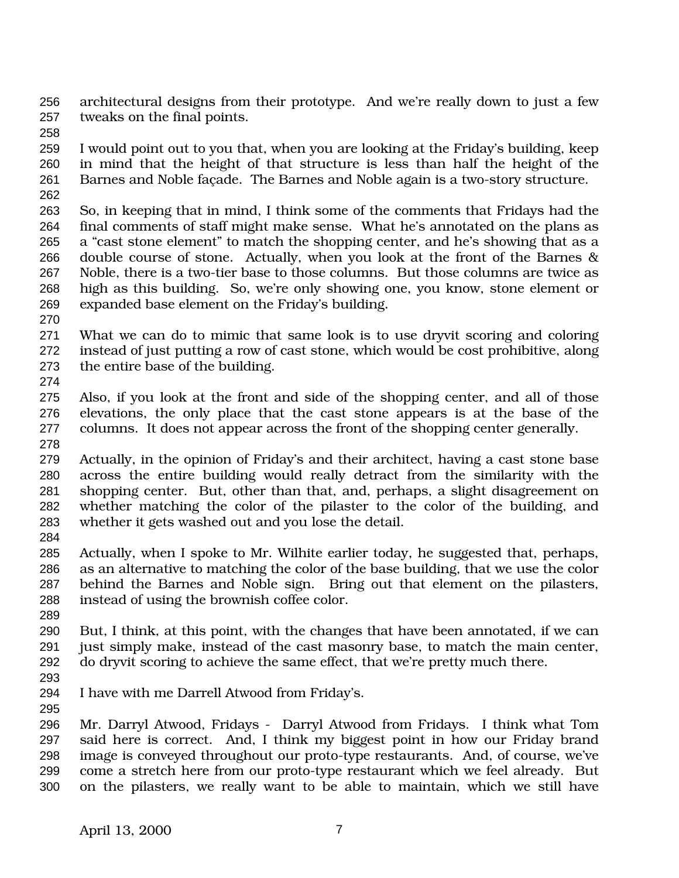architectural designs from their prototype. And we're really down to just a few tweaks on the final points.

 I would point out to you that, when you are looking at the Friday's building, keep in mind that the height of that structure is less than half the height of the Barnes and Noble façade. The Barnes and Noble again is a two-story structure. 

- So, in keeping that in mind, I think some of the comments that Fridays had the final comments of staff might make sense. What he's annotated on the plans as a "cast stone element" to match the shopping center, and he's showing that as a double course of stone. Actually, when you look at the front of the Barnes & Noble, there is a two-tier base to those columns. But those columns are twice as high as this building. So, we're only showing one, you know, stone element or expanded base element on the Friday's building.
- 
- What we can do to mimic that same look is to use dryvit scoring and coloring instead of just putting a row of cast stone, which would be cost prohibitive, along the entire base of the building.
- 
- Also, if you look at the front and side of the shopping center, and all of those elevations, the only place that the cast stone appears is at the base of the columns. It does not appear across the front of the shopping center generally.
- Actually, in the opinion of Friday's and their architect, having a cast stone base across the entire building would really detract from the similarity with the shopping center. But, other than that, and, perhaps, a slight disagreement on whether matching the color of the pilaster to the color of the building, and whether it gets washed out and you lose the detail.
- 
- Actually, when I spoke to Mr. Wilhite earlier today, he suggested that, perhaps, as an alternative to matching the color of the base building, that we use the color behind the Barnes and Noble sign. Bring out that element on the pilasters, instead of using the brownish coffee color.
- But, I think, at this point, with the changes that have been annotated, if we can just simply make, instead of the cast masonry base, to match the main center, do dryvit scoring to achieve the same effect, that we're pretty much there.
- 
- I have with me Darrell Atwood from Friday's.

 Mr. Darryl Atwood, Fridays - Darryl Atwood from Fridays. I think what Tom said here is correct. And, I think my biggest point in how our Friday brand image is conveyed throughout our proto-type restaurants. And, of course, we've come a stretch here from our proto-type restaurant which we feel already. But on the pilasters, we really want to be able to maintain, which we still have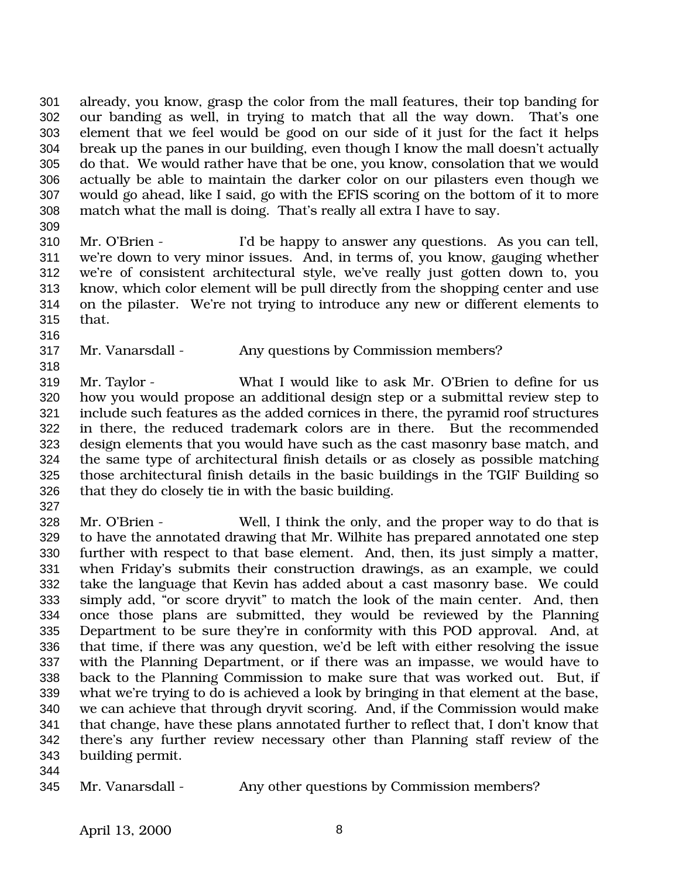already, you know, grasp the color from the mall features, their top banding for our banding as well, in trying to match that all the way down. That's one element that we feel would be good on our side of it just for the fact it helps break up the panes in our building, even though I know the mall doesn't actually do that. We would rather have that be one, you know, consolation that we would actually be able to maintain the darker color on our pilasters even though we would go ahead, like I said, go with the EFIS scoring on the bottom of it to more match what the mall is doing. That's really all extra I have to say.

 Mr. O'Brien - I'd be happy to answer any questions. As you can tell, we're down to very minor issues. And, in terms of, you know, gauging whether we're of consistent architectural style, we've really just gotten down to, you know, which color element will be pull directly from the shopping center and use on the pilaster. We're not trying to introduce any new or different elements to that.

Mr. Vanarsdall - Any questions by Commission members?

 Mr. Taylor - What I would like to ask Mr. O'Brien to define for us how you would propose an additional design step or a submittal review step to include such features as the added cornices in there, the pyramid roof structures in there, the reduced trademark colors are in there. But the recommended design elements that you would have such as the cast masonry base match, and the same type of architectural finish details or as closely as possible matching those architectural finish details in the basic buildings in the TGIF Building so that they do closely tie in with the basic building.

 Mr. O'Brien - Well, I think the only, and the proper way to do that is to have the annotated drawing that Mr. Wilhite has prepared annotated one step further with respect to that base element. And, then, its just simply a matter, when Friday's submits their construction drawings, as an example, we could take the language that Kevin has added about a cast masonry base. We could simply add, "or score dryvit" to match the look of the main center. And, then once those plans are submitted, they would be reviewed by the Planning Department to be sure they're in conformity with this POD approval. And, at that time, if there was any question, we'd be left with either resolving the issue with the Planning Department, or if there was an impasse, we would have to back to the Planning Commission to make sure that was worked out. But, if what we're trying to do is achieved a look by bringing in that element at the base, we can achieve that through dryvit scoring. And, if the Commission would make that change, have these plans annotated further to reflect that, I don't know that there's any further review necessary other than Planning staff review of the building permit.

Mr. Vanarsdall - Any other questions by Commission members?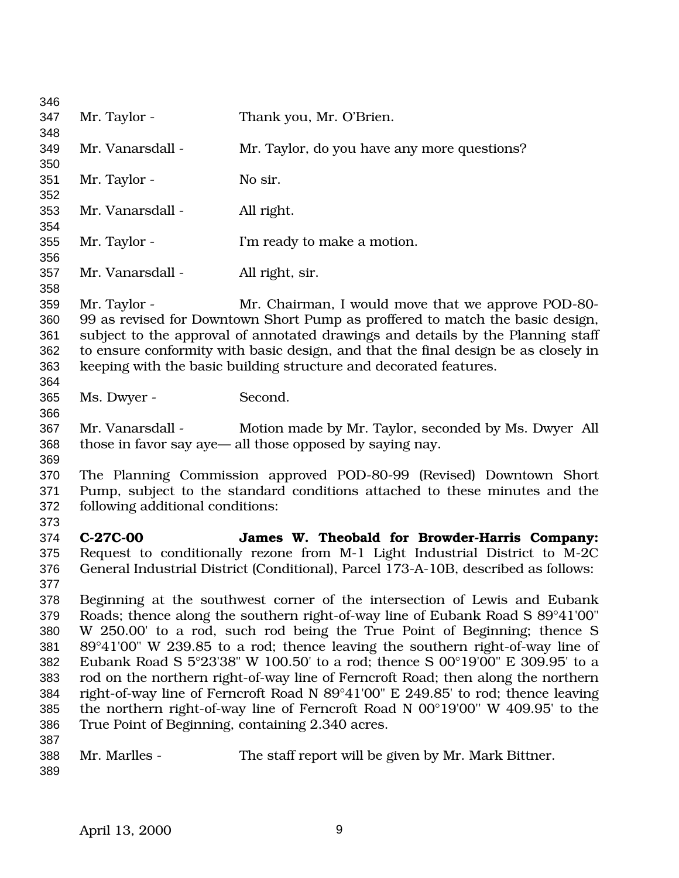| 346        |                                                                                                   |                                                                                                                                                         |  |
|------------|---------------------------------------------------------------------------------------------------|---------------------------------------------------------------------------------------------------------------------------------------------------------|--|
| 347        | Mr. Taylor -                                                                                      | Thank you, Mr. O'Brien.                                                                                                                                 |  |
| 348        |                                                                                                   |                                                                                                                                                         |  |
| 349        | Mr. Vanarsdall -                                                                                  | Mr. Taylor, do you have any more questions?                                                                                                             |  |
| 350        |                                                                                                   |                                                                                                                                                         |  |
| 351        | Mr. Taylor -                                                                                      | No sir.                                                                                                                                                 |  |
| 352        |                                                                                                   |                                                                                                                                                         |  |
| 353        | Mr. Vanarsdall -                                                                                  | All right.                                                                                                                                              |  |
| 354        |                                                                                                   |                                                                                                                                                         |  |
| 355        | Mr. Taylor -                                                                                      | I'm ready to make a motion.                                                                                                                             |  |
| 356        |                                                                                                   |                                                                                                                                                         |  |
| 357        | Mr. Vanarsdall -                                                                                  | All right, sir.                                                                                                                                         |  |
| 358        |                                                                                                   |                                                                                                                                                         |  |
| 359        | Mr. Taylor -                                                                                      | Mr. Chairman, I would move that we approve POD-80-                                                                                                      |  |
| 360        |                                                                                                   | 99 as revised for Downtown Short Pump as proffered to match the basic design,                                                                           |  |
| 361        | subject to the approval of annotated drawings and details by the Planning staff                   |                                                                                                                                                         |  |
| 362<br>363 |                                                                                                   | to ensure conformity with basic design, and that the final design be as closely in<br>keeping with the basic building structure and decorated features. |  |
| 364        |                                                                                                   |                                                                                                                                                         |  |
| 365        | Ms. Dwyer -                                                                                       | Second.                                                                                                                                                 |  |
| 366        |                                                                                                   |                                                                                                                                                         |  |
| 367        |                                                                                                   | Mr. Vanarsdall - Motion made by Mr. Taylor, seconded by Ms. Dwyer All                                                                                   |  |
| 368        | those in favor say aye— all those opposed by saying nay.                                          |                                                                                                                                                         |  |
| 369        |                                                                                                   |                                                                                                                                                         |  |
| 370        |                                                                                                   | The Planning Commission approved POD-80-99 (Revised) Downtown Short                                                                                     |  |
| 371        | Pump, subject to the standard conditions attached to these minutes and the                        |                                                                                                                                                         |  |
| 372        | following additional conditions:                                                                  |                                                                                                                                                         |  |
| 373        |                                                                                                   |                                                                                                                                                         |  |
| 374        | C-27C-00                                                                                          | James W. Theobald for Browder-Harris Company:                                                                                                           |  |
| 375        |                                                                                                   | Request to conditionally rezone from M-1 Light Industrial District to M-2C                                                                              |  |
| 376        |                                                                                                   | General Industrial District (Conditional), Parcel 173-A-10B, described as follows:                                                                      |  |
| 377        |                                                                                                   |                                                                                                                                                         |  |
| 378        |                                                                                                   | Beginning at the southwest corner of the intersection of Lewis and Eubank                                                                               |  |
| 379        | Roads; thence along the southern right-of-way line of Eubank Road S 89°41'00"                     |                                                                                                                                                         |  |
| 380        | W 250.00 to a rod, such rod being the True Point of Beginning; thence S                           |                                                                                                                                                         |  |
| 381        | 89°41'00" W 239.85 to a rod; thence leaving the southern right-of-way line of                     |                                                                                                                                                         |  |
| 382        | Eubank Road S $5^{\circ}23'38''$ W 100.50' to a rod; thence S 00 $^{\circ}19'00''$ E 309.95' to a |                                                                                                                                                         |  |
| 383        | rod on the northern right-of-way line of Ferncroft Road; then along the northern                  |                                                                                                                                                         |  |
| 384        | right-of-way line of Ferncroft Road N 89°41'00" E 249.85' to rod; thence leaving                  |                                                                                                                                                         |  |
| 385        | the northern right-of-way line of Ferncroft Road N $00^{\circ}19'00''$ W 409.95' to the           |                                                                                                                                                         |  |
| 386        |                                                                                                   | True Point of Beginning, containing 2.340 acres.                                                                                                        |  |
| 387        |                                                                                                   |                                                                                                                                                         |  |
| 388        | Mr. Marlles -                                                                                     | The staff report will be given by Mr. Mark Bittner.                                                                                                     |  |
| 389        |                                                                                                   |                                                                                                                                                         |  |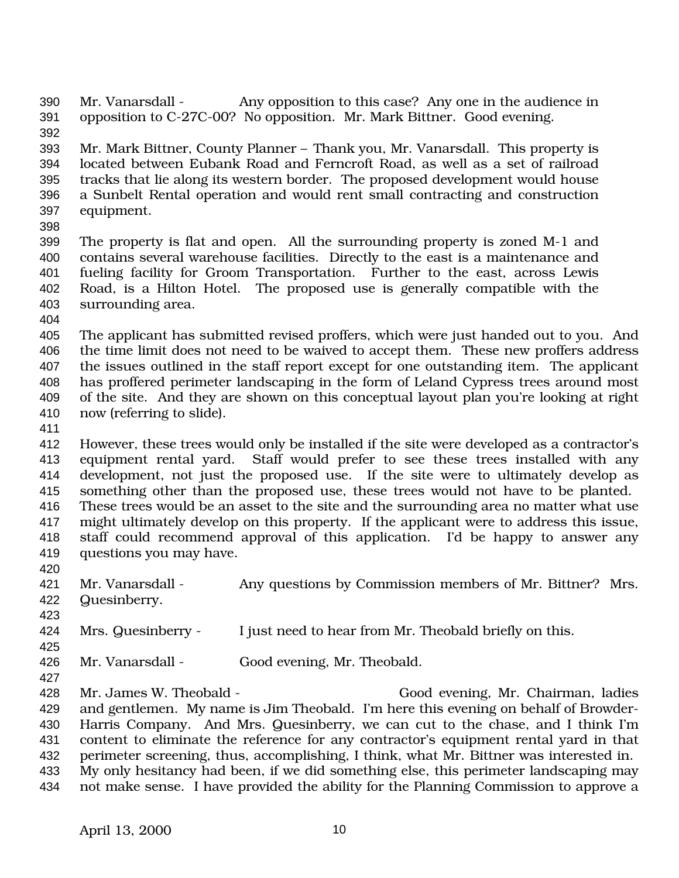Mr. Vanarsdall - Any opposition to this case? Any one in the audience in opposition to C-27C-00? No opposition. Mr. Mark Bittner. Good evening. 

 Mr. Mark Bittner, County Planner – Thank you, Mr. Vanarsdall. This property is located between Eubank Road and Ferncroft Road, as well as a set of railroad tracks that lie along its western border. The proposed development would house a Sunbelt Rental operation and would rent small contracting and construction equipment.

 The property is flat and open. All the surrounding property is zoned M-1 and contains several warehouse facilities. Directly to the east is a maintenance and fueling facility for Groom Transportation. Further to the east, across Lewis Road, is a Hilton Hotel. The proposed use is generally compatible with the surrounding area.

 The applicant has submitted revised proffers, which were just handed out to you. And the time limit does not need to be waived to accept them. These new proffers address the issues outlined in the staff report except for one outstanding item. The applicant has proffered perimeter landscaping in the form of Leland Cypress trees around most of the site. And they are shown on this conceptual layout plan you're looking at right now (referring to slide).

 However, these trees would only be installed if the site were developed as a contractor's equipment rental yard. Staff would prefer to see these trees installed with any development, not just the proposed use. If the site were to ultimately develop as something other than the proposed use, these trees would not have to be planted. These trees would be an asset to the site and the surrounding area no matter what use might ultimately develop on this property. If the applicant were to address this issue, staff could recommend approval of this application. I'd be happy to answer any questions you may have.

421 Mr. Vanarsdall - Any questions by Commission members of Mr. Bittner? Mrs. Quesinberry. 

Mrs. Quesinberry - I just need to hear from Mr. Theobald briefly on this.

Mr. Vanarsdall - Good evening, Mr. Theobald.

 Mr. James W. Theobald - Good evening, Mr. Chairman, ladies and gentlemen. My name is Jim Theobald. I'm here this evening on behalf of Browder- Harris Company. And Mrs. Quesinberry, we can cut to the chase, and I think I'm content to eliminate the reference for any contractor's equipment rental yard in that perimeter screening, thus, accomplishing, I think, what Mr. Bittner was interested in. My only hesitancy had been, if we did something else, this perimeter landscaping may not make sense. I have provided the ability for the Planning Commission to approve a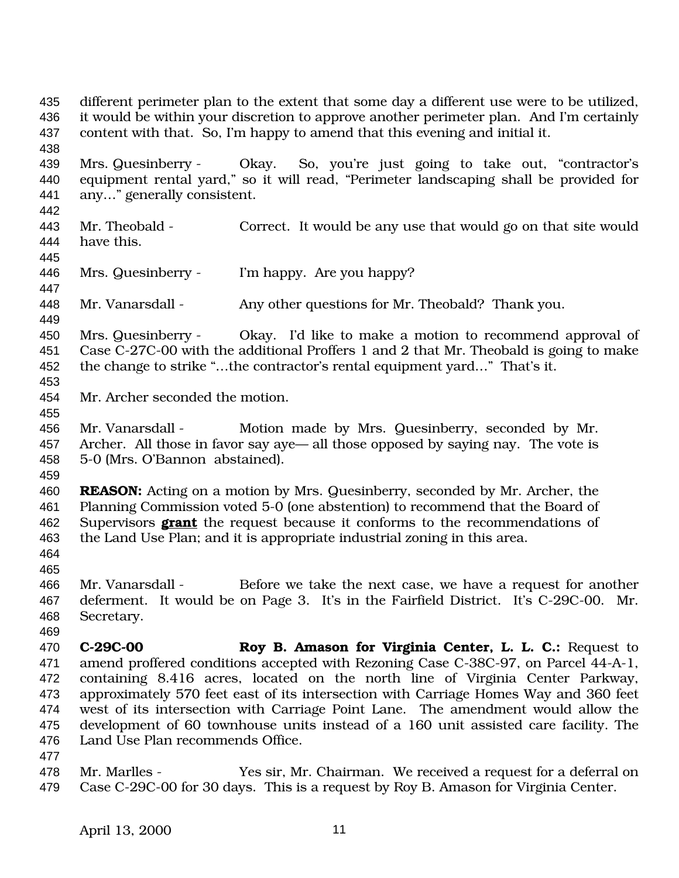it would be within your discretion to approve another perimeter plan. And I'm certainly content with that. So, I'm happy to amend that this evening and initial it. Mrs. Quesinberry - Okay. So, you're just going to take out, "contractor's equipment rental yard," so it will read, "Perimeter landscaping shall be provided for any…" generally consistent. Mr. Theobald - Correct. It would be any use that would go on that site would have this. Mrs. Quesinberry - I'm happy. Are you happy? 448 Mr. Vanarsdall - Any other questions for Mr. Theobald? Thank you. Mrs. Quesinberry - Okay. I'd like to make a motion to recommend approval of Case C-27C-00 with the additional Proffers 1 and 2 that Mr. Theobald is going to make the change to strike "…the contractor's rental equipment yard…" That's it. Mr. Archer seconded the motion. Mr. Vanarsdall - Motion made by Mrs. Quesinberry, seconded by Mr. Archer. All those in favor say aye— all those opposed by saying nay. The vote is 5-0 (Mrs. O'Bannon abstained). **REASON:** Acting on a motion by Mrs. Quesinberry, seconded by Mr. Archer, the Planning Commission voted 5-0 (one abstention) to recommend that the Board of Supervisors **grant** the request because it conforms to the recommendations of the Land Use Plan; and it is appropriate industrial zoning in this area. Mr. Vanarsdall - Before we take the next case, we have a request for another deferment. It would be on Page 3. It's in the Fairfield District. It's C-29C-00. Mr. Secretary. **C-29C-00 Roy B. Amason for Virginia Center, L. L. C.:** Request to amend proffered conditions accepted with Rezoning Case C-38C-97, on Parcel 44-A-1, containing 8.416 acres, located on the north line of Virginia Center Parkway, approximately 570 feet east of its intersection with Carriage Homes Way and 360 feet west of its intersection with Carriage Point Lane. The amendment would allow the development of 60 townhouse units instead of a 160 unit assisted care facility. The Land Use Plan recommends Office. Mr. Marlles - Yes sir, Mr. Chairman. We received a request for a deferral on Case C-29C-00 for 30 days. This is a request by Roy B. Amason for Virginia Center.

different perimeter plan to the extent that some day a different use were to be utilized,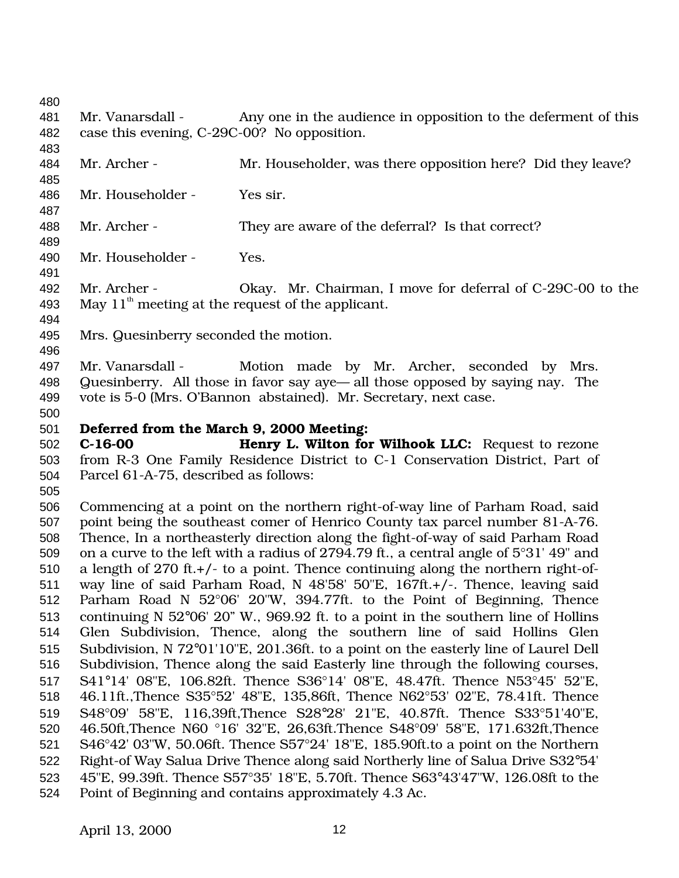Mr. Vanarsdall - Any one in the audience in opposition to the deferment of this case this evening, C-29C-00? No opposition.

 484 Mr. Archer - Mr. Householder, was there opposition here? Did they leave?

Mr. Householder - Yes sir.

Mr. Archer - They are aware of the deferral? Is that correct?

Mr. Householder - Yes.

 Mr. Archer - Okay. Mr. Chairman, I move for deferral of C-29C-00 to the 493 May  $11<sup>th</sup>$  meeting at the request of the applicant.

- Mrs. Quesinberry seconded the motion.
- 

 Mr. Vanarsdall - Motion made by Mr. Archer, seconded by Mrs. Quesinberry. All those in favor say aye— all those opposed by saying nay. The vote is 5-0 (Mrs. O'Bannon abstained). Mr. Secretary, next case.

## **Deferred from the March 9, 2000 Meeting:**

 **C-16-00 Henry L. Wilton for Wilhook LLC:** Request to rezone from R-3 One Family Residence District to C-1 Conservation District, Part of Parcel 61-A-75, described as follows:

 Commencing at a point on the northern right-of-way line of Parham Road, said point being the southeast comer of Henrico County tax parcel number 81-A-76. Thence, In a northeasterly direction along the fight-of-way of said Parham Road on a curve to the left with a radius of 2794.79 ft., a central angle of 5°31' 49" and a length of 270 ft.+/- to a point. Thence continuing along the northern right-of- way line of said Parham Road, N 48'58' 50"E, 167ft.+/-. Thence, leaving said Parham Road N 52°06' 20"W, 394.77ft. to the Point of Beginning, Thence continuing N 52°06' 20" W., 969.92 ft. to a point in the southern line of Hollins Glen Subdivision, Thence, along the southern line of said Hollins Glen Subdivision, N 72°01'10"E, 201.36ft. to a point on the easterly line of Laurel Dell Subdivision, Thence along the said Easterly line through the following courses, S41°14' 08"E, 106.82ft. Thence S36°14' 08"E, 48.47ft. Thence N53°45' 52"E, 46.11ft.,Thence S35°52' 48"E, 135,86ft, Thence N62°53' 02"E, 78.41ft. Thence S48°09' 58"E, 116,39ft,Thence S28°28' 21"E, 40.87ft. Thence S33°51'40"E, 46.50ft,Thence N60 °16' 32"E, 26,63ft.Thence S48°09' 58"E, 171.632ft,Thence S46°42' 03"W, 50.06ft. Thence S57°24' 18"E, 185.90ft.to a point on the Northern Right-of Way Salua Drive Thence along said Northerly line of Salua Drive S32°54' 45"E, 99.39ft. Thence S57°35' 18"E, 5.70ft. Thence S63°43'47"W, 126.08ft to the Point of Beginning and contains approximately 4.3 Ac.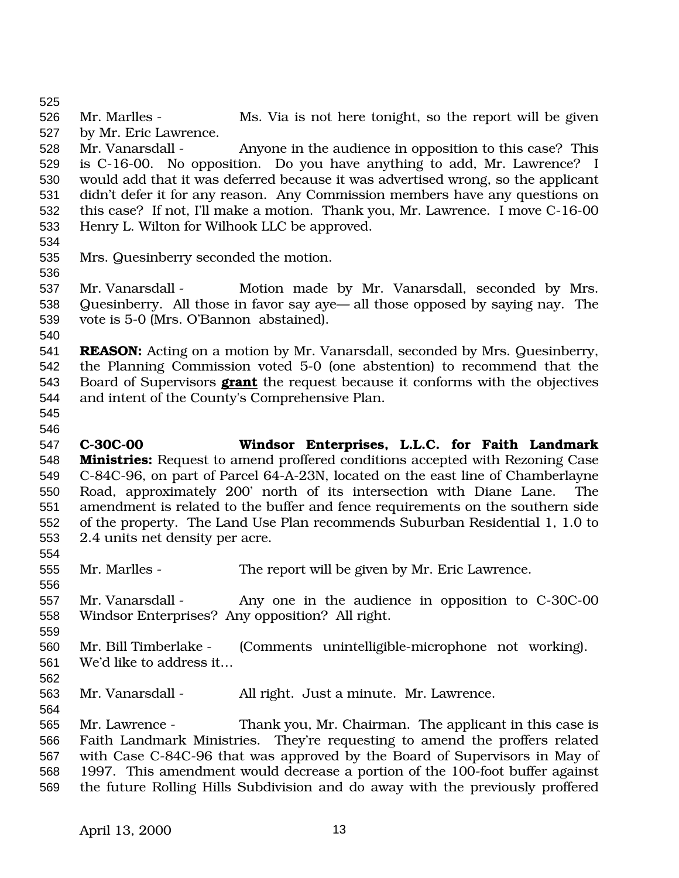Mr. Marlles - Ms. Via is not here tonight, so the report will be given by Mr. Eric Lawrence. Mr. Vanarsdall - Anyone in the audience in opposition to this case? This is C-16-00. No opposition. Do you have anything to add, Mr. Lawrence? I would add that it was deferred because it was advertised wrong, so the applicant didn't defer it for any reason. Any Commission members have any questions on this case? If not, I'll make a motion. Thank you, Mr. Lawrence. I move C-16-00 Henry L. Wilton for Wilhook LLC be approved. Mrs. Quesinberry seconded the motion. Mr. Vanarsdall - Motion made by Mr. Vanarsdall, seconded by Mrs. Quesinberry. All those in favor say aye— all those opposed by saying nay. The vote is 5-0 (Mrs. O'Bannon abstained). **REASON:** Acting on a motion by Mr. Vanarsdall, seconded by Mrs. Quesinberry, the Planning Commission voted 5-0 (one abstention) to recommend that the Board of Supervisors **grant** the request because it conforms with the objectives and intent of the County's Comprehensive Plan. **C-30C-00 Windsor Enterprises, L.L.C. for Faith Landmark Ministries:** Request to amend proffered conditions accepted with Rezoning Case C-84C-96, on part of Parcel 64-A-23N, located on the east line of Chamberlayne Road, approximately 200' north of its intersection with Diane Lane. The amendment is related to the buffer and fence requirements on the southern side of the property. The Land Use Plan recommends Suburban Residential 1, 1.0 to 2.4 units net density per acre. Mr. Marlles - The report will be given by Mr. Eric Lawrence. Mr. Vanarsdall - Any one in the audience in opposition to C-30C-00 Windsor Enterprises? Any opposition? All right. Mr. Bill Timberlake - (Comments unintelligible-microphone not working). We'd like to address it… Mr. Vanarsdall - All right. Just a minute. Mr. Lawrence. Mr. Lawrence - Thank you, Mr. Chairman. The applicant in this case is Faith Landmark Ministries. They're requesting to amend the proffers related with Case C-84C-96 that was approved by the Board of Supervisors in May of 1997. This amendment would decrease a portion of the 100-foot buffer against the future Rolling Hills Subdivision and do away with the previously proffered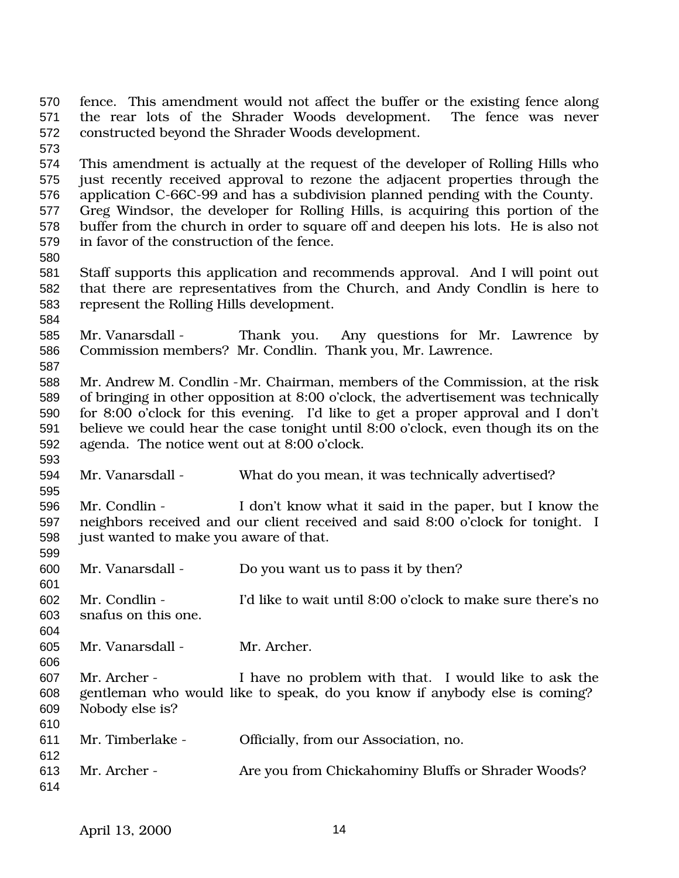fence. This amendment would not affect the buffer or the existing fence along the rear lots of the Shrader Woods development. The fence was never constructed beyond the Shrader Woods development. This amendment is actually at the request of the developer of Rolling Hills who just recently received approval to rezone the adjacent properties through the application C-66C-99 and has a subdivision planned pending with the County. Greg Windsor, the developer for Rolling Hills, is acquiring this portion of the buffer from the church in order to square off and deepen his lots. He is also not in favor of the construction of the fence. Staff supports this application and recommends approval. And I will point out that there are representatives from the Church, and Andy Condlin is here to represent the Rolling Hills development. Mr. Vanarsdall - Thank you. Any questions for Mr. Lawrence by Commission members? Mr. Condlin. Thank you, Mr. Lawrence. Mr. Andrew M. Condlin -Mr. Chairman, members of the Commission, at the risk of bringing in other opposition at 8:00 o'clock, the advertisement was technically for 8:00 o'clock for this evening. I'd like to get a proper approval and I don't believe we could hear the case tonight until 8:00 o'clock, even though its on the agenda. The notice went out at 8:00 o'clock. Mr. Vanarsdall - What do you mean, it was technically advertised? Mr. Condlin - I don't know what it said in the paper, but I know the neighbors received and our client received and said 8:00 o'clock for tonight. I just wanted to make you aware of that. Mr. Vanarsdall - Do you want us to pass it by then? Mr. Condlin - I'd like to wait until 8:00 o'clock to make sure there's no snafus on this one. Mr. Vanarsdall - Mr. Archer. Mr. Archer - I have no problem with that. I would like to ask the gentleman who would like to speak, do you know if anybody else is coming? Nobody else is? Mr. Timberlake - Officially, from our Association, no. Mr. Archer - Are you from Chickahominy Bluffs or Shrader Woods?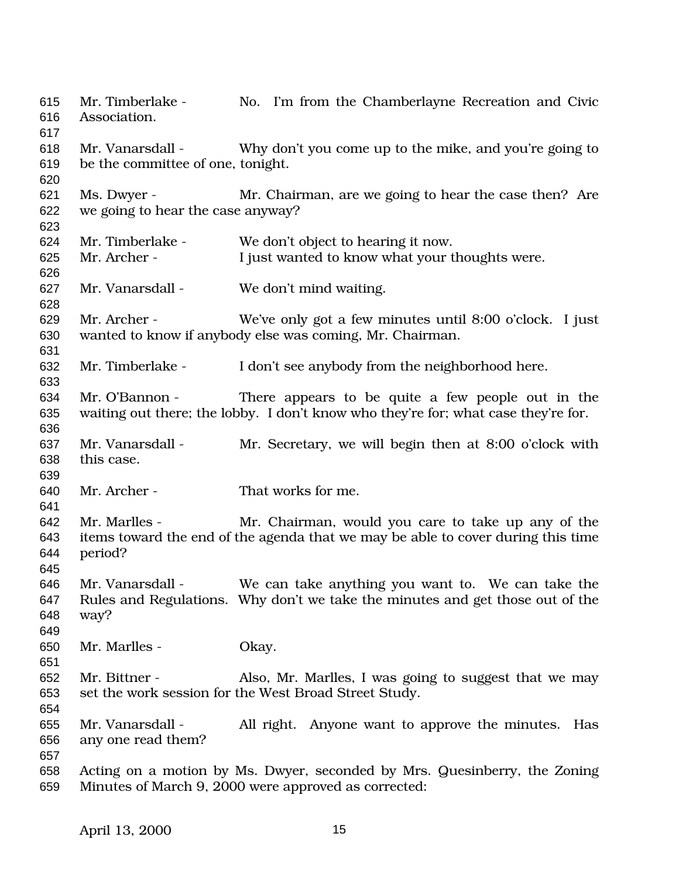Mr. Timberlake - No. I'm from the Chamberlayne Recreation and Civic Association. Mr. Vanarsdall - Why don't you come up to the mike, and you're going to be the committee of one, tonight. Ms. Dwyer - Mr. Chairman, are we going to hear the case then? Are we going to hear the case anyway? Mr. Timberlake - We don't object to hearing it now. Mr. Archer - I just wanted to know what your thoughts were. Mr. Vanarsdall - We don't mind waiting. Mr. Archer - We've only got a few minutes until 8:00 o'clock. I just wanted to know if anybody else was coming, Mr. Chairman. Mr. Timberlake - I don't see anybody from the neighborhood here. Mr. O'Bannon - There appears to be quite a few people out in the waiting out there; the lobby. I don't know who they're for; what case they're for. Mr. Vanarsdall - Mr. Secretary, we will begin then at 8:00 o'clock with this case. Mr. Archer - That works for me. Mr. Marlles - Mr. Chairman, would you care to take up any of the items toward the end of the agenda that we may be able to cover during this time period? Mr. Vanarsdall - We can take anything you want to. We can take the Rules and Regulations. Why don't we take the minutes and get those out of the way? Mr. Marlles - Okay. Mr. Bittner - Also, Mr. Marlles, I was going to suggest that we may set the work session for the West Broad Street Study. Mr. Vanarsdall - All right. Anyone want to approve the minutes. Has any one read them? Acting on a motion by Ms. Dwyer, seconded by Mrs. Quesinberry, the Zoning Minutes of March 9, 2000 were approved as corrected: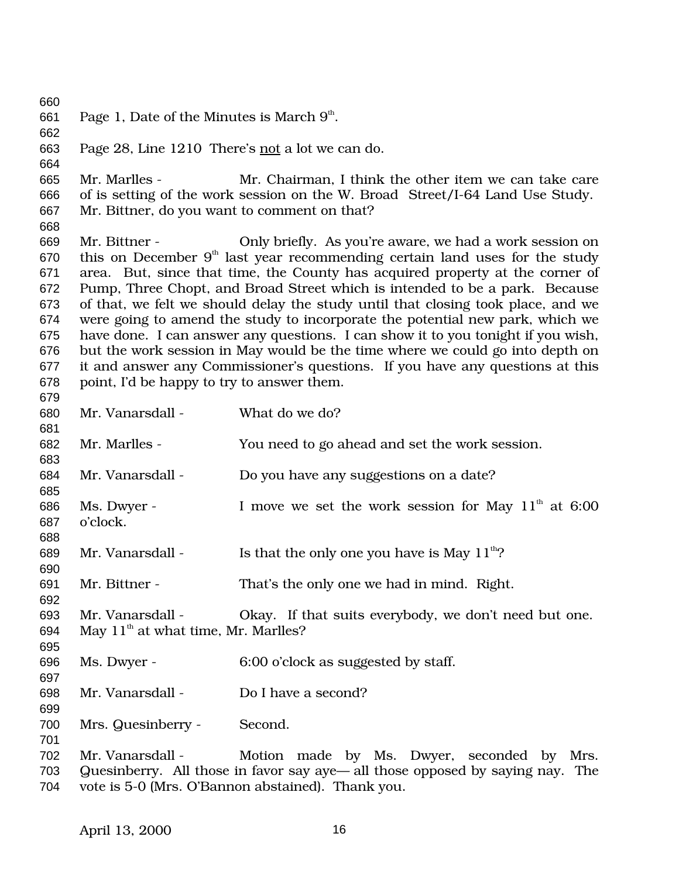661 Page 1, Date of the Minutes is March  $9<sup>th</sup>$ . Page 28, Line 1210 There's not a lot we can do. Mr. Marlles - Mr. Chairman, I think the other item we can take care of is setting of the work session on the W. Broad Street/I-64 Land Use Study. Mr. Bittner, do you want to comment on that? Mr. Bittner - Only briefly. As you're aware, we had a work session on 670 this on December  $9<sup>th</sup>$  last year recommending certain land uses for the study area. But, since that time, the County has acquired property at the corner of Pump, Three Chopt, and Broad Street which is intended to be a park. Because of that, we felt we should delay the study until that closing took place, and we were going to amend the study to incorporate the potential new park, which we have done. I can answer any questions. I can show it to you tonight if you wish, but the work session in May would be the time where we could go into depth on it and answer any Commissioner's questions. If you have any questions at this point, I'd be happy to try to answer them. Mr. Vanarsdall - What do we do? Mr. Marlles - You need to go ahead and set the work session. Mr. Vanarsdall - Do you have any suggestions on a date? 686 Ms. Dwyer - I move we set the work session for May  $11<sup>th</sup>$  at 6:00 o'clock. 689 Mr. Vanarsdall - Is that the only one you have is May  $11<sup>th</sup>$ ? Mr. Bittner - That's the only one we had in mind. Right. Mr. Vanarsdall - Okay. If that suits everybody, we don't need but one. 694 May  $11<sup>th</sup>$  at what time, Mr. Marlles? Ms. Dwyer - 6:00 o'clock as suggested by staff. Mr. Vanarsdall - Do I have a second? Mrs. Quesinberry - Second. Mr. Vanarsdall - Motion made by Ms. Dwyer, seconded by Mrs. Quesinberry. All those in favor say aye— all those opposed by saying nay. The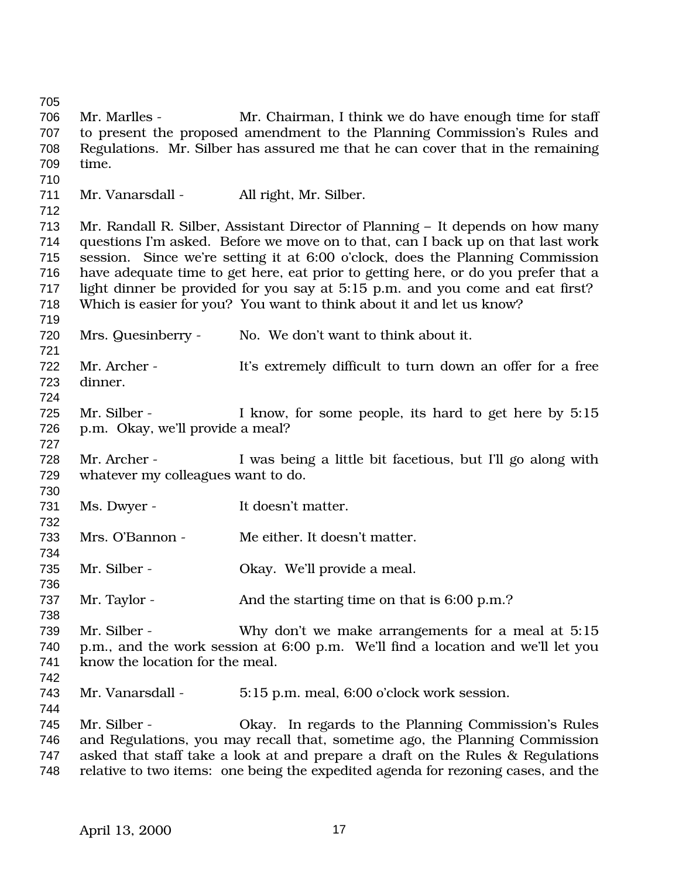Mr. Marlles - Mr. Chairman, I think we do have enough time for staff to present the proposed amendment to the Planning Commission's Rules and Regulations. Mr. Silber has assured me that he can cover that in the remaining time. 711 Mr. Vanarsdall - All right, Mr. Silber. Mr. Randall R. Silber, Assistant Director of Planning – It depends on how many questions I'm asked. Before we move on to that, can I back up on that last work session. Since we're setting it at 6:00 o'clock, does the Planning Commission have adequate time to get here, eat prior to getting here, or do you prefer that a light dinner be provided for you say at 5:15 p.m. and you come and eat first? Which is easier for you? You want to think about it and let us know? Mrs. Quesinberry - No. We don't want to think about it. Mr. Archer - It's extremely difficult to turn down an offer for a free dinner. Mr. Silber - I know, for some people, its hard to get here by 5:15 p.m. Okay, we'll provide a meal? Mr. Archer - I was being a little bit facetious, but I'll go along with whatever my colleagues want to do. 731 Ms. Dwyer - It doesn't matter. Mrs. O'Bannon - Me either. It doesn't matter. Mr. Silber - Okay. We'll provide a meal. 737 Mr. Taylor - And the starting time on that is 6:00 p.m.? Mr. Silber - Why don't we make arrangements for a meal at 5:15 p.m., and the work session at 6:00 p.m. We'll find a location and we'll let you know the location for the meal. Mr. Vanarsdall - 5:15 p.m. meal, 6:00 o'clock work session. Mr. Silber - Okay. In regards to the Planning Commission's Rules and Regulations, you may recall that, sometime ago, the Planning Commission asked that staff take a look at and prepare a draft on the Rules & Regulations relative to two items: one being the expedited agenda for rezoning cases, and the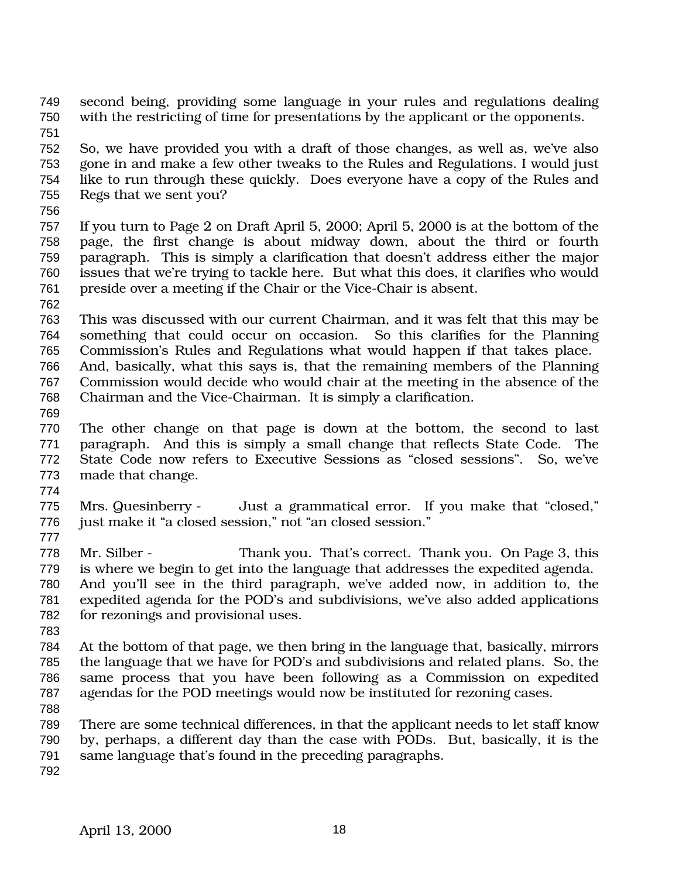- second being, providing some language in your rules and regulations dealing with the restricting of time for presentations by the applicant or the opponents.
- So, we have provided you with a draft of those changes, as well as, we've also gone in and make a few other tweaks to the Rules and Regulations. I would just like to run through these quickly. Does everyone have a copy of the Rules and Regs that we sent you?
- 
- If you turn to Page 2 on Draft April 5, 2000; April 5, 2000 is at the bottom of the page, the first change is about midway down, about the third or fourth paragraph. This is simply a clarification that doesn't address either the major issues that we're trying to tackle here. But what this does, it clarifies who would preside over a meeting if the Chair or the Vice-Chair is absent.
- 
- This was discussed with our current Chairman, and it was felt that this may be something that could occur on occasion. So this clarifies for the Planning Commission's Rules and Regulations what would happen if that takes place.
- And, basically, what this says is, that the remaining members of the Planning Commission would decide who would chair at the meeting in the absence of the Chairman and the Vice-Chairman. It is simply a clarification.
- 
- The other change on that page is down at the bottom, the second to last paragraph. And this is simply a small change that reflects State Code. The State Code now refers to Executive Sessions as "closed sessions". So, we've made that change.
- 
- Mrs. Quesinberry Just a grammatical error. If you make that "closed," just make it "a closed session," not "an closed session."
- 
- Mr. Silber Thank you. That's correct. Thank you. On Page 3, this is where we begin to get into the language that addresses the expedited agenda. And you'll see in the third paragraph, we've added now, in addition to, the expedited agenda for the POD's and subdivisions, we've also added applications
- for rezonings and provisional uses.
- 
- At the bottom of that page, we then bring in the language that, basically, mirrors the language that we have for POD's and subdivisions and related plans. So, the same process that you have been following as a Commission on expedited agendas for the POD meetings would now be instituted for rezoning cases.
- 
- There are some technical differences, in that the applicant needs to let staff know by, perhaps, a different day than the case with PODs. But, basically, it is the same language that's found in the preceding paragraphs.
-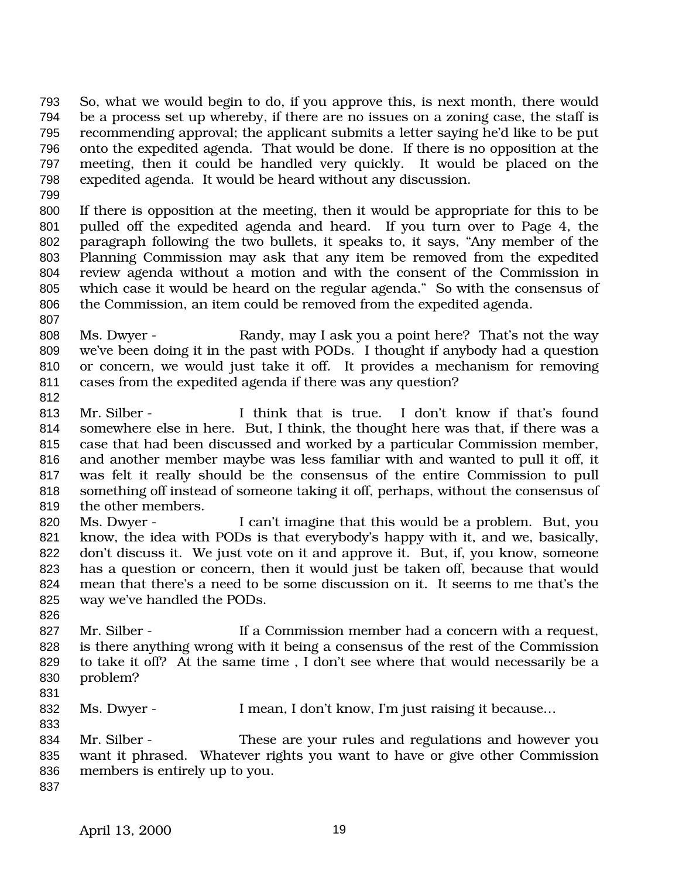So, what we would begin to do, if you approve this, is next month, there would be a process set up whereby, if there are no issues on a zoning case, the staff is recommending approval; the applicant submits a letter saying he'd like to be put onto the expedited agenda. That would be done. If there is no opposition at the meeting, then it could be handled very quickly. It would be placed on the expedited agenda. It would be heard without any discussion.

 If there is opposition at the meeting, then it would be appropriate for this to be pulled off the expedited agenda and heard. If you turn over to Page 4, the paragraph following the two bullets, it speaks to, it says, "Any member of the Planning Commission may ask that any item be removed from the expedited review agenda without a motion and with the consent of the Commission in which case it would be heard on the regular agenda." So with the consensus of the Commission, an item could be removed from the expedited agenda.

- 808 Ms. Dwyer Randy, may I ask you a point here? That's not the way we've been doing it in the past with PODs. I thought if anybody had a question or concern, we would just take it off. It provides a mechanism for removing cases from the expedited agenda if there was any question?
- 

 Mr. Silber - I think that is true. I don't know if that's found somewhere else in here. But, I think, the thought here was that, if there was a case that had been discussed and worked by a particular Commission member, and another member maybe was less familiar with and wanted to pull it off, it was felt it really should be the consensus of the entire Commission to pull something off instead of someone taking it off, perhaps, without the consensus of the other members.

- Ms. Dwyer I can't imagine that this would be a problem. But, you know, the idea with PODs is that everybody's happy with it, and we, basically, don't discuss it. We just vote on it and approve it. But, if, you know, someone has a question or concern, then it would just be taken off, because that would mean that there's a need to be some discussion on it. It seems to me that's the way we've handled the PODs.
- 

 Mr. Silber - If a Commission member had a concern with a request, is there anything wrong with it being a consensus of the rest of the Commission to take it off? At the same time , I don't see where that would necessarily be a problem?

832 Ms. Dwyer - I mean, I don't know, I'm just raising it because...

 Mr. Silber - These are your rules and regulations and however you want it phrased. Whatever rights you want to have or give other Commission members is entirely up to you.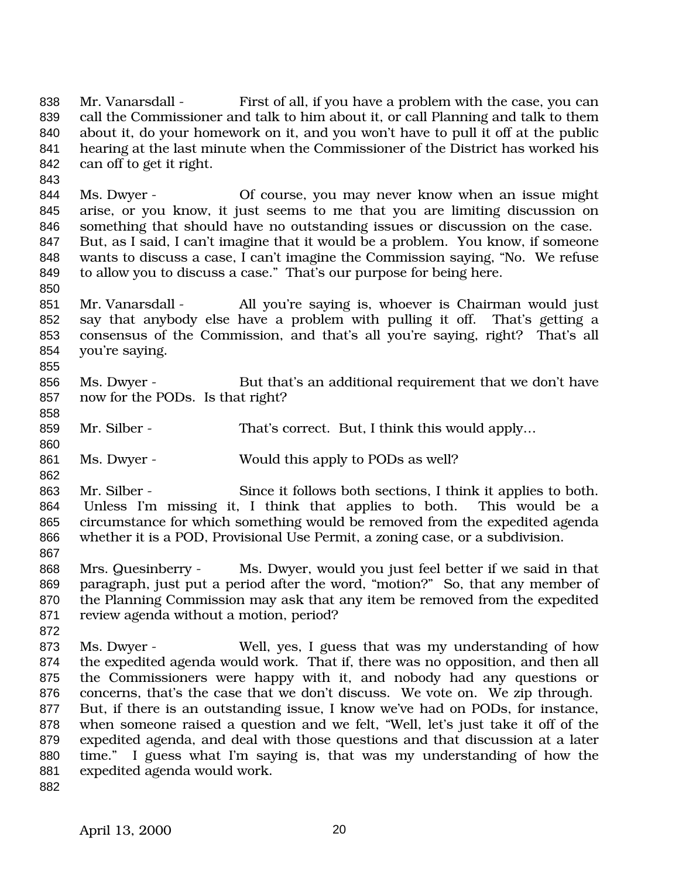Mr. Vanarsdall - First of all, if you have a problem with the case, you can call the Commissioner and talk to him about it, or call Planning and talk to them about it, do your homework on it, and you won't have to pull it off at the public hearing at the last minute when the Commissioner of the District has worked his can off to get it right. 

 Ms. Dwyer - Of course, you may never know when an issue might arise, or you know, it just seems to me that you are limiting discussion on something that should have no outstanding issues or discussion on the case. But, as I said, I can't imagine that it would be a problem. You know, if someone wants to discuss a case, I can't imagine the Commission saying, "No. We refuse to allow you to discuss a case." That's our purpose for being here.

- Mr. Vanarsdall All you're saying is, whoever is Chairman would just say that anybody else have a problem with pulling it off. That's getting a consensus of the Commission, and that's all you're saying, right? That's all you're saying.
- 856 Ms. Dwyer But that's an additional requirement that we don't have now for the PODs. Is that right?
- 859 Mr. Silber That's correct. But, I think this would apply...
- 861 Ms. Dwyer Would this apply to PODs as well?

863 Mr. Silber - Since it follows both sections, I think it applies to both. Unless I'm missing it, I think that applies to both. This would be a circumstance for which something would be removed from the expedited agenda whether it is a POD, Provisional Use Permit, a zoning case, or a subdivision.

- Mrs. Quesinberry Ms. Dwyer, would you just feel better if we said in that paragraph, just put a period after the word, "motion?" So, that any member of the Planning Commission may ask that any item be removed from the expedited review agenda without a motion, period?
- 

 Ms. Dwyer - Well, yes, I guess that was my understanding of how the expedited agenda would work. That if, there was no opposition, and then all the Commissioners were happy with it, and nobody had any questions or concerns, that's the case that we don't discuss. We vote on. We zip through. But, if there is an outstanding issue, I know we've had on PODs, for instance, when someone raised a question and we felt, "Well, let's just take it off of the expedited agenda, and deal with those questions and that discussion at a later time." I guess what I'm saying is, that was my understanding of how the expedited agenda would work.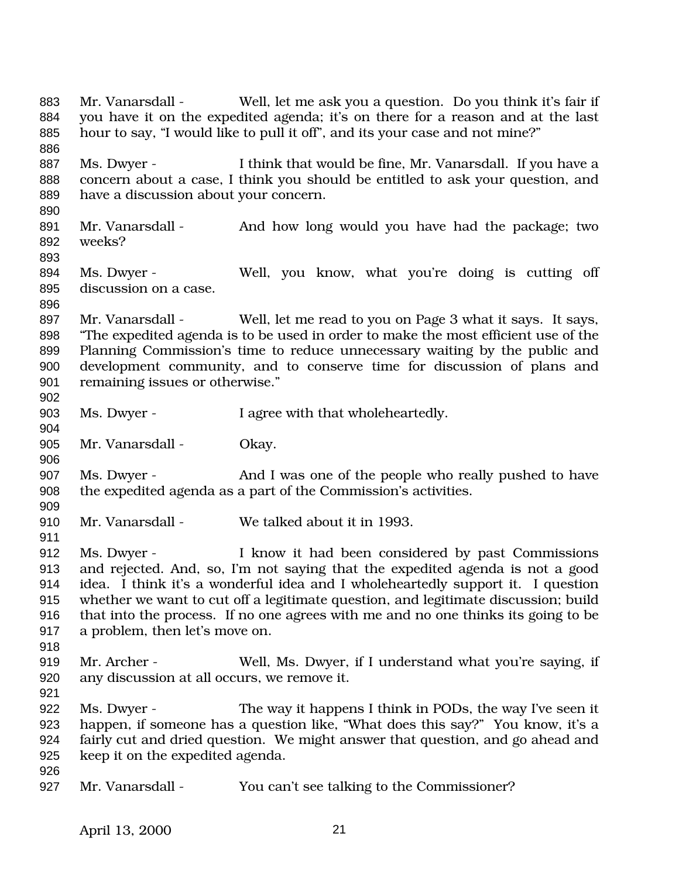Mr. Vanarsdall - Well, let me ask you a question. Do you think it's fair if you have it on the expedited agenda; it's on there for a reason and at the last hour to say, "I would like to pull it off", and its your case and not mine?" 887 Ms. Dwyer - I think that would be fine, Mr. Vanarsdall. If you have a concern about a case, I think you should be entitled to ask your question, and have a discussion about your concern. 891 Mr. Vanarsdall - And how long would you have had the package; two weeks? Ms. Dwyer - Well, you know, what you're doing is cutting off discussion on a case. Mr. Vanarsdall - Well, let me read to you on Page 3 what it says. It says, "The expedited agenda is to be used in order to make the most efficient use of the Planning Commission's time to reduce unnecessary waiting by the public and development community, and to conserve time for discussion of plans and remaining issues or otherwise." Ms. Dwyer - I agree with that wholeheartedly. 905 Mr. Vanarsdall - Okay. 907 Ms. Dwyer - And I was one of the people who really pushed to have the expedited agenda as a part of the Commission's activities. Mr. Vanarsdall - We talked about it in 1993. Ms. Dwyer - I know it had been considered by past Commissions and rejected. And, so, I'm not saying that the expedited agenda is not a good idea. I think it's a wonderful idea and I wholeheartedly support it. I question whether we want to cut off a legitimate question, and legitimate discussion; build that into the process. If no one agrees with me and no one thinks its going to be a problem, then let's move on. Mr. Archer - Well, Ms. Dwyer, if I understand what you're saying, if any discussion at all occurs, we remove it. Ms. Dwyer - The way it happens I think in PODs, the way I've seen it happen, if someone has a question like, "What does this say?" You know, it's a fairly cut and dried question. We might answer that question, and go ahead and keep it on the expedited agenda. Mr. Vanarsdall - You can't see talking to the Commissioner?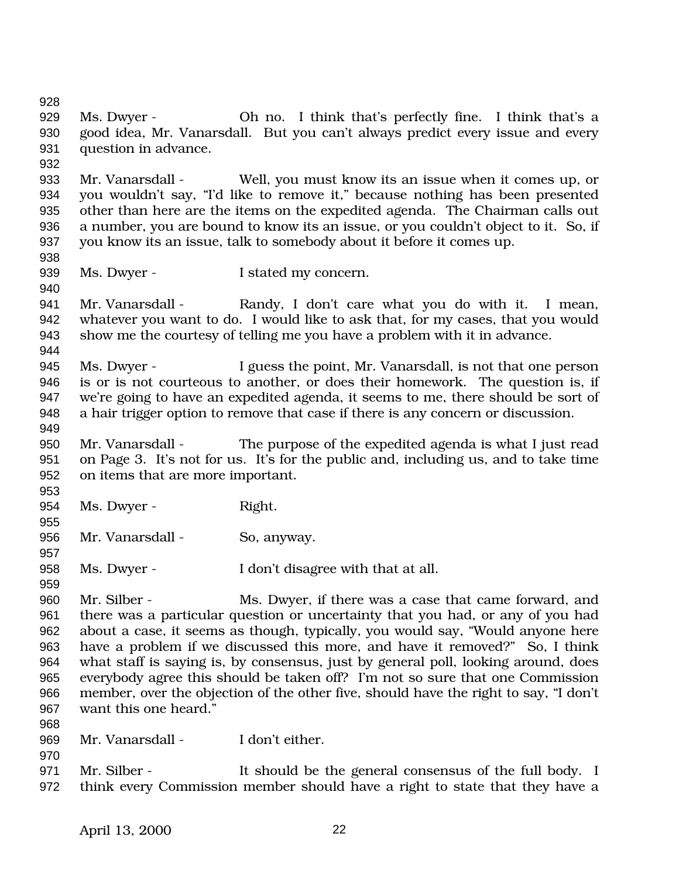Ms. Dwyer - Oh no. I think that's perfectly fine. I think that's a good idea, Mr. Vanarsdall. But you can't always predict every issue and every question in advance. Mr. Vanarsdall - Well, you must know its an issue when it comes up, or you wouldn't say, "I'd like to remove it," because nothing has been presented other than here are the items on the expedited agenda. The Chairman calls out a number, you are bound to know its an issue, or you couldn't object to it. So, if you know its an issue, talk to somebody about it before it comes up. 939 Ms. Dwyer - I stated my concern. 941 Mr. Vanarsdall - Randy, I don't care what you do with it. I mean, whatever you want to do. I would like to ask that, for my cases, that you would show me the courtesy of telling me you have a problem with it in advance. Ms. Dwyer - I guess the point, Mr. Vanarsdall, is not that one person is or is not courteous to another, or does their homework. The question is, if we're going to have an expedited agenda, it seems to me, there should be sort of a hair trigger option to remove that case if there is any concern or discussion. Mr. Vanarsdall - The purpose of the expedited agenda is what I just read on Page 3. It's not for us. It's for the public and, including us, and to take time on items that are more important. 954 Ms. Dwyer - Right. 956 Mr. Vanarsdall - So, anyway. Ms. Dwyer - I don't disagree with that at all. Mr. Silber - Ms. Dwyer, if there was a case that came forward, and there was a particular question or uncertainty that you had, or any of you had about a case, it seems as though, typically, you would say, "Would anyone here have a problem if we discussed this more, and have it removed?" So, I think what staff is saying is, by consensus, just by general poll, looking around, does everybody agree this should be taken off? I'm not so sure that one Commission member, over the objection of the other five, should have the right to say, "I don't want this one heard." Mr. Vanarsdall - I don't either. Mr. Silber - It should be the general consensus of the full body. I think every Commission member should have a right to state that they have a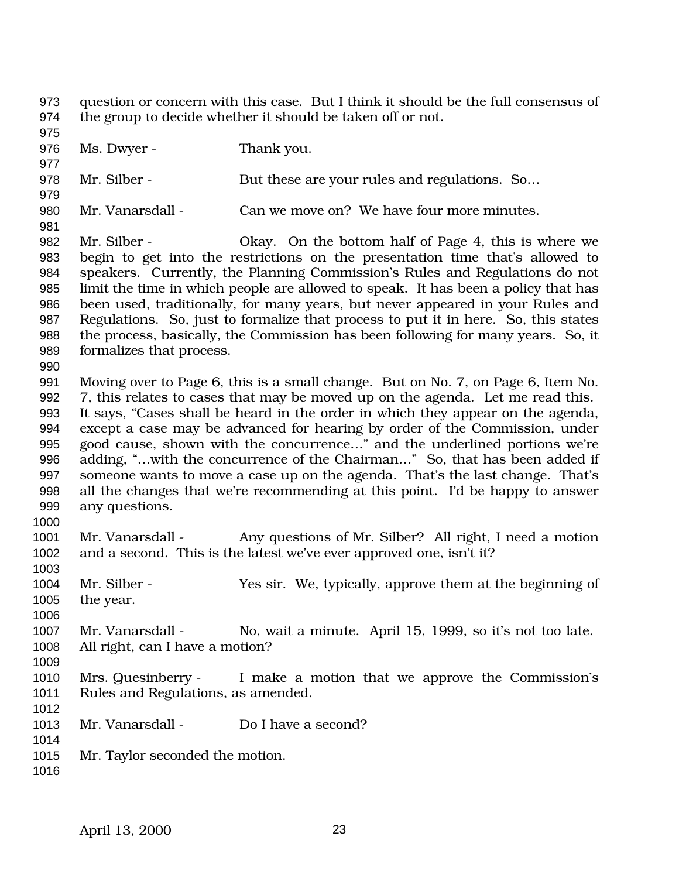question or concern with this case. But I think it should be the full consensus of the group to decide whether it should be taken off or not.

 976 Ms. Dwyer - Thank you. 978 Mr. Silber - But these are your rules and regulations. So... Mr. Vanarsdall - Can we move on? We have four more minutes. Mr. Silber - Okay. On the bottom half of Page 4, this is where we begin to get into the restrictions on the presentation time that's allowed to speakers. Currently, the Planning Commission's Rules and Regulations do not limit the time in which people are allowed to speak. It has been a policy that has been used, traditionally, for many years, but never appeared in your Rules and Regulations. So, just to formalize that process to put it in here. So, this states the process, basically, the Commission has been following for many years. So, it formalizes that process. Moving over to Page 6, this is a small change. But on No. 7, on Page 6, Item No. 7, this relates to cases that may be moved up on the agenda. Let me read this. It says, "Cases shall be heard in the order in which they appear on the agenda, except a case may be advanced for hearing by order of the Commission, under good cause, shown with the concurrence…" and the underlined portions we're 996 adding, "...with the concurrence of the Chairman..." So, that has been added if someone wants to move a case up on the agenda. That's the last change. That's all the changes that we're recommending at this point. I'd be happy to answer any questions. 1001 Mr. Vanarsdall - Any questions of Mr. Silber? All right, I need a motion and a second. This is the latest we've ever approved one, isn't it? Mr. Silber - Yes sir. We, typically, approve them at the beginning of the year. Mr. Vanarsdall - No, wait a minute. April 15, 1999, so it's not too late. All right, can I have a motion? Mrs. Quesinberry - I make a motion that we approve the Commission's Rules and Regulations, as amended. Mr. Vanarsdall - Do I have a second? Mr. Taylor seconded the motion.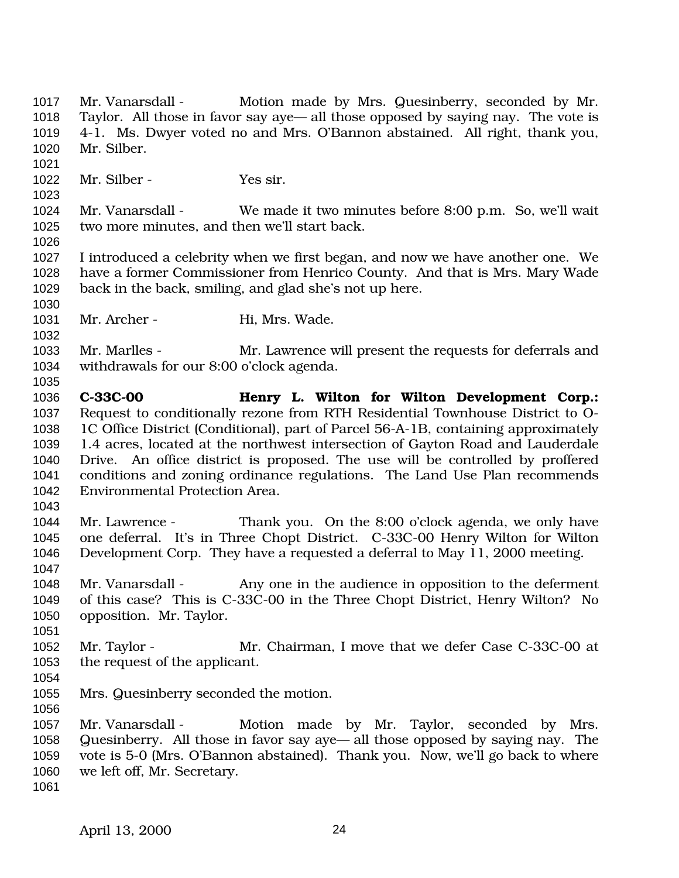1017 Mr. Vanarsdall - Motion made by Mrs. Quesinberry, seconded by Mr. Taylor. All those in favor say aye— all those opposed by saying nay. The vote is 4-1. Ms. Dwyer voted no and Mrs. O'Bannon abstained. All right, thank you, Mr. Silber. Mr. Silber - Yes sir. Mr. Vanarsdall - We made it two minutes before 8:00 p.m. So, we'll wait two more minutes, and then we'll start back. I introduced a celebrity when we first began, and now we have another one. We have a former Commissioner from Henrico County. And that is Mrs. Mary Wade back in the back, smiling, and glad she's not up here. 1031 Mr. Archer - Hi, Mrs. Wade. Mr. Marlles - Mr. Lawrence will present the requests for deferrals and withdrawals for our 8:00 o'clock agenda. **C-33C-00 Henry L. Wilton for Wilton Development Corp.:** Request to conditionally rezone from RTH Residential Townhouse District to O- 1C Office District (Conditional), part of Parcel 56-A-1B, containing approximately 1.4 acres, located at the northwest intersection of Gayton Road and Lauderdale Drive. An office district is proposed. The use will be controlled by proffered conditions and zoning ordinance regulations. The Land Use Plan recommends Environmental Protection Area. Mr. Lawrence - Thank you. On the 8:00 o'clock agenda, we only have one deferral. It's in Three Chopt District. C-33C-00 Henry Wilton for Wilton Development Corp. They have a requested a deferral to May 11, 2000 meeting. Mr. Vanarsdall - Any one in the audience in opposition to the deferment of this case? This is C-33C-00 in the Three Chopt District, Henry Wilton? No opposition. Mr. Taylor. Mr. Taylor - Mr. Chairman, I move that we defer Case C-33C-00 at the request of the applicant. Mrs. Quesinberry seconded the motion. 1057 Mr. Vanarsdall - Motion made by Mr. Taylor, seconded by Mrs. Quesinberry. All those in favor say aye— all those opposed by saying nay. The vote is 5-0 (Mrs. O'Bannon abstained). Thank you. Now, we'll go back to where we left off, Mr. Secretary.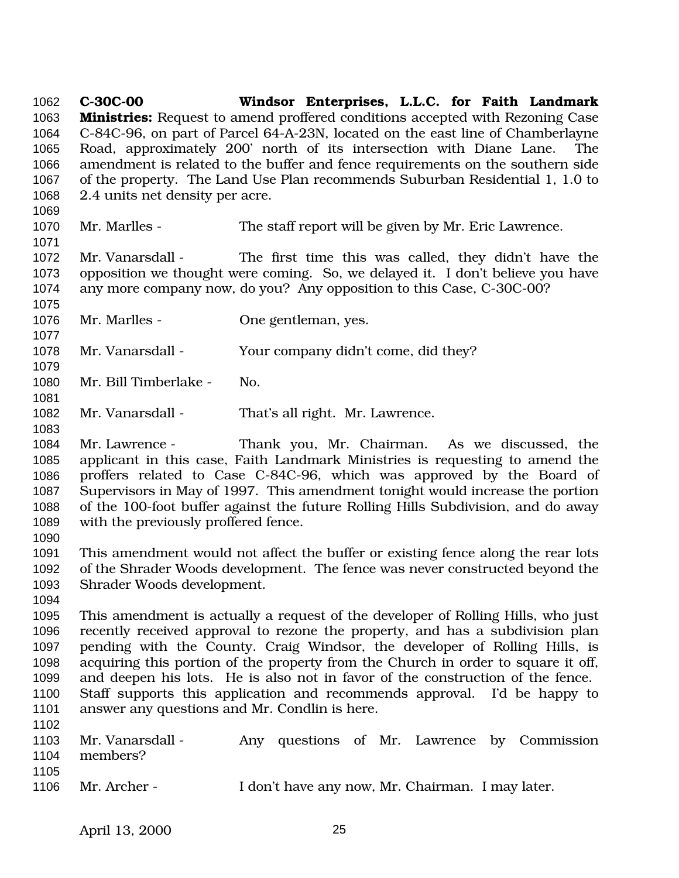**C-30C-00 Windsor Enterprises, L.L.C. for Faith Landmark Ministries:** Request to amend proffered conditions accepted with Rezoning Case C-84C-96, on part of Parcel 64-A-23N, located on the east line of Chamberlayne Road, approximately 200' north of its intersection with Diane Lane. The amendment is related to the buffer and fence requirements on the southern side of the property. The Land Use Plan recommends Suburban Residential 1, 1.0 to 2.4 units net density per acre. Mr. Marlles - The staff report will be given by Mr. Eric Lawrence. Mr. Vanarsdall - The first time this was called, they didn't have the opposition we thought were coming. So, we delayed it. I don't believe you have any more company now, do you? Any opposition to this Case, C-30C-00? Mr. Marlles - One gentleman, yes. Mr. Vanarsdall - Your company didn't come, did they? Mr. Bill Timberlake - No. Mr. Vanarsdall - That's all right. Mr. Lawrence. Mr. Lawrence - Thank you, Mr. Chairman. As we discussed, the applicant in this case, Faith Landmark Ministries is requesting to amend the proffers related to Case C-84C-96, which was approved by the Board of Supervisors in May of 1997. This amendment tonight would increase the portion of the 100-foot buffer against the future Rolling Hills Subdivision, and do away with the previously proffered fence. This amendment would not affect the buffer or existing fence along the rear lots of the Shrader Woods development. The fence was never constructed beyond the Shrader Woods development. This amendment is actually a request of the developer of Rolling Hills, who just recently received approval to rezone the property, and has a subdivision plan pending with the County. Craig Windsor, the developer of Rolling Hills, is acquiring this portion of the property from the Church in order to square it off, and deepen his lots. He is also not in favor of the construction of the fence. Staff supports this application and recommends approval. I'd be happy to answer any questions and Mr. Condlin is here. Mr. Vanarsdall - Any questions of Mr. Lawrence by Commission members? Mr. Archer - I don't have any now, Mr. Chairman. I may later.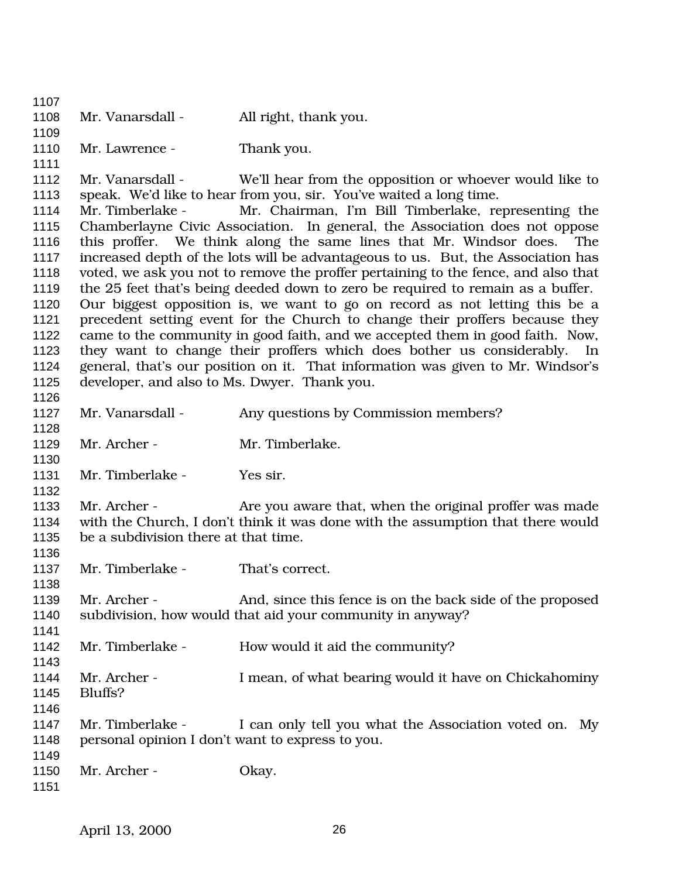1108 Mr. Vanarsdall - All right, thank you. 1110 Mr. Lawrence - Thank you. Mr. Vanarsdall - We'll hear from the opposition or whoever would like to speak. We'd like to hear from you, sir. You've waited a long time. Mr. Timberlake - Mr. Chairman, I'm Bill Timberlake, representing the Chamberlayne Civic Association. In general, the Association does not oppose this proffer. We think along the same lines that Mr. Windsor does. The increased depth of the lots will be advantageous to us. But, the Association has voted, we ask you not to remove the proffer pertaining to the fence, and also that the 25 feet that's being deeded down to zero be required to remain as a buffer. Our biggest opposition is, we want to go on record as not letting this be a precedent setting event for the Church to change their proffers because they came to the community in good faith, and we accepted them in good faith. Now, they want to change their proffers which does bother us considerably. In general, that's our position on it. That information was given to Mr. Windsor's developer, and also to Ms. Dwyer. Thank you. 1127 Mr. Vanarsdall - Any questions by Commission members? 1129 Mr. Archer - Mr. Timberlake. 1131 Mr. Timberlake - Yes sir. 1133 Mr. Archer - Are you aware that, when the original proffer was made with the Church, I don't think it was done with the assumption that there would be a subdivision there at that time. 1137 Mr. Timberlake - That's correct. Mr. Archer - And, since this fence is on the back side of the proposed subdivision, how would that aid your community in anyway? 1142 Mr. Timberlake - How would it aid the community? Mr. Archer - I mean, of what bearing would it have on Chickahominy Bluffs? 1147 Mr. Timberlake - I can only tell you what the Association voted on. My personal opinion I don't want to express to you. 1150 Mr. Archer - Okay.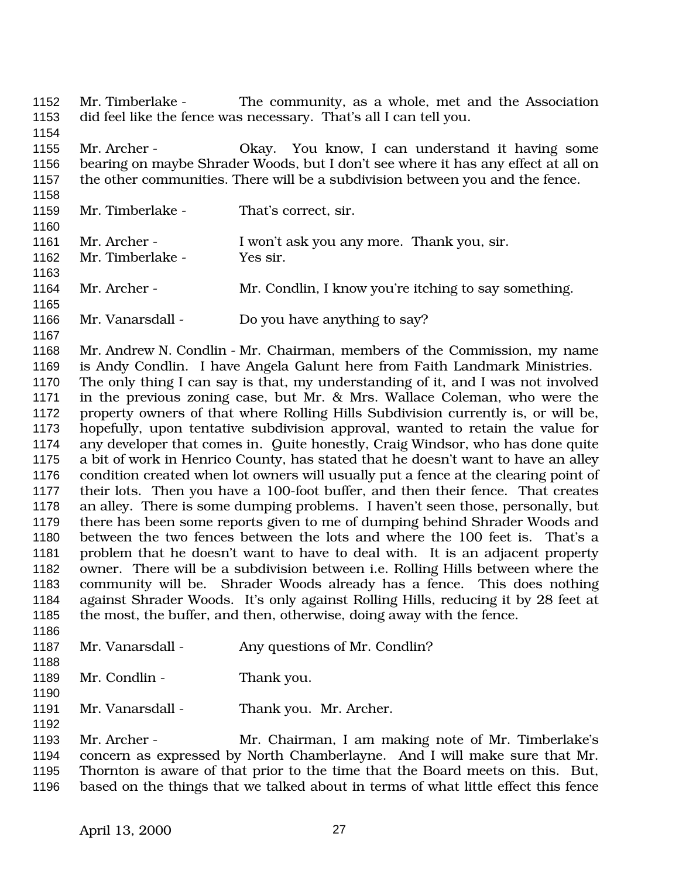Mr. Timberlake - The community, as a whole, met and the Association did feel like the fence was necessary. That's all I can tell you. Mr. Archer - Okay. You know, I can understand it having some bearing on maybe Shrader Woods, but I don't see where it has any effect at all on the other communities. There will be a subdivision between you and the fence. Mr. Timberlake - That's correct, sir. 1161 Mr. Archer - I won't ask you any more. Thank you, sir. Mr. Timberlake - Yes sir. Mr. Archer - Mr. Condlin, I know you're itching to say something. Mr. Vanarsdall - Do you have anything to say? Mr. Andrew N. Condlin - Mr. Chairman, members of the Commission, my name is Andy Condlin. I have Angela Galunt here from Faith Landmark Ministries. The only thing I can say is that, my understanding of it, and I was not involved in the previous zoning case, but Mr. & Mrs. Wallace Coleman, who were the property owners of that where Rolling Hills Subdivision currently is, or will be, hopefully, upon tentative subdivision approval, wanted to retain the value for any developer that comes in. Quite honestly, Craig Windsor, who has done quite a bit of work in Henrico County, has stated that he doesn't want to have an alley condition created when lot owners will usually put a fence at the clearing point of their lots. Then you have a 100-foot buffer, and then their fence. That creates an alley. There is some dumping problems. I haven't seen those, personally, but there has been some reports given to me of dumping behind Shrader Woods and between the two fences between the lots and where the 100 feet is. That's a problem that he doesn't want to have to deal with. It is an adjacent property owner. There will be a subdivision between i.e. Rolling Hills between where the community will be. Shrader Woods already has a fence. This does nothing against Shrader Woods. It's only against Rolling Hills, reducing it by 28 feet at the most, the buffer, and then, otherwise, doing away with the fence. 1187 Mr. Vanarsdall - Any questions of Mr. Condlin? 1189 Mr. Condlin - Thank you. 1191 Mr. Vanarsdall - Thank you. Mr. Archer. Mr. Archer - Mr. Chairman, I am making note of Mr. Timberlake's concern as expressed by North Chamberlayne. And I will make sure that Mr. Thornton is aware of that prior to the time that the Board meets on this. But, based on the things that we talked about in terms of what little effect this fence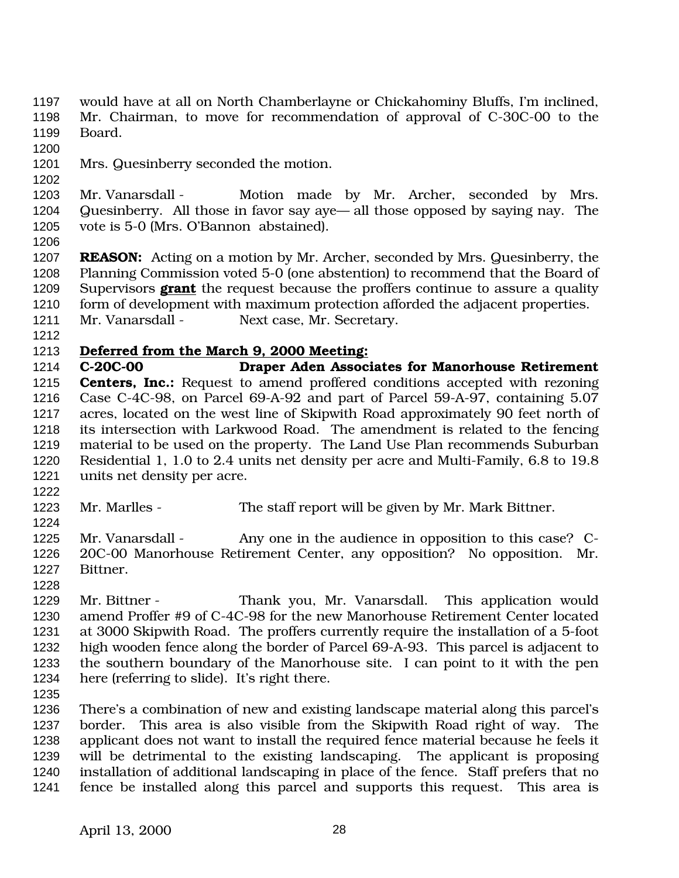- would have at all on North Chamberlayne or Chickahominy Bluffs, I'm inclined, Mr. Chairman, to move for recommendation of approval of C-30C-00 to the Board.
- 

- Mrs. Quesinberry seconded the motion.
- 1203 Mr. Vanarsdall Motion made by Mr. Archer, seconded by Mrs. Quesinberry. All those in favor say aye— all those opposed by saying nay. The vote is 5-0 (Mrs. O'Bannon abstained).
- 

 **REASON:** Acting on a motion by Mr. Archer, seconded by Mrs. Quesinberry, the Planning Commission voted 5-0 (one abstention) to recommend that the Board of Supervisors **grant** the request because the proffers continue to assure a quality 1210 form of development with maximum protection afforded the adjacent properties. 1211 Mr. Vanarsdall - Next case, Mr. Secretary.

## **Deferred from the March 9, 2000 Meeting:**

 **C-20C-00 Draper Aden Associates for Manorhouse Retirement Centers, Inc.:** Request to amend proffered conditions accepted with rezoning Case C-4C-98, on Parcel 69-A-92 and part of Parcel 59-A-97, containing 5.07 acres, located on the west line of Skipwith Road approximately 90 feet north of its intersection with Larkwood Road. The amendment is related to the fencing material to be used on the property. The Land Use Plan recommends Suburban Residential 1, 1.0 to 2.4 units net density per acre and Multi-Family, 6.8 to 19.8 units net density per acre.

- Mr. Marlles The staff report will be given by Mr. Mark Bittner.
- 1225 Mr. Vanarsdall Any one in the audience in opposition to this case? C- 20C-00 Manorhouse Retirement Center, any opposition? No opposition. Mr. Bittner.
- Mr. Bittner Thank you, Mr. Vanarsdall. This application would amend Proffer #9 of C-4C-98 for the new Manorhouse Retirement Center located at 3000 Skipwith Road. The proffers currently require the installation of a 5-foot high wooden fence along the border of Parcel 69-A-93. This parcel is adjacent to the southern boundary of the Manorhouse site. I can point to it with the pen here (referring to slide). It's right there.
- 

 There's a combination of new and existing landscape material along this parcel's border. This area is also visible from the Skipwith Road right of way. The applicant does not want to install the required fence material because he feels it will be detrimental to the existing landscaping. The applicant is proposing installation of additional landscaping in place of the fence. Staff prefers that no fence be installed along this parcel and supports this request. This area is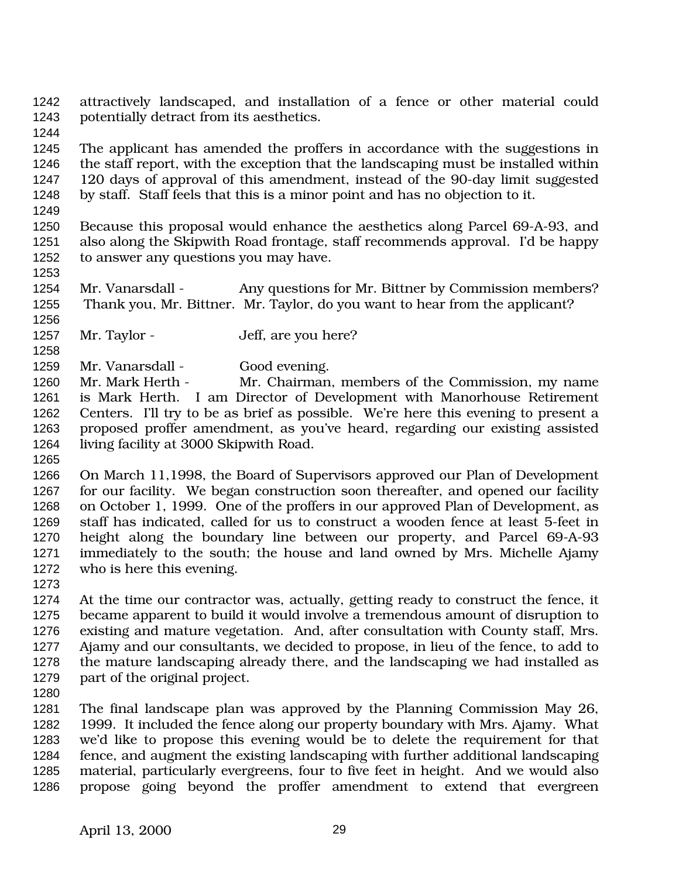attractively landscaped, and installation of a fence or other material could potentially detract from its aesthetics.

 The applicant has amended the proffers in accordance with the suggestions in the staff report, with the exception that the landscaping must be installed within 120 days of approval of this amendment, instead of the 90-day limit suggested by staff. Staff feels that this is a minor point and has no objection to it.

 Because this proposal would enhance the aesthetics along Parcel 69-A-93, and also along the Skipwith Road frontage, staff recommends approval. I'd be happy to answer any questions you may have.

1254 Mr. Vanarsdall - Any questions for Mr. Bittner by Commission members? Thank you, Mr. Bittner. Mr. Taylor, do you want to hear from the applicant?

1257 Mr. Taylor - Jeff, are you here?

1259 Mr. Vanarsdall - Good evening.

 Mr. Mark Herth - Mr. Chairman, members of the Commission, my name is Mark Herth. I am Director of Development with Manorhouse Retirement Centers. I'll try to be as brief as possible. We're here this evening to present a proposed proffer amendment, as you've heard, regarding our existing assisted living facility at 3000 Skipwith Road.

 On March 11,1998, the Board of Supervisors approved our Plan of Development for our facility. We began construction soon thereafter, and opened our facility on October 1, 1999. One of the proffers in our approved Plan of Development, as staff has indicated, called for us to construct a wooden fence at least 5-feet in height along the boundary line between our property, and Parcel 69-A-93 immediately to the south; the house and land owned by Mrs. Michelle Ajamy who is here this evening.

 At the time our contractor was, actually, getting ready to construct the fence, it became apparent to build it would involve a tremendous amount of disruption to existing and mature vegetation. And, after consultation with County staff, Mrs. Ajamy and our consultants, we decided to propose, in lieu of the fence, to add to the mature landscaping already there, and the landscaping we had installed as part of the original project.

 The final landscape plan was approved by the Planning Commission May 26, 1999. It included the fence along our property boundary with Mrs. Ajamy. What we'd like to propose this evening would be to delete the requirement for that fence, and augment the existing landscaping with further additional landscaping material, particularly evergreens, four to five feet in height. And we would also propose going beyond the proffer amendment to extend that evergreen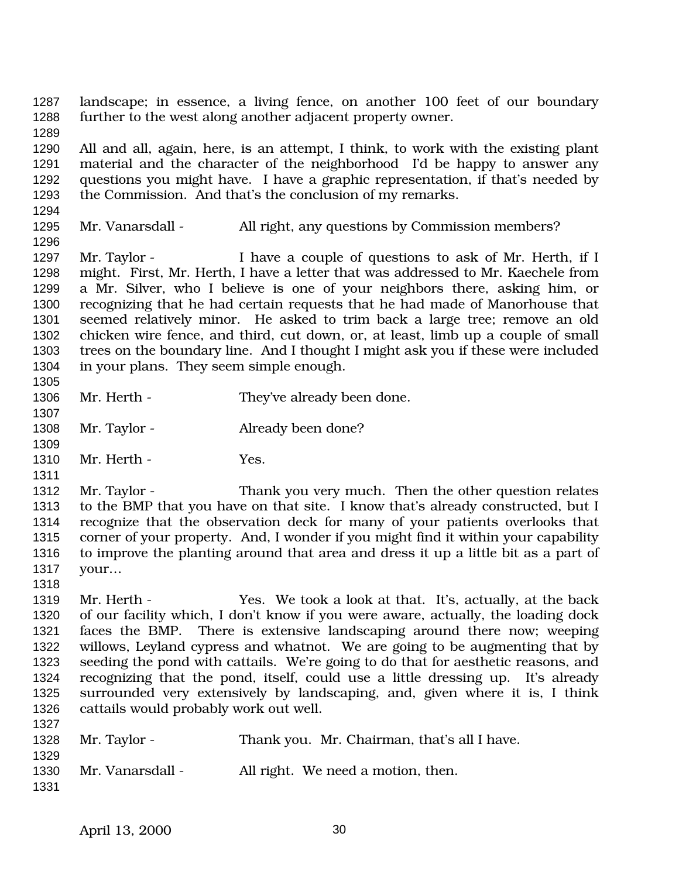landscape; in essence, a living fence, on another 100 feet of our boundary further to the west along another adjacent property owner. All and all, again, here, is an attempt, I think, to work with the existing plant material and the character of the neighborhood I'd be happy to answer any questions you might have. I have a graphic representation, if that's needed by the Commission. And that's the conclusion of my remarks. Mr. Vanarsdall - All right, any questions by Commission members? 1297 Mr. Taylor - I have a couple of questions to ask of Mr. Herth, if I might. First, Mr. Herth, I have a letter that was addressed to Mr. Kaechele from a Mr. Silver, who I believe is one of your neighbors there, asking him, or recognizing that he had certain requests that he had made of Manorhouse that seemed relatively minor. He asked to trim back a large tree; remove an old chicken wire fence, and third, cut down, or, at least, limb up a couple of small trees on the boundary line. And I thought I might ask you if these were included in your plans. They seem simple enough. 1306 Mr. Herth - They've already been done. 1308 Mr. Taylor - Already been done? Mr. Herth - Yes. 1312 Mr. Taylor - Thank you very much. Then the other question relates to the BMP that you have on that site. I know that's already constructed, but I recognize that the observation deck for many of your patients overlooks that corner of your property. And, I wonder if you might find it within your capability to improve the planting around that area and dress it up a little bit as a part of your… Mr. Herth - Yes. We took a look at that. It's, actually, at the back of our facility which, I don't know if you were aware, actually, the loading dock faces the BMP. There is extensive landscaping around there now; weeping willows, Leyland cypress and whatnot. We are going to be augmenting that by seeding the pond with cattails. We're going to do that for aesthetic reasons, and recognizing that the pond, itself, could use a little dressing up. It's already surrounded very extensively by landscaping, and, given where it is, I think cattails would probably work out well. 1328 Mr. Taylor - Thank you. Mr. Chairman, that's all I have. Mr. Vanarsdall - All right. We need a motion, then.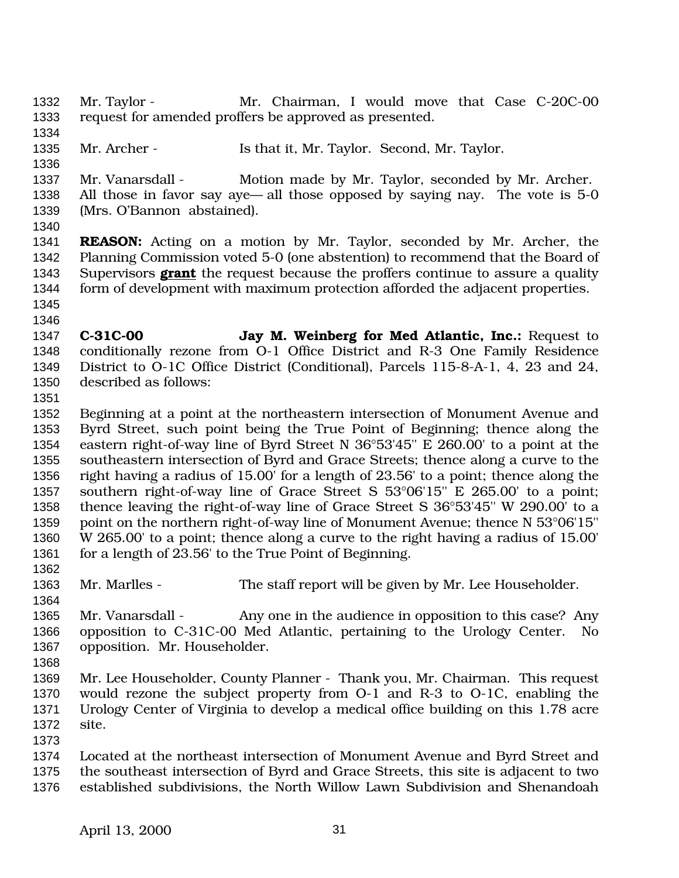- Mr. Taylor Mr. Chairman, I would move that Case C-20C-00 request for amended proffers be approved as presented.
- 

- Mr. Archer Is that it, Mr. Taylor. Second, Mr. Taylor.
- Mr. Vanarsdall Motion made by Mr. Taylor, seconded by Mr. Archer. All those in favor say aye— all those opposed by saying nay. The vote is 5-0 (Mrs. O'Bannon abstained).
- 

 **REASON:** Acting on a motion by Mr. Taylor, seconded by Mr. Archer, the Planning Commission voted 5-0 (one abstention) to recommend that the Board of Supervisors **grant** the request because the proffers continue to assure a quality form of development with maximum protection afforded the adjacent properties. 

- 
- **C-31C-00 Jay M. Weinberg for Med Atlantic, Inc.:** Request to conditionally rezone from O-1 Office District and R-3 One Family Residence District to O-1C Office District (Conditional), Parcels 115-8-A-1, 4, 23 and 24, described as follows:
- 

 Beginning at a point at the northeastern intersection of Monument Avenue and Byrd Street, such point being the True Point of Beginning; thence along the eastern right-of-way line of Byrd Street N 36°53'45'' E 260.00' to a point at the southeastern intersection of Byrd and Grace Streets; thence along a curve to the right having a radius of 15.00' for a length of 23.56' to a point; thence along the southern right-of-way line of Grace Street S 53°06'15'' E 265.00' to a point; thence leaving the right-of-way line of Grace Street S 36°53'45'' W 290.00' to a point on the northern right-of-way line of Monument Avenue; thence N 53°06'15'' W 265.00' to a point; thence along a curve to the right having a radius of 15.00' 1361 for a length of 23.56' to the True Point of Beginning. 

- 1363 Mr. Marlles The staff report will be given by Mr. Lee Householder.
- 1365 Mr. Vanarsdall Any one in the audience in opposition to this case? Any opposition to C-31C-00 Med Atlantic, pertaining to the Urology Center. No opposition. Mr. Householder.
- 
- Mr. Lee Householder, County Planner Thank you, Mr. Chairman. This request would rezone the subject property from O-1 and R-3 to O-1C, enabling the Urology Center of Virginia to develop a medical office building on this 1.78 acre site.
- 

 Located at the northeast intersection of Monument Avenue and Byrd Street and the southeast intersection of Byrd and Grace Streets, this site is adjacent to two established subdivisions, the North Willow Lawn Subdivision and Shenandoah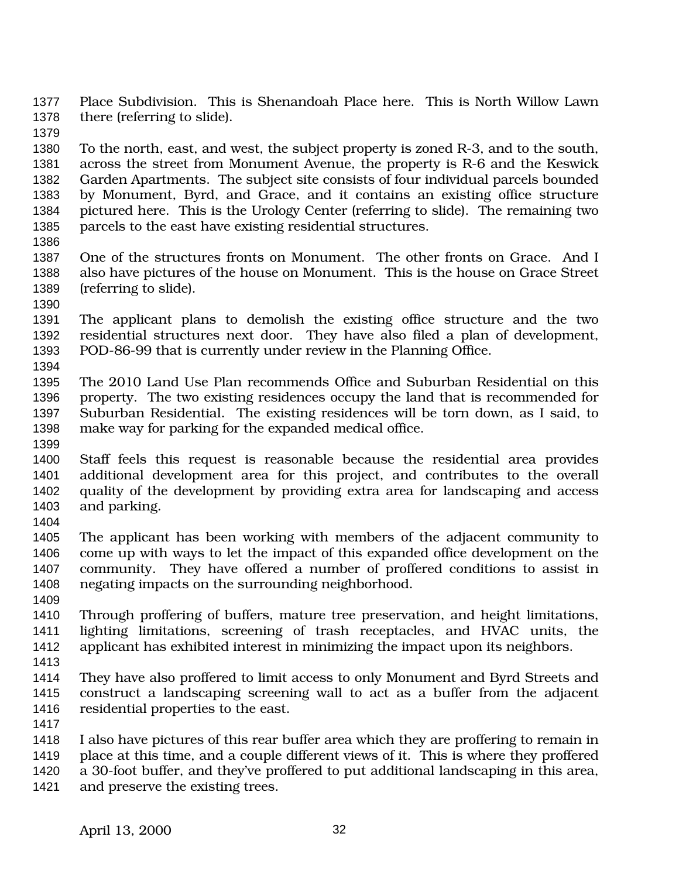- Place Subdivision. This is Shenandoah Place here. This is North Willow Lawn there (referring to slide).
- 

 To the north, east, and west, the subject property is zoned R-3, and to the south, across the street from Monument Avenue, the property is R-6 and the Keswick Garden Apartments. The subject site consists of four individual parcels bounded by Monument, Byrd, and Grace, and it contains an existing office structure pictured here. This is the Urology Center (referring to slide). The remaining two parcels to the east have existing residential structures.

- 
- One of the structures fronts on Monument. The other fronts on Grace. And I also have pictures of the house on Monument. This is the house on Grace Street (referring to slide).
- 
- The applicant plans to demolish the existing office structure and the two residential structures next door. They have also filed a plan of development, POD-86-99 that is currently under review in the Planning Office.
- 

 The 2010 Land Use Plan recommends Office and Suburban Residential on this property. The two existing residences occupy the land that is recommended for Suburban Residential. The existing residences will be torn down, as I said, to make way for parking for the expanded medical office.

 Staff feels this request is reasonable because the residential area provides additional development area for this project, and contributes to the overall quality of the development by providing extra area for landscaping and access and parking. 

 The applicant has been working with members of the adjacent community to come up with ways to let the impact of this expanded office development on the community. They have offered a number of proffered conditions to assist in negating impacts on the surrounding neighborhood.

 Through proffering of buffers, mature tree preservation, and height limitations, lighting limitations, screening of trash receptacles, and HVAC units, the applicant has exhibited interest in minimizing the impact upon its neighbors.

- 
- They have also proffered to limit access to only Monument and Byrd Streets and construct a landscaping screening wall to act as a buffer from the adjacent residential properties to the east.
- 
- I also have pictures of this rear buffer area which they are proffering to remain in place at this time, and a couple different views of it. This is where they proffered a 30-foot buffer, and they've proffered to put additional landscaping in this area,
- and preserve the existing trees.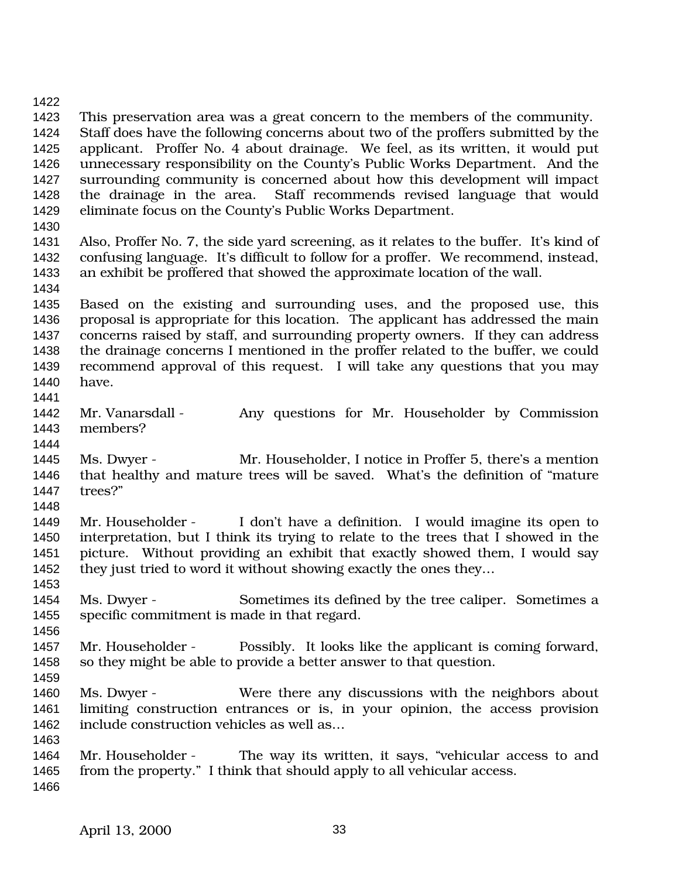This preservation area was a great concern to the members of the community. Staff does have the following concerns about two of the proffers submitted by the applicant. Proffer No. 4 about drainage. We feel, as its written, it would put unnecessary responsibility on the County's Public Works Department. And the surrounding community is concerned about how this development will impact the drainage in the area. Staff recommends revised language that would eliminate focus on the County's Public Works Department. Also, Proffer No. 7, the side yard screening, as it relates to the buffer. It's kind of confusing language. It's difficult to follow for a proffer. We recommend, instead, an exhibit be proffered that showed the approximate location of the wall. Based on the existing and surrounding uses, and the proposed use, this proposal is appropriate for this location. The applicant has addressed the main concerns raised by staff, and surrounding property owners. If they can address the drainage concerns I mentioned in the proffer related to the buffer, we could recommend approval of this request. I will take any questions that you may have. Mr. Vanarsdall - Any questions for Mr. Householder by Commission members? Ms. Dwyer - Mr. Householder, I notice in Proffer 5, there's a mention that healthy and mature trees will be saved. What's the definition of "mature trees?" Mr. Householder - I don't have a definition. I would imagine its open to interpretation, but I think its trying to relate to the trees that I showed in the picture. Without providing an exhibit that exactly showed them, I would say they just tried to word it without showing exactly the ones they… Ms. Dwyer - Sometimes its defined by the tree caliper. Sometimes a specific commitment is made in that regard. Mr. Householder - Possibly. It looks like the applicant is coming forward, so they might be able to provide a better answer to that question. Ms. Dwyer - Were there any discussions with the neighbors about limiting construction entrances or is, in your opinion, the access provision include construction vehicles as well as… Mr. Householder - The way its written, it says, "vehicular access to and 1465 from the property." I think that should apply to all vehicular access.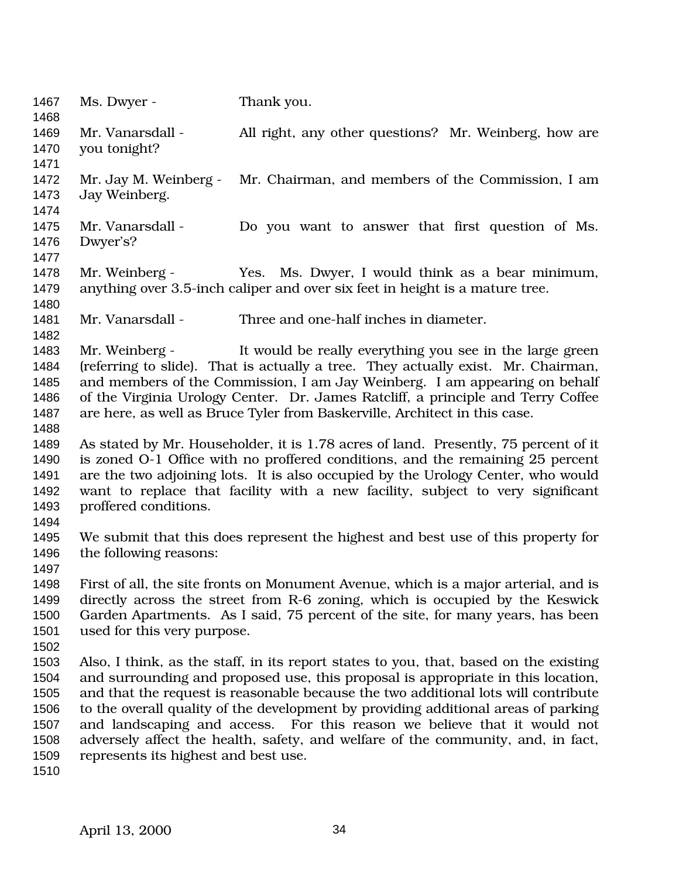| 1467<br>1468                                                 | Ms. Dwyer -                                                                                                                                                                                                                                                                                                                                                                                                                                                                                                                                                   | Thank you.                                            |  |
|--------------------------------------------------------------|---------------------------------------------------------------------------------------------------------------------------------------------------------------------------------------------------------------------------------------------------------------------------------------------------------------------------------------------------------------------------------------------------------------------------------------------------------------------------------------------------------------------------------------------------------------|-------------------------------------------------------|--|
| 1469<br>1470<br>1471                                         | Mr. Vanarsdall -<br>you tonight?                                                                                                                                                                                                                                                                                                                                                                                                                                                                                                                              | All right, any other questions? Mr. Weinberg, how are |  |
| 1472<br>1473<br>1474                                         | Mr. Jay M. Weinberg -<br>Jay Weinberg.                                                                                                                                                                                                                                                                                                                                                                                                                                                                                                                        | Mr. Chairman, and members of the Commission, I am     |  |
| 1475<br>1476<br>1477                                         | Mr. Vanarsdall -<br>Dwyer's?                                                                                                                                                                                                                                                                                                                                                                                                                                                                                                                                  | Do you want to answer that first question of Ms.      |  |
| 1478<br>1479<br>1480                                         | Mr. Weinberg -<br>Yes. Ms. Dwyer, I would think as a bear minimum,<br>anything over 3.5-inch caliper and over six feet in height is a mature tree.                                                                                                                                                                                                                                                                                                                                                                                                            |                                                       |  |
| 1481<br>1482                                                 | Mr. Vanarsdall -                                                                                                                                                                                                                                                                                                                                                                                                                                                                                                                                              | Three and one-half inches in diameter.                |  |
| 1483<br>1484<br>1485<br>1486<br>1487<br>1488                 | It would be really everything you see in the large green<br>Mr. Weinberg -<br>(referring to slide). That is actually a tree. They actually exist. Mr. Chairman,<br>and members of the Commission, I am Jay Weinberg. I am appearing on behalf<br>of the Virginia Urology Center. Dr. James Ratcliff, a principle and Terry Coffee<br>are here, as well as Bruce Tyler from Baskerville, Architect in this case.                                                                                                                                               |                                                       |  |
| 1489<br>1490<br>1491<br>1492<br>1493<br>1494                 | As stated by Mr. Householder, it is 1.78 acres of land. Presently, 75 percent of it<br>is zoned O-1 Office with no proffered conditions, and the remaining 25 percent<br>are the two adjoining lots. It is also occupied by the Urology Center, who would<br>want to replace that facility with a new facility, subject to very significant<br>proffered conditions.                                                                                                                                                                                          |                                                       |  |
| 1495<br>1496<br>1497                                         | We submit that this does represent the highest and best use of this property for<br>the following reasons:                                                                                                                                                                                                                                                                                                                                                                                                                                                    |                                                       |  |
| 1498<br>1499<br>1500<br>1501<br>1502                         | First of all, the site fronts on Monument Avenue, which is a major arterial, and is<br>directly across the street from R-6 zoning, which is occupied by the Keswick<br>Garden Apartments. As I said, 75 percent of the site, for many years, has been<br>used for this very purpose.                                                                                                                                                                                                                                                                          |                                                       |  |
| 1503<br>1504<br>1505<br>1506<br>1507<br>1508<br>1509<br>1510 | Also, I think, as the staff, in its report states to you, that, based on the existing<br>and surrounding and proposed use, this proposal is appropriate in this location,<br>and that the request is reasonable because the two additional lots will contribute<br>to the overall quality of the development by providing additional areas of parking<br>and landscaping and access. For this reason we believe that it would not<br>adversely affect the health, safety, and welfare of the community, and, in fact,<br>represents its highest and best use. |                                                       |  |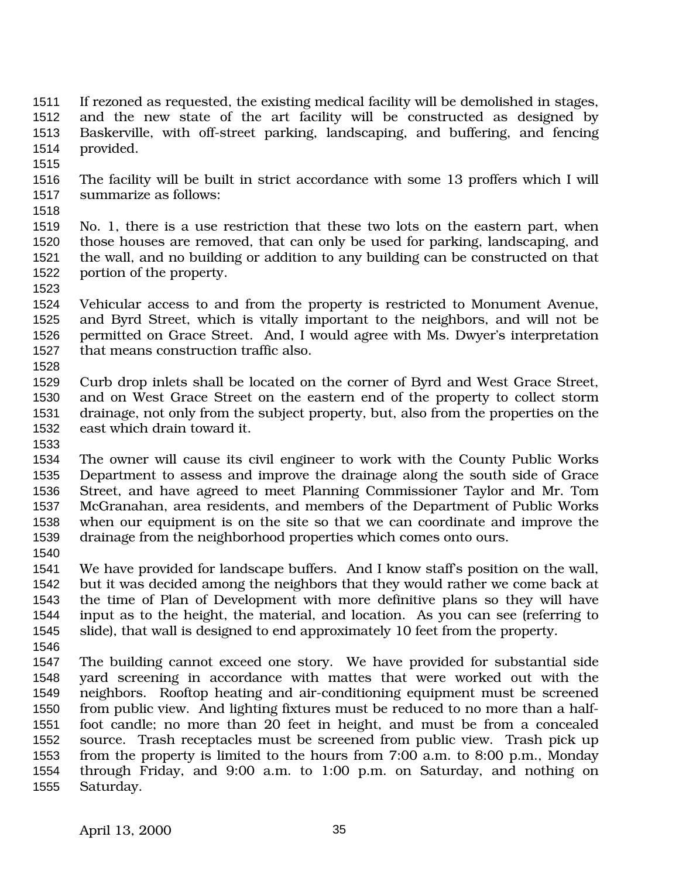- If rezoned as requested, the existing medical facility will be demolished in stages, and the new state of the art facility will be constructed as designed by Baskerville, with off-street parking, landscaping, and buffering, and fencing provided.
- 
- The facility will be built in strict accordance with some 13 proffers which I will summarize as follows:
- 

 No. 1, there is a use restriction that these two lots on the eastern part, when those houses are removed, that can only be used for parking, landscaping, and the wall, and no building or addition to any building can be constructed on that portion of the property.

 Vehicular access to and from the property is restricted to Monument Avenue, and Byrd Street, which is vitally important to the neighbors, and will not be permitted on Grace Street. And, I would agree with Ms. Dwyer's interpretation that means construction traffic also.

 Curb drop inlets shall be located on the corner of Byrd and West Grace Street, and on West Grace Street on the eastern end of the property to collect storm drainage, not only from the subject property, but, also from the properties on the east which drain toward it.

 The owner will cause its civil engineer to work with the County Public Works Department to assess and improve the drainage along the south side of Grace Street, and have agreed to meet Planning Commissioner Taylor and Mr. Tom McGranahan, area residents, and members of the Department of Public Works when our equipment is on the site so that we can coordinate and improve the drainage from the neighborhood properties which comes onto ours.

- We have provided for landscape buffers. And I know staff's position on the wall,
	- but it was decided among the neighbors that they would rather we come back at the time of Plan of Development with more definitive plans so they will have input as to the height, the material, and location. As you can see (referring to slide), that wall is designed to end approximately 10 feet from the property.
	- The building cannot exceed one story. We have provided for substantial side yard screening in accordance with mattes that were worked out with the neighbors. Rooftop heating and air-conditioning equipment must be screened from public view. And lighting fixtures must be reduced to no more than a half- foot candle; no more than 20 feet in height, and must be from a concealed source. Trash receptacles must be screened from public view. Trash pick up from the property is limited to the hours from 7:00 a.m. to 8:00 p.m., Monday through Friday, and 9:00 a.m. to 1:00 p.m. on Saturday, and nothing on Saturday.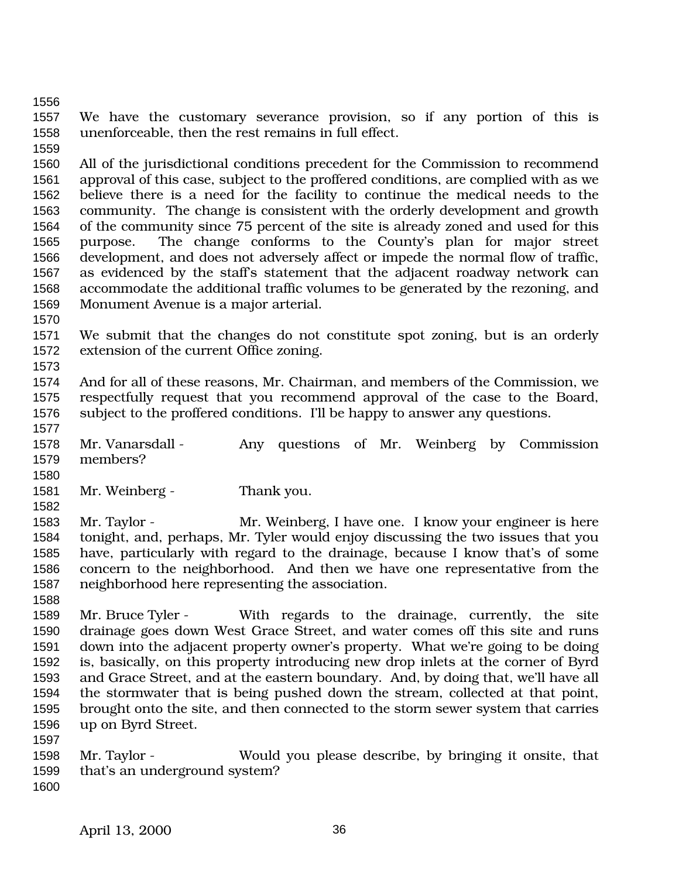We have the customary severance provision, so if any portion of this is unenforceable, then the rest remains in full effect.

 All of the jurisdictional conditions precedent for the Commission to recommend approval of this case, subject to the proffered conditions, are complied with as we believe there is a need for the facility to continue the medical needs to the community. The change is consistent with the orderly development and growth of the community since 75 percent of the site is already zoned and used for this purpose. The change conforms to the County's plan for major street development, and does not adversely affect or impede the normal flow of traffic, as evidenced by the staff's statement that the adjacent roadway network can accommodate the additional traffic volumes to be generated by the rezoning, and Monument Avenue is a major arterial.

 We submit that the changes do not constitute spot zoning, but is an orderly extension of the current Office zoning.

 And for all of these reasons, Mr. Chairman, and members of the Commission, we respectfully request that you recommend approval of the case to the Board, subject to the proffered conditions. I'll be happy to answer any questions.

 Mr. Vanarsdall - Any questions of Mr. Weinberg by Commission members? 

1581 Mr. Weinberg - Thank you.

 Mr. Taylor - Mr. Weinberg, I have one. I know your engineer is here tonight, and, perhaps, Mr. Tyler would enjoy discussing the two issues that you have, particularly with regard to the drainage, because I know that's of some concern to the neighborhood. And then we have one representative from the neighborhood here representing the association.

 Mr. Bruce Tyler - With regards to the drainage, currently, the site drainage goes down West Grace Street, and water comes off this site and runs down into the adjacent property owner's property. What we're going to be doing is, basically, on this property introducing new drop inlets at the corner of Byrd and Grace Street, and at the eastern boundary. And, by doing that, we'll have all the stormwater that is being pushed down the stream, collected at that point, brought onto the site, and then connected to the storm sewer system that carries up on Byrd Street.

 Mr. Taylor - Would you please describe, by bringing it onsite, that that's an underground system?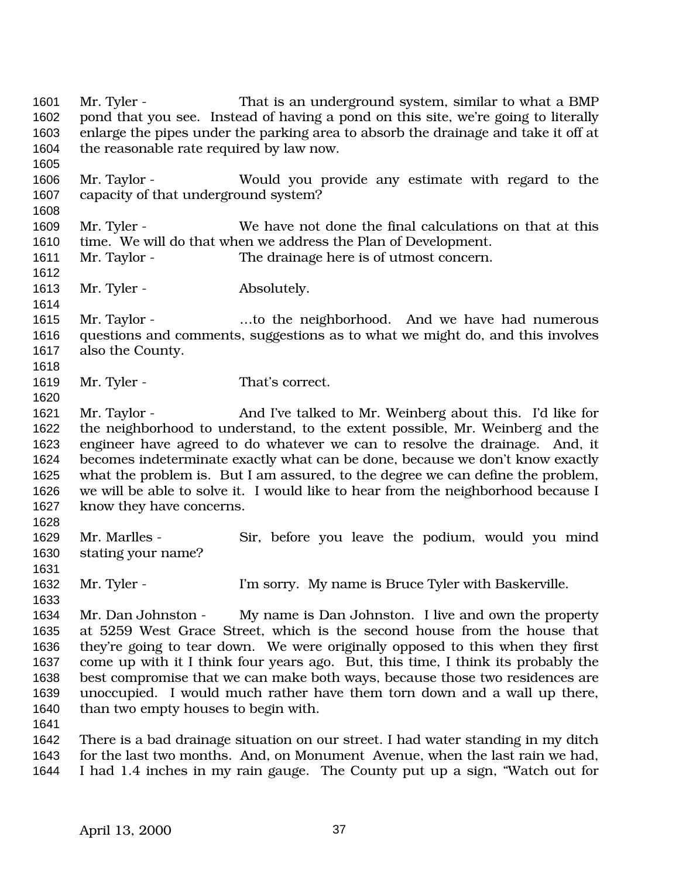Mr. Tyler - That is an underground system, similar to what a BMP pond that you see. Instead of having a pond on this site, we're going to literally enlarge the pipes under the parking area to absorb the drainage and take it off at the reasonable rate required by law now. Mr. Taylor - Would you provide any estimate with regard to the capacity of that underground system? Mr. Tyler - We have not done the final calculations on that at this time. We will do that when we address the Plan of Development. Mr. Taylor - The drainage here is of utmost concern. 1613 Mr. Tyler - Absolutely. Mr. Taylor - …to the neighborhood. And we have had numerous questions and comments, suggestions as to what we might do, and this involves also the County. 1619 Mr. Tyler - That's correct. Mr. Taylor - And I've talked to Mr. Weinberg about this. I'd like for the neighborhood to understand, to the extent possible, Mr. Weinberg and the engineer have agreed to do whatever we can to resolve the drainage. And, it becomes indeterminate exactly what can be done, because we don't know exactly what the problem is. But I am assured, to the degree we can define the problem, we will be able to solve it. I would like to hear from the neighborhood because I know they have concerns. Mr. Marlles - Sir, before you leave the podium, would you mind stating your name? 1632 Mr. Tyler - I'm sorry. My name is Bruce Tyler with Baskerville. Mr. Dan Johnston - My name is Dan Johnston. I live and own the property at 5259 West Grace Street, which is the second house from the house that they're going to tear down. We were originally opposed to this when they first come up with it I think four years ago. But, this time, I think its probably the best compromise that we can make both ways, because those two residences are unoccupied. I would much rather have them torn down and a wall up there, than two empty houses to begin with. There is a bad drainage situation on our street. I had water standing in my ditch for the last two months. And, on Monument Avenue, when the last rain we had, I had 1.4 inches in my rain gauge. The County put up a sign, "Watch out for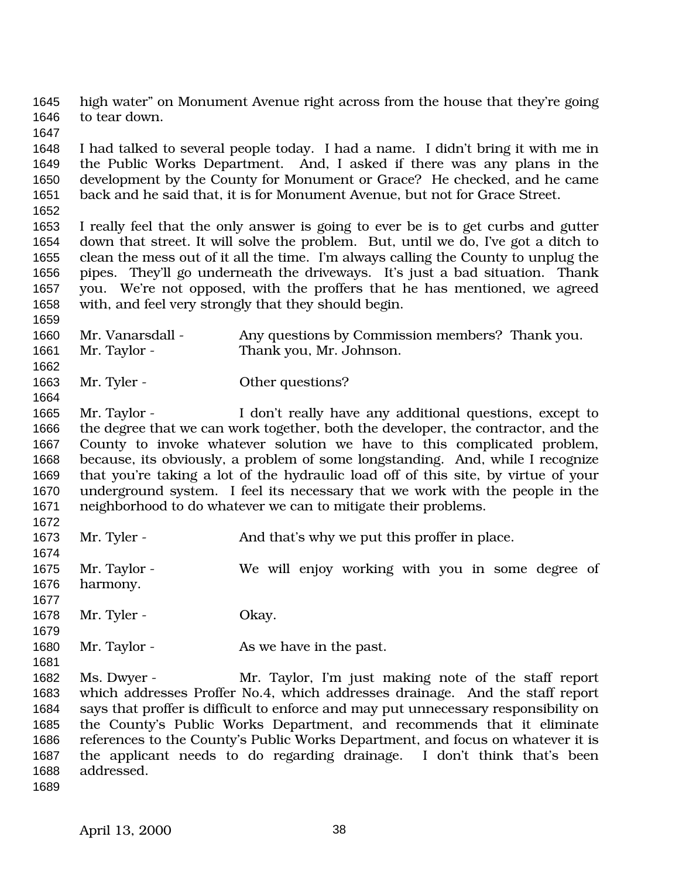high water" on Monument Avenue right across from the house that they're going to tear down.

 I had talked to several people today. I had a name. I didn't bring it with me in the Public Works Department. And, I asked if there was any plans in the development by the County for Monument or Grace? He checked, and he came back and he said that, it is for Monument Avenue, but not for Grace Street.

 I really feel that the only answer is going to ever be is to get curbs and gutter down that street. It will solve the problem. But, until we do, I've got a ditch to clean the mess out of it all the time. I'm always calling the County to unplug the pipes. They'll go underneath the driveways. It's just a bad situation. Thank you. We're not opposed, with the proffers that he has mentioned, we agreed with, and feel very strongly that they should begin.

1660 Mr. Vanarsdall - Any questions by Commission members? Thank you. Mr. Taylor - Thank you, Mr. Johnson.

1663 Mr. Tyler - Other questions?

 Mr. Taylor - I don't really have any additional questions, except to the degree that we can work together, both the developer, the contractor, and the County to invoke whatever solution we have to this complicated problem, because, its obviously, a problem of some longstanding. And, while I recognize that you're taking a lot of the hydraulic load off of this site, by virtue of your underground system. I feel its necessary that we work with the people in the neighborhood to do whatever we can to mitigate their problems. 

1673 Mr. Tyler - And that's why we put this proffer in place.

 Mr. Taylor - We will enjoy working with you in some degree of harmony.

 1678 Mr. Tyler - Okay.

1680 Mr. Taylor - As we have in the past.

 Ms. Dwyer - Mr. Taylor, I'm just making note of the staff report which addresses Proffer No.4, which addresses drainage. And the staff report says that proffer is difficult to enforce and may put unnecessary responsibility on the County's Public Works Department, and recommends that it eliminate references to the County's Public Works Department, and focus on whatever it is the applicant needs to do regarding drainage. I don't think that's been addressed.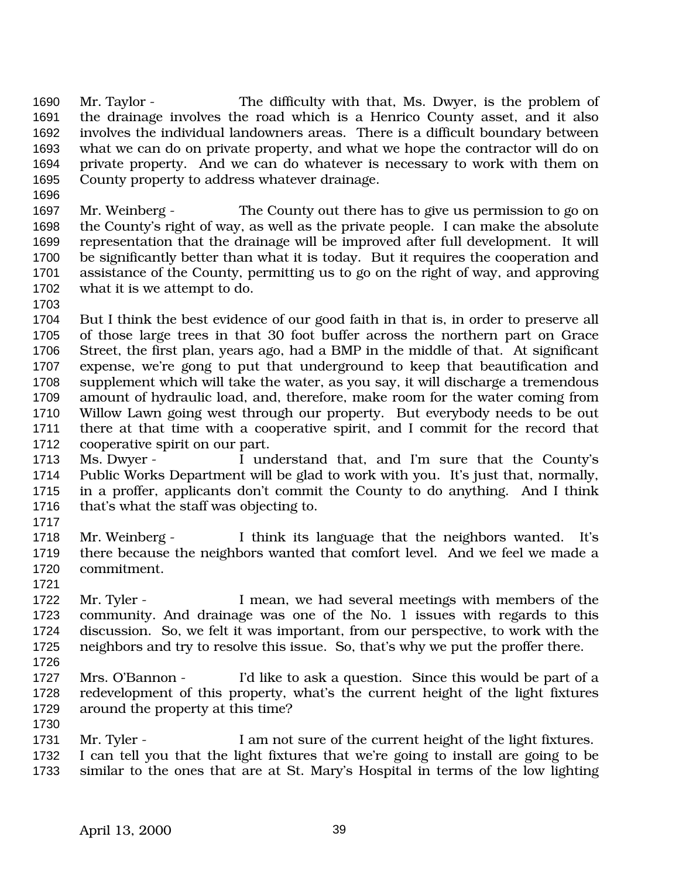Mr. Taylor - The difficulty with that, Ms. Dwyer, is the problem of the drainage involves the road which is a Henrico County asset, and it also involves the individual landowners areas. There is a difficult boundary between what we can do on private property, and what we hope the contractor will do on private property. And we can do whatever is necessary to work with them on County property to address whatever drainage.

 Mr. Weinberg - The County out there has to give us permission to go on the County's right of way, as well as the private people. I can make the absolute representation that the drainage will be improved after full development. It will be significantly better than what it is today. But it requires the cooperation and assistance of the County, permitting us to go on the right of way, and approving what it is we attempt to do.

 But I think the best evidence of our good faith in that is, in order to preserve all of those large trees in that 30 foot buffer across the northern part on Grace Street, the first plan, years ago, had a BMP in the middle of that. At significant expense, we're gong to put that underground to keep that beautification and supplement which will take the water, as you say, it will discharge a tremendous amount of hydraulic load, and, therefore, make room for the water coming from Willow Lawn going west through our property. But everybody needs to be out there at that time with a cooperative spirit, and I commit for the record that cooperative spirit on our part.

 Ms. Dwyer - I understand that, and I'm sure that the County's Public Works Department will be glad to work with you. It's just that, normally, in a proffer, applicants don't commit the County to do anything. And I think that's what the staff was objecting to.

 Mr. Weinberg - I think its language that the neighbors wanted. It's there because the neighbors wanted that comfort level. And we feel we made a commitment.

 Mr. Tyler - I mean, we had several meetings with members of the community. And drainage was one of the No. 1 issues with regards to this discussion. So, we felt it was important, from our perspective, to work with the neighbors and try to resolve this issue. So, that's why we put the proffer there.

 Mrs. O'Bannon - I'd like to ask a question. Since this would be part of a redevelopment of this property, what's the current height of the light fixtures around the property at this time?

1731 Mr. Tyler - I am not sure of the current height of the light fixtures. I can tell you that the light fixtures that we're going to install are going to be similar to the ones that are at St. Mary's Hospital in terms of the low lighting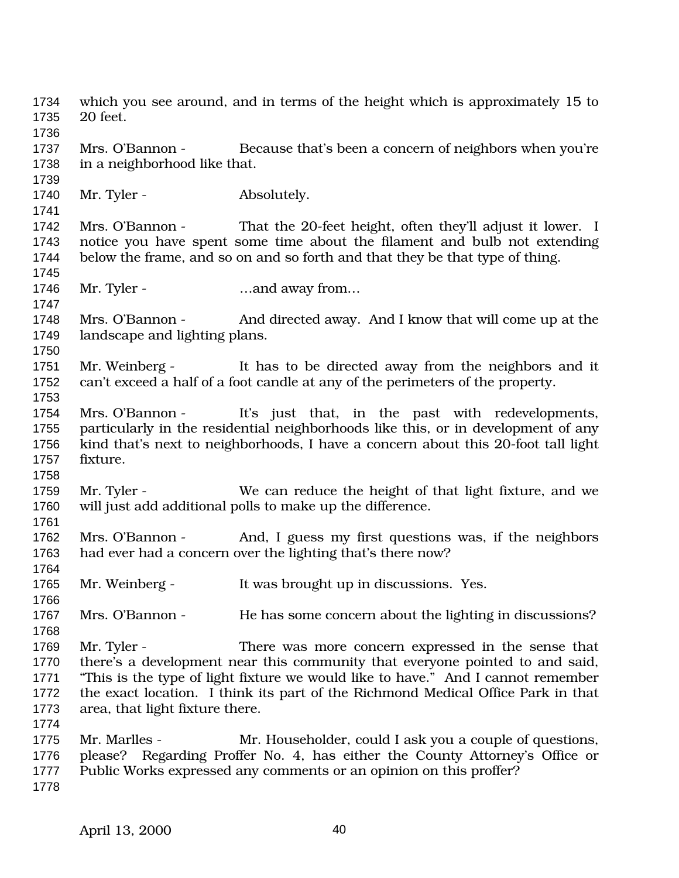which you see around, and in terms of the height which is approximately 15 to 20 feet. Mrs. O'Bannon - Because that's been a concern of neighbors when you're in a neighborhood like that. 1740 Mr. Tyler - Absolutely. Mrs. O'Bannon - That the 20-feet height, often they'll adjust it lower. I notice you have spent some time about the filament and bulb not extending below the frame, and so on and so forth and that they be that type of thing. 1746 Mr. Tyler - …and away from... Mrs. O'Bannon - And directed away. And I know that will come up at the landscape and lighting plans. Mr. Weinberg - It has to be directed away from the neighbors and it can't exceed a half of a foot candle at any of the perimeters of the property. Mrs. O'Bannon - It's just that, in the past with redevelopments, particularly in the residential neighborhoods like this, or in development of any kind that's next to neighborhoods, I have a concern about this 20-foot tall light fixture. Mr. Tyler - We can reduce the height of that light fixture, and we will just add additional polls to make up the difference. Mrs. O'Bannon - And, I guess my first questions was, if the neighbors had ever had a concern over the lighting that's there now? 1765 Mr. Weinberg - It was brought up in discussions. Yes. 1767 Mrs. O'Bannon - He has some concern about the lighting in discussions? Mr. Tyler - There was more concern expressed in the sense that there's a development near this community that everyone pointed to and said, "This is the type of light fixture we would like to have." And I cannot remember the exact location. I think its part of the Richmond Medical Office Park in that area, that light fixture there. Mr. Marlles - Mr. Householder, could I ask you a couple of questions, please? Regarding Proffer No. 4, has either the County Attorney's Office or Public Works expressed any comments or an opinion on this proffer?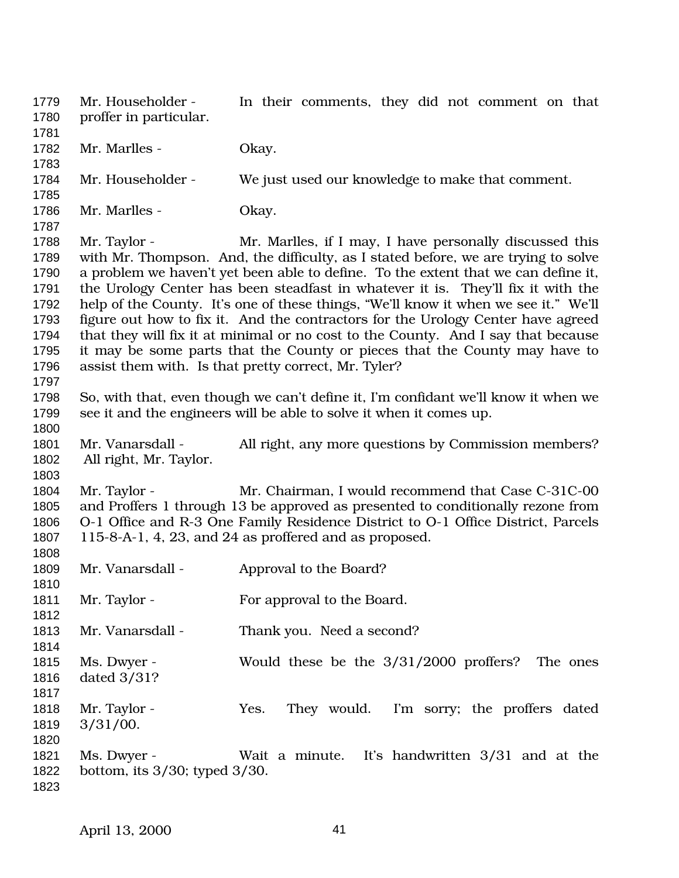Mr. Householder - In their comments, they did not comment on that proffer in particular. 1782 Mr. Marlles - Okay. Mr. Householder - We just used our knowledge to make that comment. 1786 Mr. Marlles - Okay. Mr. Taylor - Mr. Marlles, if I may, I have personally discussed this with Mr. Thompson. And, the difficulty, as I stated before, we are trying to solve a problem we haven't yet been able to define. To the extent that we can define it, the Urology Center has been steadfast in whatever it is. They'll fix it with the help of the County. It's one of these things, "We'll know it when we see it." We'll figure out how to fix it. And the contractors for the Urology Center have agreed that they will fix it at minimal or no cost to the County. And I say that because it may be some parts that the County or pieces that the County may have to assist them with. Is that pretty correct, Mr. Tyler? So, with that, even though we can't define it, I'm confidant we'll know it when we see it and the engineers will be able to solve it when it comes up. 1801 Mr. Vanarsdall - All right, any more questions by Commission members? All right, Mr. Taylor. Mr. Taylor - Mr. Chairman, I would recommend that Case C-31C-00 and Proffers 1 through 13 be approved as presented to conditionally rezone from O-1 Office and R-3 One Family Residence District to O-1 Office District, Parcels 115-8-A-1, 4, 23, and 24 as proffered and as proposed. 1809 Mr. Vanarsdall - Approval to the Board? 1811 Mr. Taylor - For approval to the Board. Mr. Vanarsdall - Thank you. Need a second? Ms. Dwyer - Would these be the 3/31/2000 proffers? The ones dated 3/31? Mr. Taylor - Yes. They would. I'm sorry; the proffers dated 3/31/00. Ms. Dwyer - Wait a minute. It's handwritten 3/31 and at the bottom, its 3/30; typed 3/30.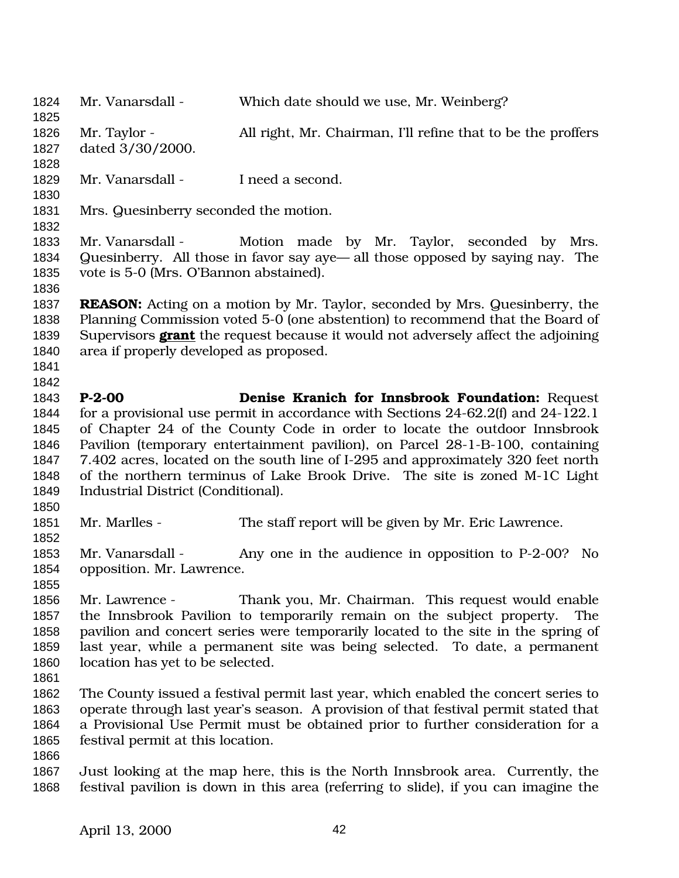Mr. Vanarsdall - Which date should we use, Mr. Weinberg? Mr. Taylor - All right, Mr. Chairman, I'll refine that to be the proffers dated 3/30/2000. Mr. Vanarsdall - I need a second. Mrs. Quesinberry seconded the motion. Mr. Vanarsdall - Motion made by Mr. Taylor, seconded by Mrs. Quesinberry. All those in favor say aye— all those opposed by saying nay. The vote is 5-0 (Mrs. O'Bannon abstained). **REASON:** Acting on a motion by Mr. Taylor, seconded by Mrs. Quesinberry, the Planning Commission voted 5-0 (one abstention) to recommend that the Board of Supervisors **grant** the request because it would not adversely affect the adjoining area if properly developed as proposed. **P-2-00 Denise Kranich for Innsbrook Foundation:** Request for a provisional use permit in accordance with Sections 24-62.2(f) and 24-122.1 of Chapter 24 of the County Code in order to locate the outdoor Innsbrook Pavilion (temporary entertainment pavilion), on Parcel 28-1-B-100, containing 7.402 acres, located on the south line of I-295 and approximately 320 feet north of the northern terminus of Lake Brook Drive. The site is zoned M-1C Light Industrial District (Conditional). Mr. Marlles - The staff report will be given by Mr. Eric Lawrence. Mr. Vanarsdall - Any one in the audience in opposition to P-2-00? No opposition. Mr. Lawrence. Mr. Lawrence - Thank you, Mr. Chairman. This request would enable the Innsbrook Pavilion to temporarily remain on the subject property. The pavilion and concert series were temporarily located to the site in the spring of last year, while a permanent site was being selected. To date, a permanent location has yet to be selected. The County issued a festival permit last year, which enabled the concert series to operate through last year's season. A provision of that festival permit stated that a Provisional Use Permit must be obtained prior to further consideration for a festival permit at this location. Just looking at the map here, this is the North Innsbrook area. Currently, the festival pavilion is down in this area (referring to slide), if you can imagine the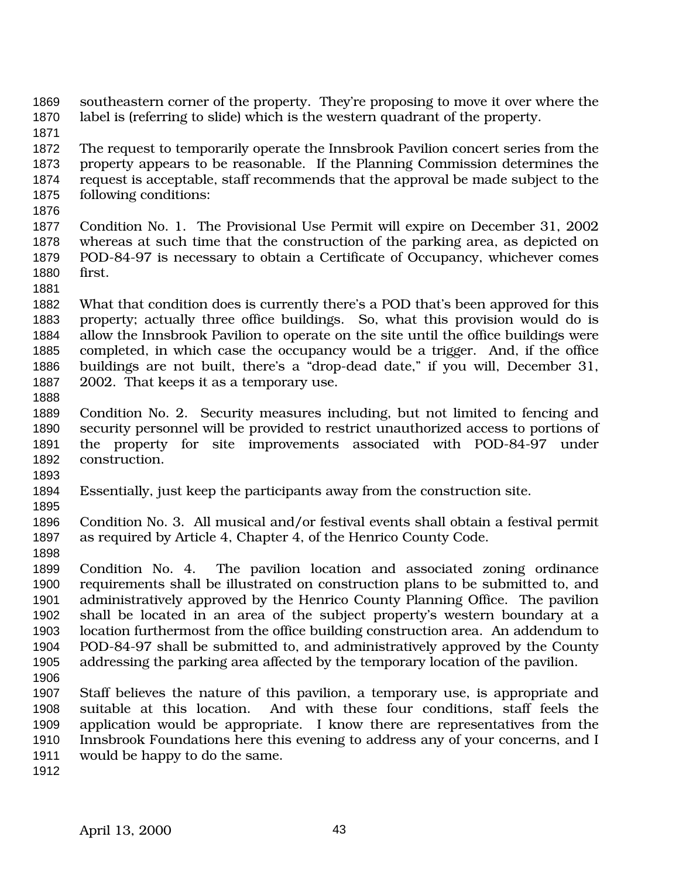- southeastern corner of the property. They're proposing to move it over where the label is (referring to slide) which is the western quadrant of the property.
- The request to temporarily operate the Innsbrook Pavilion concert series from the property appears to be reasonable. If the Planning Commission determines the request is acceptable, staff recommends that the approval be made subject to the following conditions:
- 

- Condition No. 1. The Provisional Use Permit will expire on December 31, 2002 whereas at such time that the construction of the parking area, as depicted on POD-84-97 is necessary to obtain a Certificate of Occupancy, whichever comes first.
- 
- What that condition does is currently there's a POD that's been approved for this property; actually three office buildings. So, what this provision would do is allow the Innsbrook Pavilion to operate on the site until the office buildings were completed, in which case the occupancy would be a trigger. And, if the office buildings are not built, there's a "drop-dead date," if you will, December 31, 2002. That keeps it as a temporary use.
- 
- Condition No. 2. Security measures including, but not limited to fencing and security personnel will be provided to restrict unauthorized access to portions of the property for site improvements associated with POD-84-97 under construction.
- 
- Essentially, just keep the participants away from the construction site.
- 
- Condition No. 3. All musical and/or festival events shall obtain a festival permit as required by Article 4, Chapter 4, of the Henrico County Code.
- Condition No. 4. The pavilion location and associated zoning ordinance requirements shall be illustrated on construction plans to be submitted to, and administratively approved by the Henrico County Planning Office. The pavilion shall be located in an area of the subject property's western boundary at a location furthermost from the office building construction area. An addendum to POD-84-97 shall be submitted to, and administratively approved by the County addressing the parking area affected by the temporary location of the pavilion.
- Staff believes the nature of this pavilion, a temporary use, is appropriate and suitable at this location. And with these four conditions, staff feels the application would be appropriate. I know there are representatives from the Innsbrook Foundations here this evening to address any of your concerns, and I would be happy to do the same.
-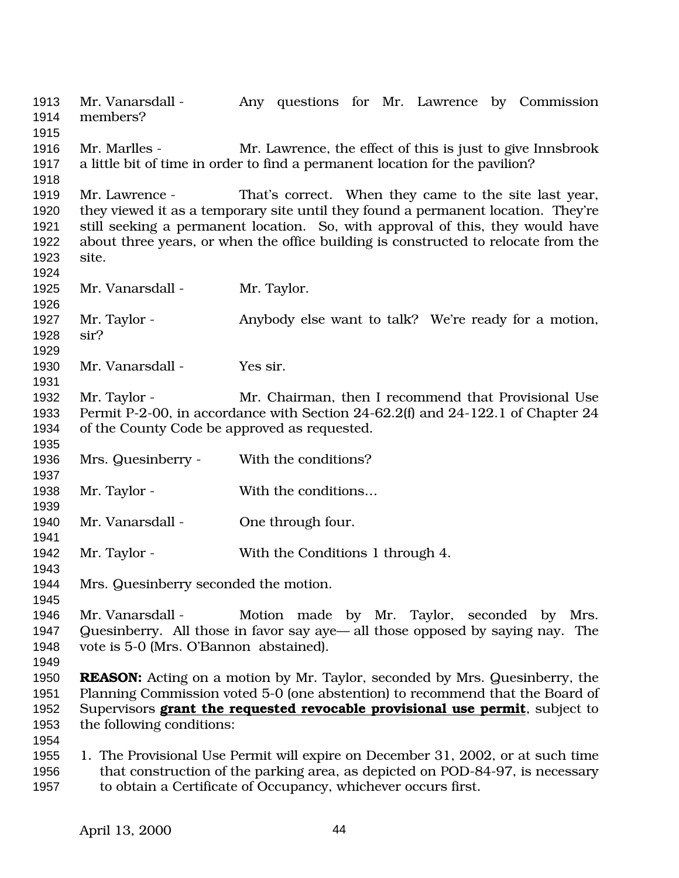Mr. Vanarsdall - Any questions for Mr. Lawrence by Commission members? Mr. Marlles - Mr. Lawrence, the effect of this is just to give Innsbrook a little bit of time in order to find a permanent location for the pavilion? Mr. Lawrence - That's correct. When they came to the site last year, they viewed it as a temporary site until they found a permanent location. They're still seeking a permanent location. So, with approval of this, they would have about three years, or when the office building is constructed to relocate from the site. 1925 Mr. Vanarsdall - Mr. Taylor. Mr. Taylor - Anybody else want to talk? We're ready for a motion, sir? Mr. Vanarsdall - Yes sir. 1932 Mr. Taylor - Mr. Chairman, then I recommend that Provisional Use Permit P-2-00, in accordance with Section 24-62.2(f) and 24-122.1 of Chapter 24 of the County Code be approved as requested. Mrs. Quesinberry - With the conditions? 1938 Mr. Taylor - With the conditions... 1940 Mr. Vanarsdall - One through four. 1942 Mr. Taylor - With the Conditions 1 through 4. Mrs. Quesinberry seconded the motion. 1946 Mr. Vanarsdall - Motion made by Mr. Taylor, seconded by Mrs. Quesinberry. All those in favor say aye— all those opposed by saying nay. The vote is 5-0 (Mrs. O'Bannon abstained). **REASON:** Acting on a motion by Mr. Taylor, seconded by Mrs. Quesinberry, the Planning Commission voted 5-0 (one abstention) to recommend that the Board of Supervisors **grant the requested revocable provisional use permit**, subject to the following conditions: 1. The Provisional Use Permit will expire on December 31, 2002, or at such time that construction of the parking area, as depicted on POD-84-97, is necessary to obtain a Certificate of Occupancy, whichever occurs first.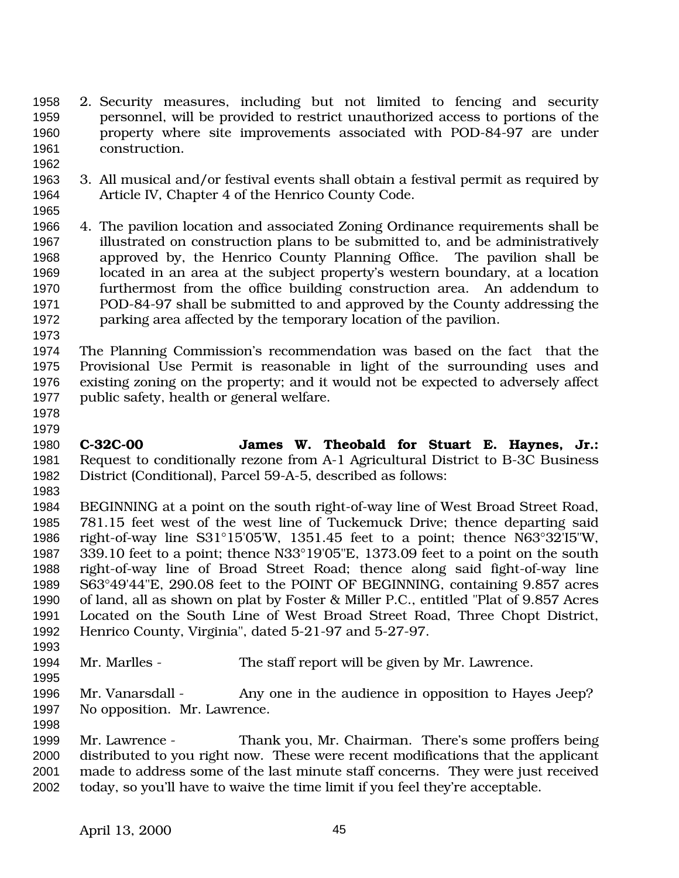- 2. Security measures, including but not limited to fencing and security personnel, will be provided to restrict unauthorized access to portions of the property where site improvements associated with POD-84-97 are under construction.
- 3. All musical and/or festival events shall obtain a festival permit as required by Article IV, Chapter 4 of the Henrico County Code.
- 

- 4. The pavilion location and associated Zoning Ordinance requirements shall be illustrated on construction plans to be submitted to, and be administratively approved by, the Henrico County Planning Office. The pavilion shall be located in an area at the subject property's western boundary, at a location furthermost from the office building construction area. An addendum to POD-84-97 shall be submitted to and approved by the County addressing the parking area affected by the temporary location of the pavilion.
- 

 The Planning Commission's recommendation was based on the fact that the Provisional Use Permit is reasonable in light of the surrounding uses and existing zoning on the property; and it would not be expected to adversely affect public safety, health or general welfare.

 

- **C-32C-00 James W. Theobald for Stuart E. Haynes, Jr.:** Request to conditionally rezone from A-1 Agricultural District to B-3C Business District (Conditional), Parcel 59-A-5, described as follows:
- BEGINNING at a point on the south right-of-way line of West Broad Street Road, 781.15 feet west of the west line of Tuckemuck Drive; thence departing said right-of-way line S31°15'05'W, 1351.45 feet to a point; thence N63°32'I5"W, 339.10 feet to a point; thence N33°19'05"E, 1373.09 feet to a point on the south right-of-way line of Broad Street Road; thence along said fight-of-way line S63°49'44"E, 290.08 feet to the POINT OF BEGINNING, containing 9.857 acres of land, all as shown on plat by Foster & Miller P.C., entitled "Plat of 9.857 Acres Located on the South Line of West Broad Street Road, Three Chopt District, Henrico County, Virginia", dated 5-21-97 and 5-27-97.

Mr. Marlles - The staff report will be given by Mr. Lawrence.

1996 Mr. Vanarsdall - Any one in the audience in opposition to Hayes Jeep? No opposition. Mr. Lawrence.

 Mr. Lawrence - Thank you, Mr. Chairman. There's some proffers being distributed to you right now. These were recent modifications that the applicant made to address some of the last minute staff concerns. They were just received today, so you'll have to waive the time limit if you feel they're acceptable.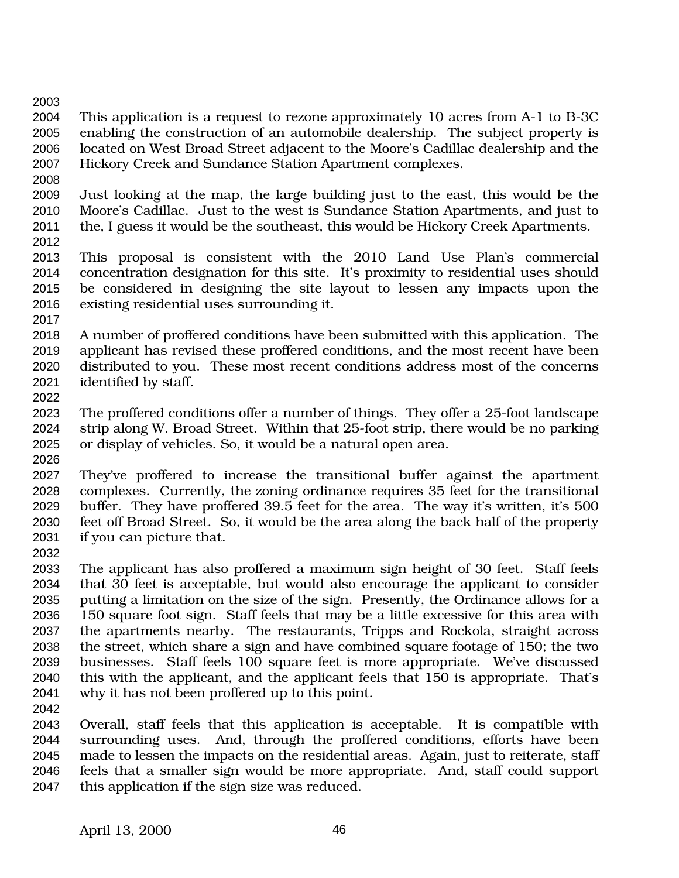- This application is a request to rezone approximately 10 acres from A-1 to B-3C enabling the construction of an automobile dealership. The subject property is located on West Broad Street adjacent to the Moore's Cadillac dealership and the Hickory Creek and Sundance Station Apartment complexes.
- Just looking at the map, the large building just to the east, this would be the Moore's Cadillac. Just to the west is Sundance Station Apartments, and just to the, I guess it would be the southeast, this would be Hickory Creek Apartments.
- 

- This proposal is consistent with the 2010 Land Use Plan's commercial concentration designation for this site. It's proximity to residential uses should be considered in designing the site layout to lessen any impacts upon the existing residential uses surrounding it.
- 
- A number of proffered conditions have been submitted with this application. The applicant has revised these proffered conditions, and the most recent have been distributed to you. These most recent conditions address most of the concerns identified by staff.
- The proffered conditions offer a number of things. They offer a 25-foot landscape strip along W. Broad Street. Within that 25-foot strip, there would be no parking or display of vehicles. So, it would be a natural open area.
- 
- They've proffered to increase the transitional buffer against the apartment complexes. Currently, the zoning ordinance requires 35 feet for the transitional buffer. They have proffered 39.5 feet for the area. The way it's written, it's 500 feet off Broad Street. So, it would be the area along the back half of the property if you can picture that.
- 

 The applicant has also proffered a maximum sign height of 30 feet. Staff feels that 30 feet is acceptable, but would also encourage the applicant to consider putting a limitation on the size of the sign. Presently, the Ordinance allows for a 150 square foot sign. Staff feels that may be a little excessive for this area with the apartments nearby. The restaurants, Tripps and Rockola, straight across the street, which share a sign and have combined square footage of 150; the two businesses. Staff feels 100 square feet is more appropriate. We've discussed this with the applicant, and the applicant feels that 150 is appropriate. That's why it has not been proffered up to this point.

 Overall, staff feels that this application is acceptable. It is compatible with surrounding uses. And, through the proffered conditions, efforts have been made to lessen the impacts on the residential areas. Again, just to reiterate, staff feels that a smaller sign would be more appropriate. And, staff could support this application if the sign size was reduced.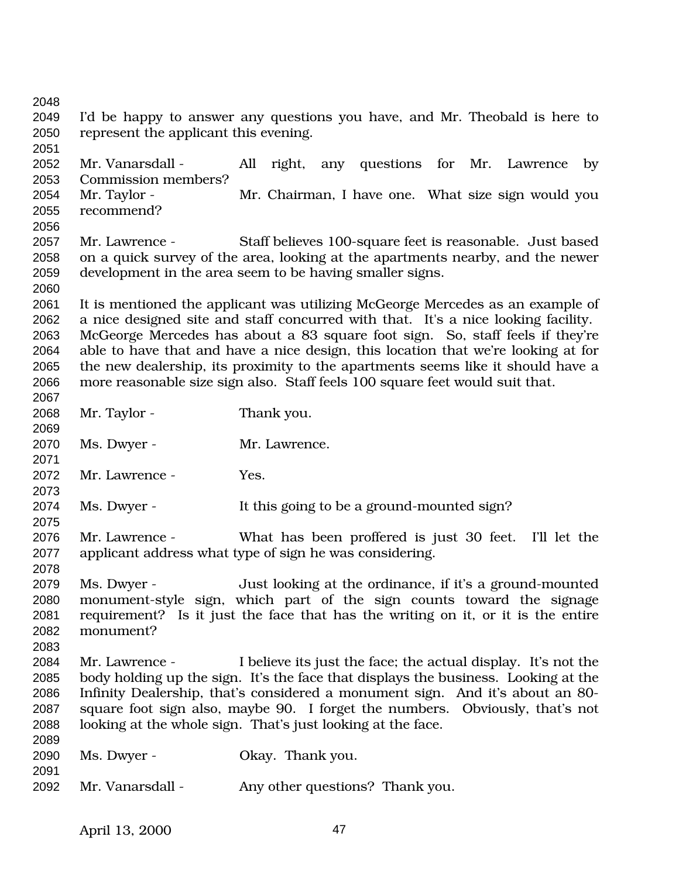I'd be happy to answer any questions you have, and Mr. Theobald is here to represent the applicant this evening. Mr. Vanarsdall - All right, any questions for Mr. Lawrence by Commission members? Mr. Taylor - Mr. Chairman, I have one. What size sign would you recommend? Mr. Lawrence - Staff believes 100-square feet is reasonable. Just based on a quick survey of the area, looking at the apartments nearby, and the newer development in the area seem to be having smaller signs. It is mentioned the applicant was utilizing McGeorge Mercedes as an example of a nice designed site and staff concurred with that. It's a nice looking facility. McGeorge Mercedes has about a 83 square foot sign. So, staff feels if they're able to have that and have a nice design, this location that we're looking at for the new dealership, its proximity to the apartments seems like it should have a more reasonable size sign also. Staff feels 100 square feet would suit that. Mr. Taylor - Thank you. Ms. Dwyer - Mr. Lawrence. Mr. Lawrence - Yes. Ms. Dwyer - It this going to be a ground-mounted sign? Mr. Lawrence - What has been proffered is just 30 feet. I'll let the applicant address what type of sign he was considering. Ms. Dwyer - Just looking at the ordinance, if it's a ground-mounted monument-style sign, which part of the sign counts toward the signage requirement? Is it just the face that has the writing on it, or it is the entire monument? Mr. Lawrence - I believe its just the face; the actual display. It's not the body holding up the sign. It's the face that displays the business. Looking at the Infinity Dealership, that's considered a monument sign. And it's about an 80- square foot sign also, maybe 90. I forget the numbers. Obviously, that's not looking at the whole sign. That's just looking at the face. Ms. Dwyer - Okay. Thank you. Mr. Vanarsdall - Any other questions? Thank you.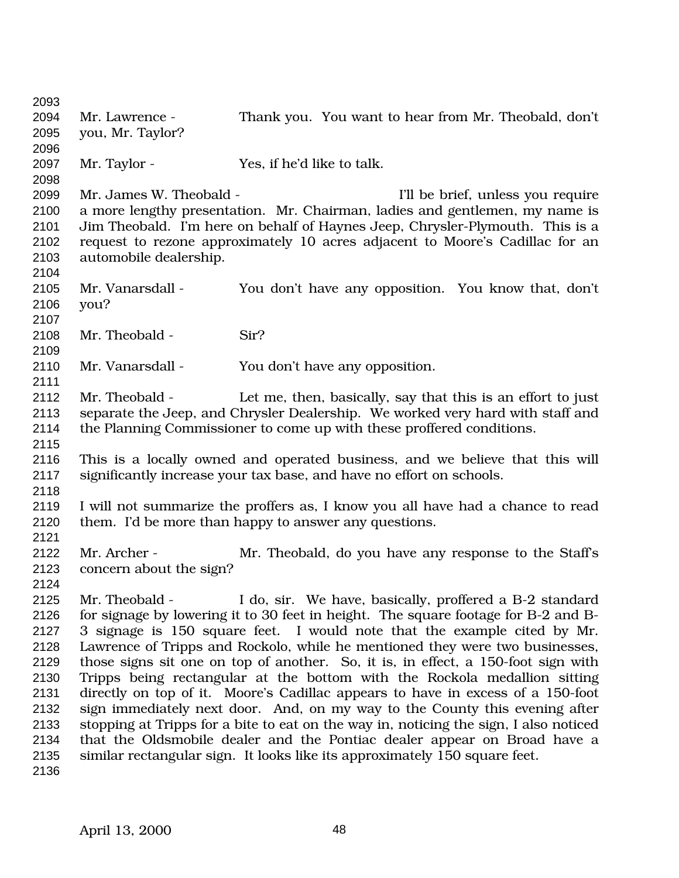Mr. Lawrence - Thank you. You want to hear from Mr. Theobald, don't you, Mr. Taylor? Mr. Taylor - Yes, if he'd like to talk. 2099 Mr. James W. Theobald - I'll be brief, unless you require a more lengthy presentation. Mr. Chairman, ladies and gentlemen, my name is Jim Theobald. I'm here on behalf of Haynes Jeep, Chrysler-Plymouth. This is a request to rezone approximately 10 acres adjacent to Moore's Cadillac for an automobile dealership. Mr. Vanarsdall - You don't have any opposition. You know that, don't you? 2108 Mr. Theobald - Sir? Mr. Vanarsdall - You don't have any opposition. Mr. Theobald - Let me, then, basically, say that this is an effort to just separate the Jeep, and Chrysler Dealership. We worked very hard with staff and the Planning Commissioner to come up with these proffered conditions. This is a locally owned and operated business, and we believe that this will significantly increase your tax base, and have no effort on schools. I will not summarize the proffers as, I know you all have had a chance to read them. I'd be more than happy to answer any questions. Mr. Archer - Mr. Theobald, do you have any response to the Staff's concern about the sign? Mr. Theobald - I do, sir. We have, basically, proffered a B-2 standard for signage by lowering it to 30 feet in height. The square footage for B-2 and B- 3 signage is 150 square feet. I would note that the example cited by Mr. Lawrence of Tripps and Rockolo, while he mentioned they were two businesses, those signs sit one on top of another. So, it is, in effect, a 150-foot sign with Tripps being rectangular at the bottom with the Rockola medallion sitting directly on top of it. Moore's Cadillac appears to have in excess of a 150-foot sign immediately next door. And, on my way to the County this evening after stopping at Tripps for a bite to eat on the way in, noticing the sign, I also noticed that the Oldsmobile dealer and the Pontiac dealer appear on Broad have a similar rectangular sign. It looks like its approximately 150 square feet.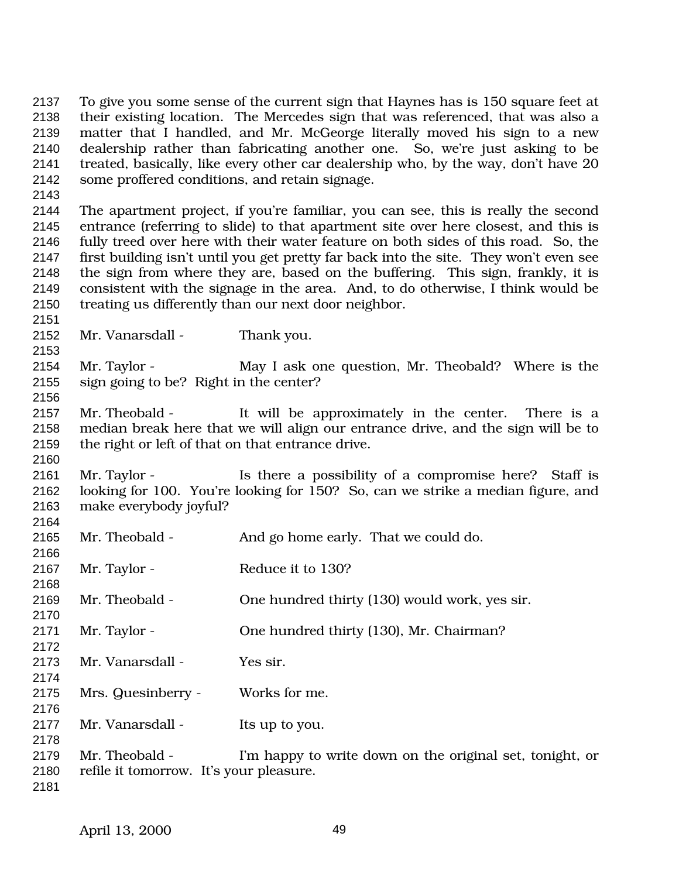To give you some sense of the current sign that Haynes has is 150 square feet at their existing location. The Mercedes sign that was referenced, that was also a matter that I handled, and Mr. McGeorge literally moved his sign to a new dealership rather than fabricating another one. So, we're just asking to be treated, basically, like every other car dealership who, by the way, don't have 20 some proffered conditions, and retain signage.

 The apartment project, if you're familiar, you can see, this is really the second entrance (referring to slide) to that apartment site over here closest, and this is fully treed over here with their water feature on both sides of this road. So, the first building isn't until you get pretty far back into the site. They won't even see the sign from where they are, based on the buffering. This sign, frankly, it is consistent with the signage in the area. And, to do otherwise, I think would be treating us differently than our next door neighbor.

2152 Mr. Vanarsdall - Thank you.

 Mr. Taylor - May I ask one question, Mr. Theobald? Where is the sign going to be? Right in the center?

 Mr. Theobald - It will be approximately in the center. There is a median break here that we will align our entrance drive, and the sign will be to the right or left of that on that entrance drive.

 Mr. Taylor - Is there a possibility of a compromise here? Staff is looking for 100. You're looking for 150? So, can we strike a median figure, and make everybody joyful? 

| 2165 | Mr. Theobald -                          | And go home early. That we could do.                     |
|------|-----------------------------------------|----------------------------------------------------------|
| 2166 |                                         |                                                          |
| 2167 | Mr. Taylor -                            | Reduce it to 130?                                        |
| 2168 |                                         |                                                          |
| 2169 | Mr. Theobald -                          | One hundred thirty (130) would work, yes sir.            |
| 2170 |                                         |                                                          |
| 2171 | Mr. Taylor -                            | One hundred thirty (130), Mr. Chairman?                  |
| 2172 |                                         |                                                          |
| 2173 | Mr. Vanarsdall -                        | Yes sir.                                                 |
| 2174 |                                         |                                                          |
| 2175 | Mrs. Quesinberry -                      | Works for me.                                            |
| 2176 |                                         |                                                          |
| 2177 | Mr. Vanarsdall -                        | Its up to you.                                           |
| 2178 |                                         |                                                          |
| 2179 | Mr. Theobald -                          | I'm happy to write down on the original set, tonight, or |
| 2180 | refile it tomorrow. It's your pleasure. |                                                          |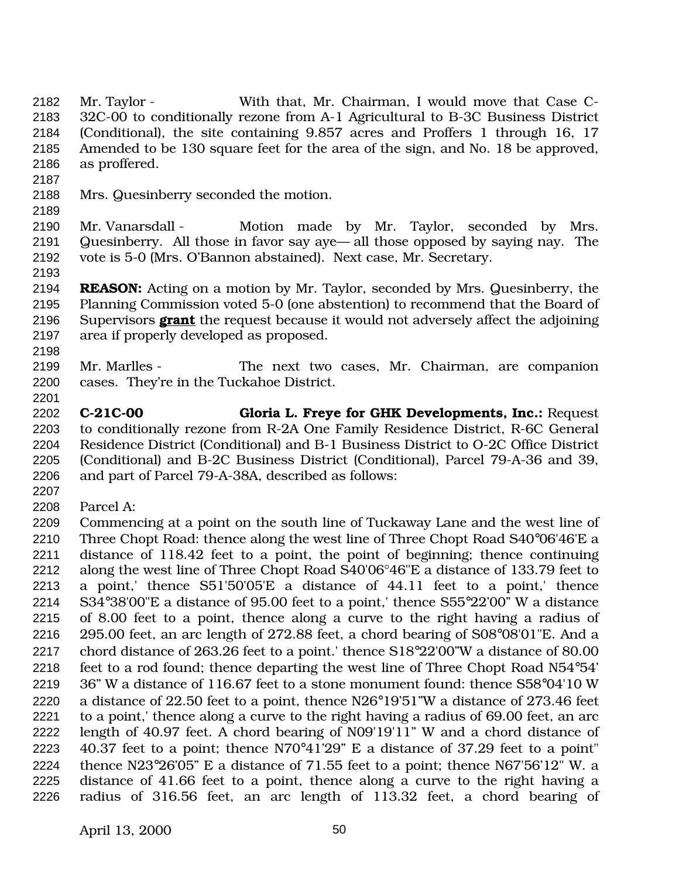Mr. Taylor - With that, Mr. Chairman, I would move that Case C- 32C-00 to conditionally rezone from A-1 Agricultural to B-3C Business District (Conditional), the site containing 9.857 acres and Proffers 1 through 16, 17 Amended to be 130 square feet for the area of the sign, and No. 18 be approved, as proffered.

- Mrs. Quesinberry seconded the motion.
- 

 Mr. Vanarsdall - Motion made by Mr. Taylor, seconded by Mrs. Quesinberry. All those in favor say aye— all those opposed by saying nay. The vote is 5-0 (Mrs. O'Bannon abstained). Next case, Mr. Secretary.

 **REASON:** Acting on a motion by Mr. Taylor, seconded by Mrs. Quesinberry, the Planning Commission voted 5-0 (one abstention) to recommend that the Board of Supervisors **grant** the request because it would not adversely affect the adjoining area if properly developed as proposed. 

 Mr. Marlles - The next two cases, Mr. Chairman, are companion cases. They're in the Tuckahoe District.

 **C-21C-00 Gloria L. Freye for GHK Developments, Inc.:** Request to conditionally rezone from R-2A One Family Residence District, R-6C General Residence District (Conditional) and B-1 Business District to O-2C Office District (Conditional) and B-2C Business District (Conditional), Parcel 79-A-36 and 39, and part of Parcel 79-A-38A, described as follows:

Parcel A:

 Commencing at a point on the south line of Tuckaway Lane and the west line of Three Chopt Road: thence along the west line of Three Chopt Road S40°06'46'E a distance of 118.42 feet to a point, the point of beginning; thence continuing along the west line of Three Chopt Road S40'06°46"E a distance of 133.79 feet to a point,' thence S51'50'05'E a distance of 44.11 feet to a point,' thence S34°38'00"E a distance of 95.00 feet to a point,' thence S55°22'00" W a distance of 8.00 feet to a point, thence along a curve to the right having a radius of 295.00 feet, an arc length of 272.88 feet, a chord bearing of S08°08'01"E. And a chord distance of 263.26 feet to a point.' thence S18°22'00"W a distance of 80.00 feet to a rod found; thence departing the west line of Three Chopt Road N54°54' 36" W a distance of 116.67 feet to a stone monument found: thence S58°04'10 W a distance of 22.50 feet to a point, thence N26°19'51"W a distance of 273.46 feet to a point,' thence along a curve to the right having a radius of 69.00 feet, an arc length of 40.97 feet. A chord bearing of N09'19'11" W and a chord distance of 40.37 feet to a point; thence N70°41'29" E a distance of 37.29 feet to a point" thence N23°26'05" E a distance of 71.55 feet to a point; thence N67'56'12" W. a distance of 41.66 feet to a point, thence along a curve to the right having a radius of 316.56 feet, an arc length of 113.32 feet, a chord bearing of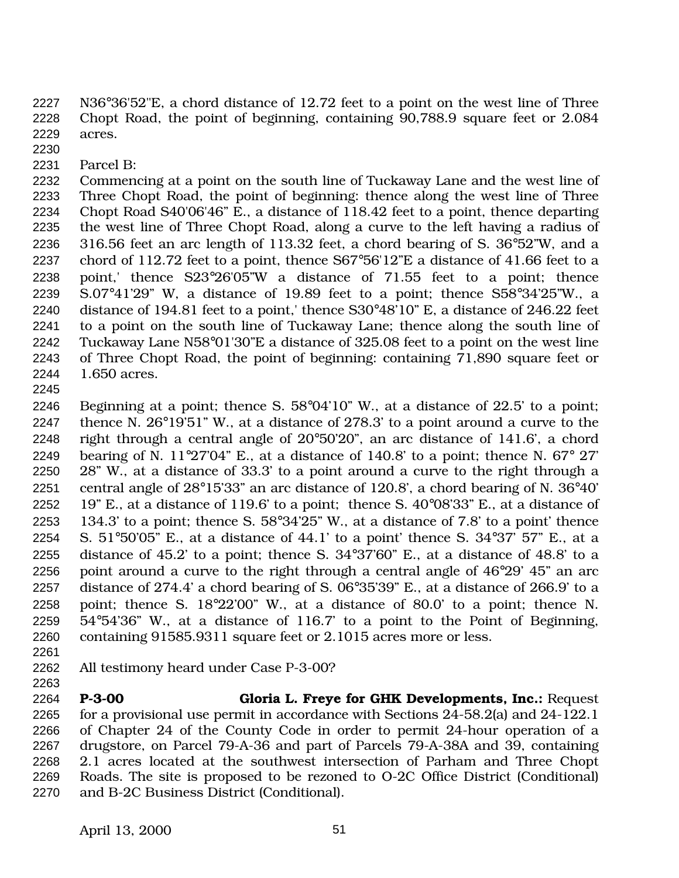N36°36'52"E, a chord distance of 12.72 feet to a point on the west line of Three Chopt Road, the point of beginning, containing 90,788.9 square feet or 2.084 acres.

- 
- Parcel B:

 Commencing at a point on the south line of Tuckaway Lane and the west line of Three Chopt Road, the point of beginning: thence along the west line of Three Chopt Road S40'06'46" E., a distance of 118.42 feet to a point, thence departing the west line of Three Chopt Road, along a curve to the left having a radius of 316.56 feet an arc length of 113.32 feet, a chord bearing of S. 36°52"W, and a chord of 112.72 feet to a point, thence S67°56'12"E a distance of 41.66 feet to a point,' thence S23°26'05"W a distance of 71.55 feet to a point; thence S.07°41'29" W, a distance of 19.89 feet to a point; thence S58°34'25"W., a distance of 194.81 feet to a point,' thence S30°48'10" E, a distance of 246.22 feet to a point on the south line of Tuckaway Lane; thence along the south line of Tuckaway Lane N58°01'30"E a distance of 325.08 feet to a point on the west line of Three Chopt Road, the point of beginning: containing 71,890 square feet or 1.650 acres.

 Beginning at a point; thence S. 58°04'10" W., at a distance of 22.5' to a point; thence N. 26°19'51" W., at a distance of 278.3' to a point around a curve to the right through a central angle of 20°50'20", an arc distance of 141.6', a chord 2249 bearing of N. 11°27'04" E., at a distance of 140.8' to a point; thence N.  $67^{\circ}$  27' 28" W., at a distance of 33.3' to a point around a curve to the right through a central angle of 28°15'33" an arc distance of 120.8', a chord bearing of N. 36°40' 2252 19" E., at a distance of 119.6' to a point; thence S.  $40^{\circ}08'33''$  E., at a distance of 2253 134.3' to a point; thence S.  $58^{\circ}3425$ " W., at a distance of 7.8' to a point' thence 2254 S.  $51^{\circ}50'05''$  E., at a distance of 44.1' to a point' thence S.  $34^{\circ}37'$   $57''$  E., at a distance of 45.2' to a point; thence S. 34°37'60" E., at a distance of 48.8' to a point around a curve to the right through a central angle of 46°29' 45" an arc distance of 274.4' a chord bearing of S. 06°35'39" E., at a distance of 266.9' to a point; thence S. 18°22'00" W., at a distance of 80.0' to a point; thence N. 54°54'36" W., at a distance of 116.7' to a point to the Point of Beginning, containing 91585.9311 square feet or 2.1015 acres more or less.

 All testimony heard under Case P-3-00? 

 **P-3-00 Gloria L. Freye for GHK Developments, Inc.:** Request for a provisional use permit in accordance with Sections 24-58.2(a) and 24-122.1 of Chapter 24 of the County Code in order to permit 24-hour operation of a drugstore, on Parcel 79-A-36 and part of Parcels 79-A-38A and 39, containing 2.1 acres located at the southwest intersection of Parham and Three Chopt Roads. The site is proposed to be rezoned to O-2C Office District (Conditional) and B-2C Business District (Conditional).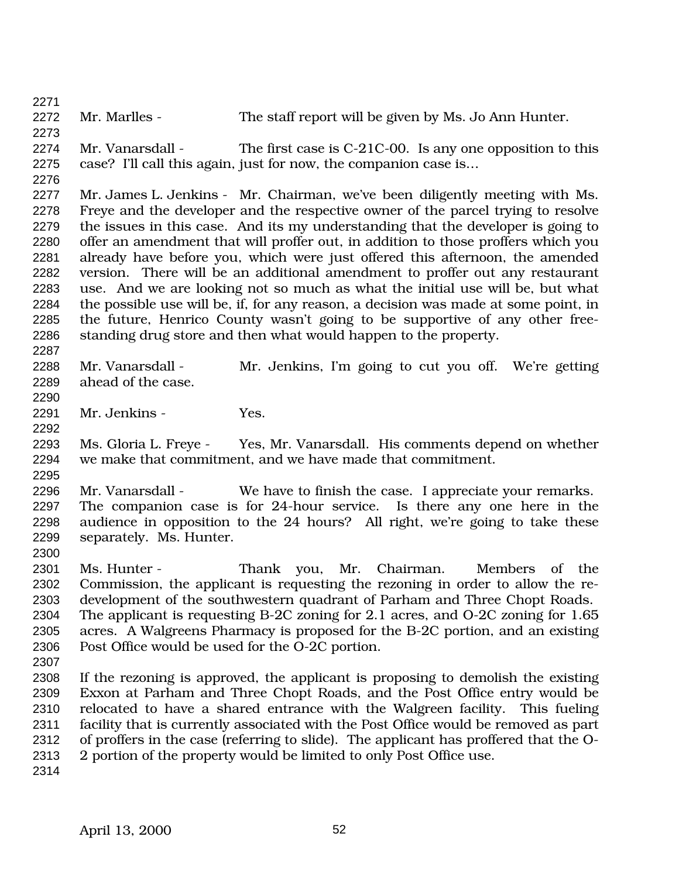2272 Mr. Marlles - The staff report will be given by Ms. Jo Ann Hunter. Mr. Vanarsdall - The first case is C-21C-00. Is any one opposition to this case? I'll call this again, just for now, the companion case is… Mr. James L. Jenkins - Mr. Chairman, we've been diligently meeting with Ms. Freye and the developer and the respective owner of the parcel trying to resolve the issues in this case. And its my understanding that the developer is going to offer an amendment that will proffer out, in addition to those proffers which you already have before you, which were just offered this afternoon, the amended version. There will be an additional amendment to proffer out any restaurant use. And we are looking not so much as what the initial use will be, but what the possible use will be, if, for any reason, a decision was made at some point, in the future, Henrico County wasn't going to be supportive of any other free- standing drug store and then what would happen to the property. Mr. Vanarsdall - Mr. Jenkins, I'm going to cut you off. We're getting ahead of the case. Mr. Jenkins - Yes. Ms. Gloria L. Freye - Yes, Mr. Vanarsdall. His comments depend on whether we make that commitment, and we have made that commitment. Mr. Vanarsdall - We have to finish the case. I appreciate your remarks. The companion case is for 24-hour service. Is there any one here in the audience in opposition to the 24 hours? All right, we're going to take these separately. Ms. Hunter. Ms. Hunter - Thank you, Mr. Chairman. Members of the Commission, the applicant is requesting the rezoning in order to allow the re- development of the southwestern quadrant of Parham and Three Chopt Roads. The applicant is requesting B-2C zoning for 2.1 acres, and O-2C zoning for 1.65 acres. A Walgreens Pharmacy is proposed for the B-2C portion, and an existing Post Office would be used for the O-2C portion. If the rezoning is approved, the applicant is proposing to demolish the existing Exxon at Parham and Three Chopt Roads, and the Post Office entry would be relocated to have a shared entrance with the Walgreen facility. This fueling facility that is currently associated with the Post Office would be removed as part of proffers in the case (referring to slide). The applicant has proffered that the O- 2 portion of the property would be limited to only Post Office use.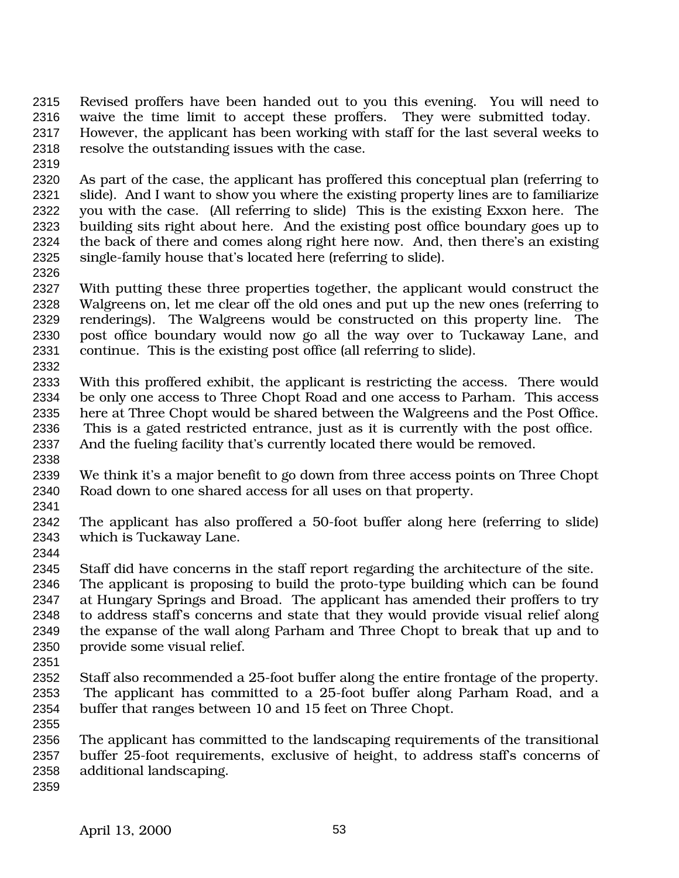- Revised proffers have been handed out to you this evening. You will need to waive the time limit to accept these proffers. They were submitted today. However, the applicant has been working with staff for the last several weeks to resolve the outstanding issues with the case.
- 

 As part of the case, the applicant has proffered this conceptual plan (referring to slide). And I want to show you where the existing property lines are to familiarize you with the case. (All referring to slide) This is the existing Exxon here. The building sits right about here. And the existing post office boundary goes up to the back of there and comes along right here now. And, then there's an existing single-family house that's located here (referring to slide).

 With putting these three properties together, the applicant would construct the Walgreens on, let me clear off the old ones and put up the new ones (referring to renderings). The Walgreens would be constructed on this property line. The post office boundary would now go all the way over to Tuckaway Lane, and continue. This is the existing post office (all referring to slide).

 With this proffered exhibit, the applicant is restricting the access. There would be only one access to Three Chopt Road and one access to Parham. This access here at Three Chopt would be shared between the Walgreens and the Post Office. This is a gated restricted entrance, just as it is currently with the post office. And the fueling facility that's currently located there would be removed.

 We think it's a major benefit to go down from three access points on Three Chopt Road down to one shared access for all uses on that property.

 The applicant has also proffered a 50-foot buffer along here (referring to slide) which is Tuckaway Lane.

Staff did have concerns in the staff report regarding the architecture of the site.

 The applicant is proposing to build the proto-type building which can be found at Hungary Springs and Broad. The applicant has amended their proffers to try to address staff's concerns and state that they would provide visual relief along the expanse of the wall along Parham and Three Chopt to break that up and to provide some visual relief.

 Staff also recommended a 25-foot buffer along the entire frontage of the property. The applicant has committed to a 25-foot buffer along Parham Road, and a buffer that ranges between 10 and 15 feet on Three Chopt.

 The applicant has committed to the landscaping requirements of the transitional buffer 25-foot requirements, exclusive of height, to address staff's concerns of additional landscaping.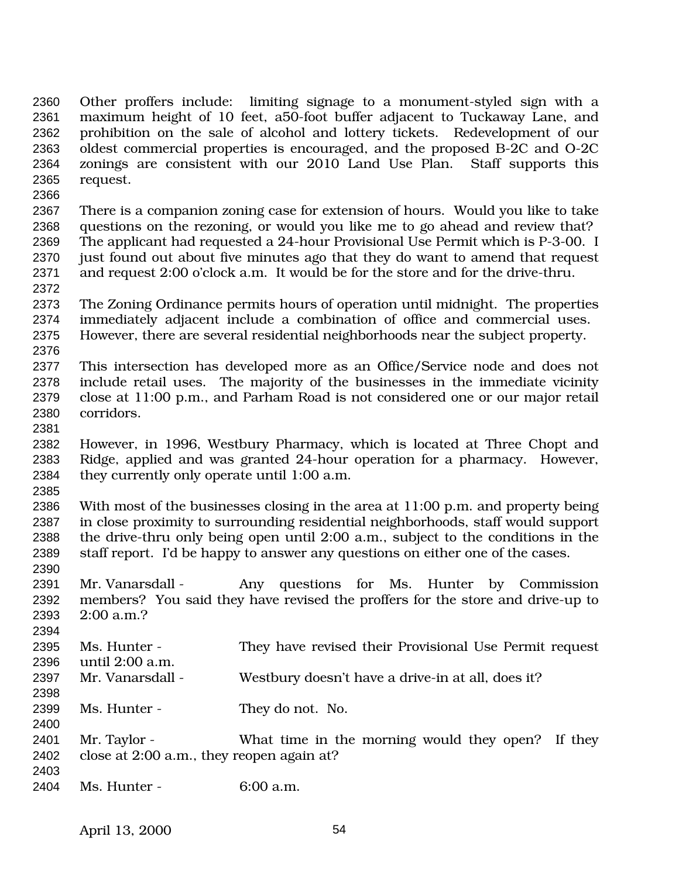Other proffers include: limiting signage to a monument-styled sign with a maximum height of 10 feet, a50-foot buffer adjacent to Tuckaway Lane, and prohibition on the sale of alcohol and lottery tickets. Redevelopment of our oldest commercial properties is encouraged, and the proposed B-2C and O-2C zonings are consistent with our 2010 Land Use Plan. Staff supports this request. 

 There is a companion zoning case for extension of hours. Would you like to take questions on the rezoning, or would you like me to go ahead and review that? The applicant had requested a 24-hour Provisional Use Permit which is P-3-00. I just found out about five minutes ago that they do want to amend that request and request 2:00 o'clock a.m. It would be for the store and for the drive-thru. 

 The Zoning Ordinance permits hours of operation until midnight. The properties immediately adjacent include a combination of office and commercial uses. However, there are several residential neighborhoods near the subject property. 

 This intersection has developed more as an Office/Service node and does not include retail uses. The majority of the businesses in the immediate vicinity close at 11:00 p.m., and Parham Road is not considered one or our major retail corridors.

 However, in 1996, Westbury Pharmacy, which is located at Three Chopt and Ridge, applied and was granted 24-hour operation for a pharmacy. However, they currently only operate until 1:00 a.m.

 With most of the businesses closing in the area at 11:00 p.m. and property being in close proximity to surrounding residential neighborhoods, staff would support the drive-thru only being open until 2:00 a.m., subject to the conditions in the staff report. I'd be happy to answer any questions on either one of the cases.

 Mr. Vanarsdall - Any questions for Ms. Hunter by Commission members? You said they have revised the proffers for the store and drive-up to 2:00 a.m.? 

|                                           | They have revised their Provisional Use Permit request |
|-------------------------------------------|--------------------------------------------------------|
| until 2:00 a.m.                           |                                                        |
| Mr. Vanarsdall -                          | Westbury doesn't have a drive-in at all, does it?      |
|                                           |                                                        |
|                                           | They do not. No.                                       |
|                                           | What time in the morning would they open? If they      |
| close at 2:00 a.m., they reopen again at? |                                                        |
|                                           |                                                        |
|                                           | Ms. Hunter -<br>Ms. Hunter -<br>Mr. Taylor -           |

Ms. Hunter - 6:00 a.m.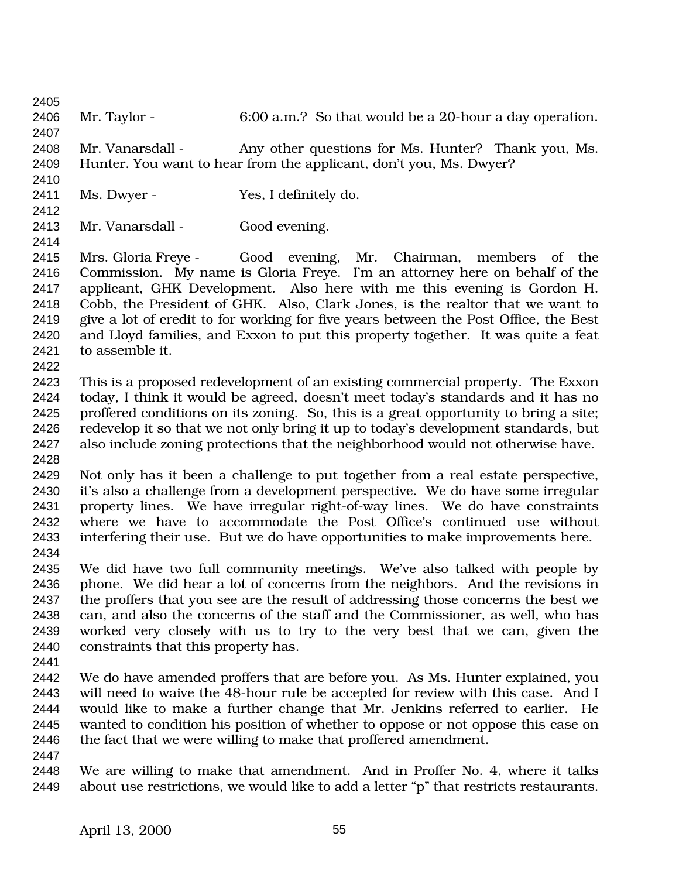Mr. Taylor - 6:00 a.m.? So that would be a 20-hour a day operation. Mr. Vanarsdall - Any other questions for Ms. Hunter? Thank you, Ms. Hunter. You want to hear from the applicant, don't you, Ms. Dwyer? Ms. Dwyer - Yes, I definitely do. 2413 Mr. Vanarsdall - Good evening. Mrs. Gloria Freye - Good evening, Mr. Chairman, members of the Commission. My name is Gloria Freye. I'm an attorney here on behalf of the applicant, GHK Development. Also here with me this evening is Gordon H. Cobb, the President of GHK. Also, Clark Jones, is the realtor that we want to give a lot of credit to for working for five years between the Post Office, the Best and Lloyd families, and Exxon to put this property together. It was quite a feat to assemble it. This is a proposed redevelopment of an existing commercial property. The Exxon today, I think it would be agreed, doesn't meet today's standards and it has no proffered conditions on its zoning. So, this is a great opportunity to bring a site; redevelop it so that we not only bring it up to today's development standards, but also include zoning protections that the neighborhood would not otherwise have. Not only has it been a challenge to put together from a real estate perspective, it's also a challenge from a development perspective. We do have some irregular property lines. We have irregular right-of-way lines. We do have constraints where we have to accommodate the Post Office's continued use without interfering their use. But we do have opportunities to make improvements here. We did have two full community meetings. We've also talked with people by phone. We did hear a lot of concerns from the neighbors. And the revisions in the proffers that you see are the result of addressing those concerns the best we can, and also the concerns of the staff and the Commissioner, as well, who has worked very closely with us to try to the very best that we can, given the constraints that this property has. We do have amended proffers that are before you. As Ms. Hunter explained, you will need to waive the 48-hour rule be accepted for review with this case. And I would like to make a further change that Mr. Jenkins referred to earlier. He wanted to condition his position of whether to oppose or not oppose this case on 2446 the fact that we were willing to make that proffered amendment. We are willing to make that amendment. And in Proffer No. 4, where it talks about use restrictions, we would like to add a letter "p" that restricts restaurants.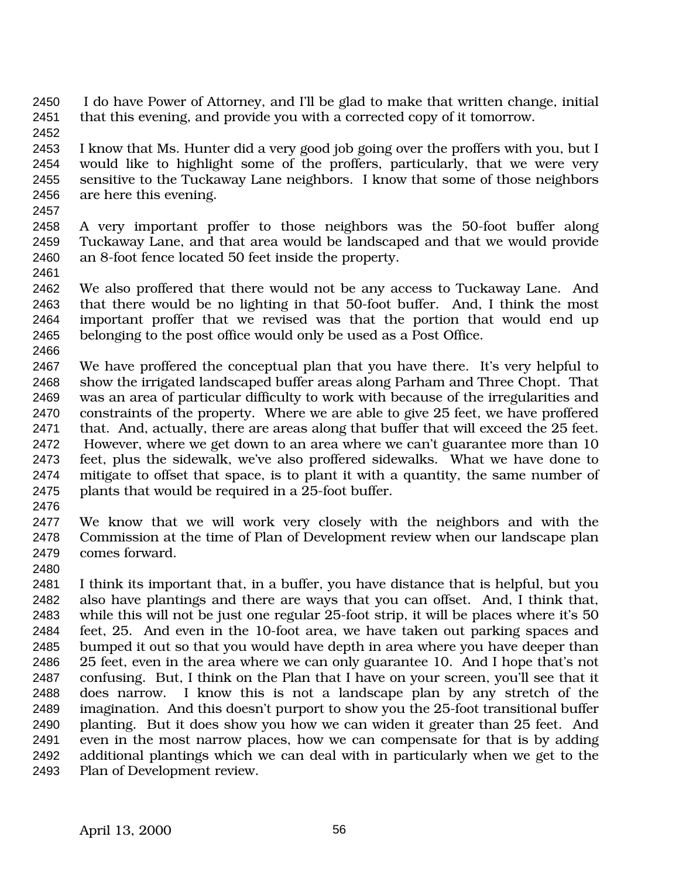I do have Power of Attorney, and I'll be glad to make that written change, initial that this evening, and provide you with a corrected copy of it tomorrow.

 I know that Ms. Hunter did a very good job going over the proffers with you, but I would like to highlight some of the proffers, particularly, that we were very sensitive to the Tuckaway Lane neighbors. I know that some of those neighbors are here this evening.

 A very important proffer to those neighbors was the 50-foot buffer along Tuckaway Lane, and that area would be landscaped and that we would provide an 8-foot fence located 50 feet inside the property.

 We also proffered that there would not be any access to Tuckaway Lane. And that there would be no lighting in that 50-foot buffer. And, I think the most important proffer that we revised was that the portion that would end up belonging to the post office would only be used as a Post Office.

 We have proffered the conceptual plan that you have there. It's very helpful to show the irrigated landscaped buffer areas along Parham and Three Chopt. That was an area of particular difficulty to work with because of the irregularities and constraints of the property. Where we are able to give 25 feet, we have proffered that. And, actually, there are areas along that buffer that will exceed the 25 feet. However, where we get down to an area where we can't guarantee more than 10 feet, plus the sidewalk, we've also proffered sidewalks. What we have done to mitigate to offset that space, is to plant it with a quantity, the same number of plants that would be required in a 25-foot buffer.

 We know that we will work very closely with the neighbors and with the Commission at the time of Plan of Development review when our landscape plan comes forward.

 I think its important that, in a buffer, you have distance that is helpful, but you also have plantings and there are ways that you can offset. And, I think that, while this will not be just one regular 25-foot strip, it will be places where it's 50 feet, 25. And even in the 10-foot area, we have taken out parking spaces and bumped it out so that you would have depth in area where you have deeper than 25 feet, even in the area where we can only guarantee 10. And I hope that's not confusing. But, I think on the Plan that I have on your screen, you'll see that it does narrow. I know this is not a landscape plan by any stretch of the imagination. And this doesn't purport to show you the 25-foot transitional buffer planting. But it does show you how we can widen it greater than 25 feet. And even in the most narrow places, how we can compensate for that is by adding additional plantings which we can deal with in particularly when we get to the Plan of Development review.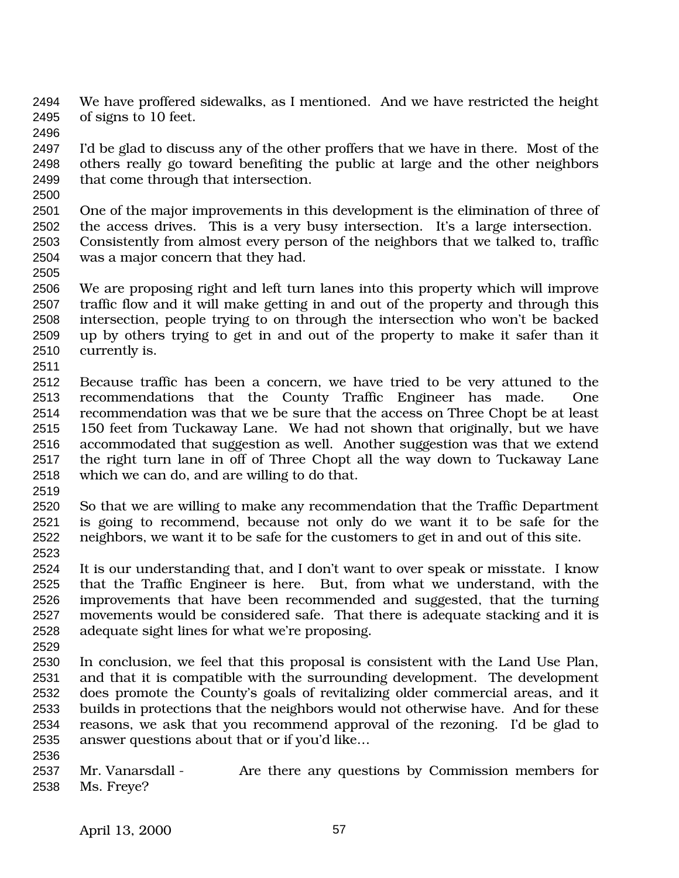We have proffered sidewalks, as I mentioned. And we have restricted the height of signs to 10 feet.

 I'd be glad to discuss any of the other proffers that we have in there. Most of the others really go toward benefiting the public at large and the other neighbors that come through that intersection.

 One of the major improvements in this development is the elimination of three of the access drives. This is a very busy intersection. It's a large intersection. Consistently from almost every person of the neighbors that we talked to, traffic was a major concern that they had.

 We are proposing right and left turn lanes into this property which will improve traffic flow and it will make getting in and out of the property and through this intersection, people trying to on through the intersection who won't be backed up by others trying to get in and out of the property to make it safer than it currently is.

 Because traffic has been a concern, we have tried to be very attuned to the recommendations that the County Traffic Engineer has made. One recommendation was that we be sure that the access on Three Chopt be at least 150 feet from Tuckaway Lane. We had not shown that originally, but we have accommodated that suggestion as well. Another suggestion was that we extend the right turn lane in off of Three Chopt all the way down to Tuckaway Lane which we can do, and are willing to do that.

 So that we are willing to make any recommendation that the Traffic Department is going to recommend, because not only do we want it to be safe for the neighbors, we want it to be safe for the customers to get in and out of this site. 

 It is our understanding that, and I don't want to over speak or misstate. I know that the Traffic Engineer is here. But, from what we understand, with the improvements that have been recommended and suggested, that the turning movements would be considered safe. That there is adequate stacking and it is adequate sight lines for what we're proposing.

 In conclusion, we feel that this proposal is consistent with the Land Use Plan, and that it is compatible with the surrounding development. The development does promote the County's goals of revitalizing older commercial areas, and it builds in protections that the neighbors would not otherwise have. And for these reasons, we ask that you recommend approval of the rezoning. I'd be glad to answer questions about that or if you'd like…

 Mr. Vanarsdall - Are there any questions by Commission members for Ms. Freye?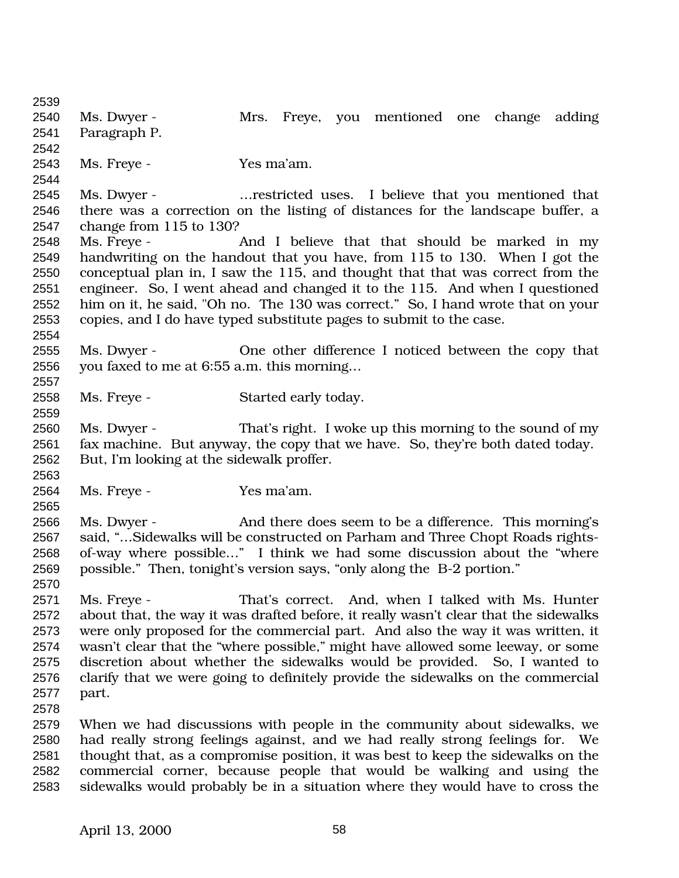Ms. Dwyer - Mrs. Freye, you mentioned one change adding Paragraph P. Ms. Freye - Yes ma'am. Ms. Dwyer - …restricted uses. I believe that you mentioned that there was a correction on the listing of distances for the landscape buffer, a change from 115 to 130? Ms. Freye - And I believe that that should be marked in my handwriting on the handout that you have, from 115 to 130. When I got the conceptual plan in, I saw the 115, and thought that that was correct from the engineer. So, I went ahead and changed it to the 115. And when I questioned him on it, he said, "Oh no. The 130 was correct." So, I hand wrote that on your copies, and I do have typed substitute pages to submit to the case. Ms. Dwyer - One other difference I noticed between the copy that you faxed to me at 6:55 a.m. this morning… Ms. Freye - Started early today. Ms. Dwyer - That's right. I woke up this morning to the sound of my fax machine. But anyway, the copy that we have. So, they're both dated today. But, I'm looking at the sidewalk proffer. Ms. Freye - Yes ma'am. Ms. Dwyer - And there does seem to be a difference. This morning's said, "…Sidewalks will be constructed on Parham and Three Chopt Roads rights- of-way where possible…" I think we had some discussion about the "where possible." Then, tonight's version says, "only along the B-2 portion." Ms. Freye - That's correct. And, when I talked with Ms. Hunter about that, the way it was drafted before, it really wasn't clear that the sidewalks were only proposed for the commercial part. And also the way it was written, it wasn't clear that the "where possible," might have allowed some leeway, or some discretion about whether the sidewalks would be provided. So, I wanted to clarify that we were going to definitely provide the sidewalks on the commercial part. When we had discussions with people in the community about sidewalks, we had really strong feelings against, and we had really strong feelings for. We thought that, as a compromise position, it was best to keep the sidewalks on the commercial corner, because people that would be walking and using the sidewalks would probably be in a situation where they would have to cross the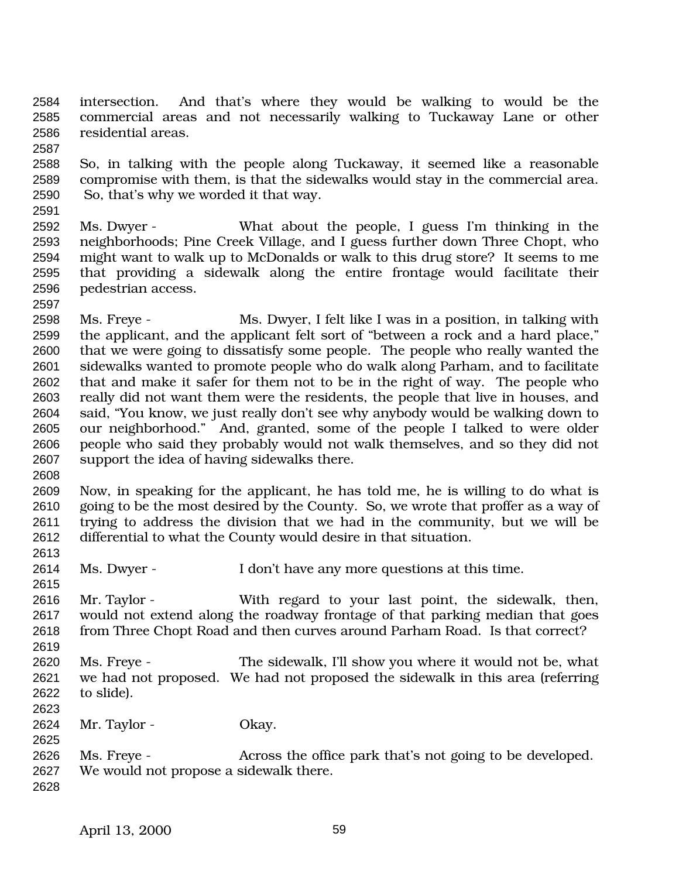intersection. And that's where they would be walking to would be the commercial areas and not necessarily walking to Tuckaway Lane or other residential areas.

 So, in talking with the people along Tuckaway, it seemed like a reasonable compromise with them, is that the sidewalks would stay in the commercial area. So, that's why we worded it that way.

 Ms. Dwyer - What about the people, I guess I'm thinking in the neighborhoods; Pine Creek Village, and I guess further down Three Chopt, who might want to walk up to McDonalds or walk to this drug store? It seems to me that providing a sidewalk along the entire frontage would facilitate their pedestrian access.

 Ms. Freye - Ms. Dwyer, I felt like I was in a position, in talking with the applicant, and the applicant felt sort of "between a rock and a hard place," that we were going to dissatisfy some people. The people who really wanted the sidewalks wanted to promote people who do walk along Parham, and to facilitate that and make it safer for them not to be in the right of way. The people who really did not want them were the residents, the people that live in houses, and said, "You know, we just really don't see why anybody would be walking down to our neighborhood." And, granted, some of the people I talked to were older people who said they probably would not walk themselves, and so they did not support the idea of having sidewalks there.

 Now, in speaking for the applicant, he has told me, he is willing to do what is going to be the most desired by the County. So, we wrote that proffer as a way of trying to address the division that we had in the community, but we will be differential to what the County would desire in that situation.

Ms. Dwyer - I don't have any more questions at this time.

 Mr. Taylor - With regard to your last point, the sidewalk, then, would not extend along the roadway frontage of that parking median that goes from Three Chopt Road and then curves around Parham Road. Is that correct?

 Ms. Freye - The sidewalk, I'll show you where it would not be, what we had not proposed. We had not proposed the sidewalk in this area (referring to slide).

Mr. Taylor - Okay.

 Ms. Freye - Across the office park that's not going to be developed. We would not propose a sidewalk there.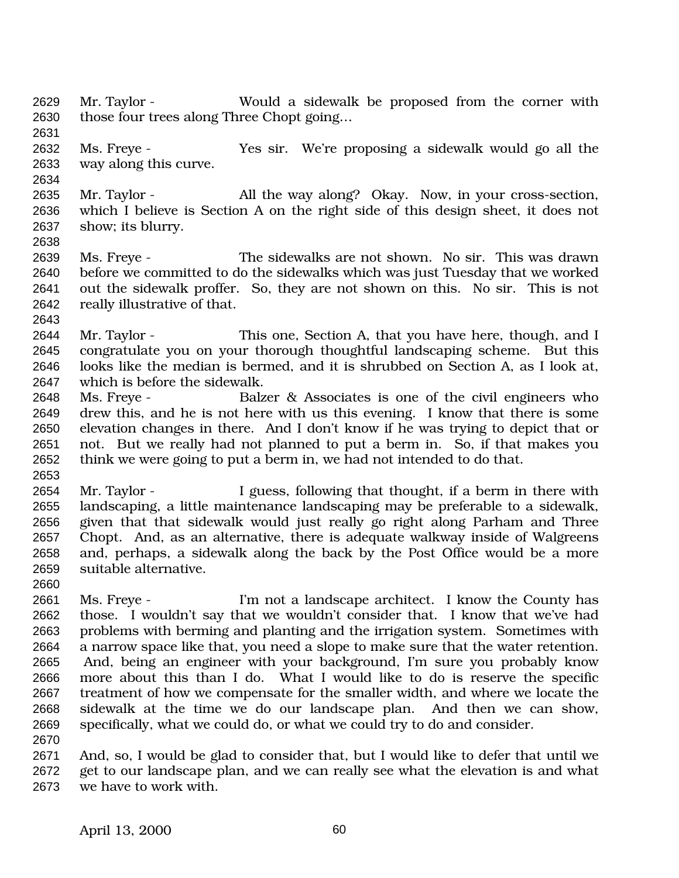Mr. Taylor - Would a sidewalk be proposed from the corner with those four trees along Three Chopt going…

- Ms. Freye Yes sir. We're proposing a sidewalk would go all the way along this curve.
- Mr. Taylor All the way along? Okay. Now, in your cross-section, which I believe is Section A on the right side of this design sheet, it does not show; its blurry.
- Ms. Freye The sidewalks are not shown. No sir. This was drawn before we committed to do the sidewalks which was just Tuesday that we worked out the sidewalk proffer. So, they are not shown on this. No sir. This is not really illustrative of that.
- 

- 2644 Mr. Taylor This one, Section A, that you have here, though, and I congratulate you on your thorough thoughtful landscaping scheme. But this looks like the median is bermed, and it is shrubbed on Section A, as I look at, which is before the sidewalk.
- Ms. Freye Balzer & Associates is one of the civil engineers who drew this, and he is not here with us this evening. I know that there is some elevation changes in there. And I don't know if he was trying to depict that or not. But we really had not planned to put a berm in. So, if that makes you think we were going to put a berm in, we had not intended to do that.
- Mr. Taylor I guess, following that thought, if a berm in there with landscaping, a little maintenance landscaping may be preferable to a sidewalk, given that that sidewalk would just really go right along Parham and Three Chopt. And, as an alternative, there is adequate walkway inside of Walgreens and, perhaps, a sidewalk along the back by the Post Office would be a more suitable alternative.
- Ms. Freye I'm not a landscape architect. I know the County has those. I wouldn't say that we wouldn't consider that. I know that we've had problems with berming and planting and the irrigation system. Sometimes with a narrow space like that, you need a slope to make sure that the water retention. And, being an engineer with your background, I'm sure you probably know more about this than I do. What I would like to do is reserve the specific treatment of how we compensate for the smaller width, and where we locate the sidewalk at the time we do our landscape plan. And then we can show, specifically, what we could do, or what we could try to do and consider.
- 
- And, so, I would be glad to consider that, but I would like to defer that until we get to our landscape plan, and we can really see what the elevation is and what we have to work with.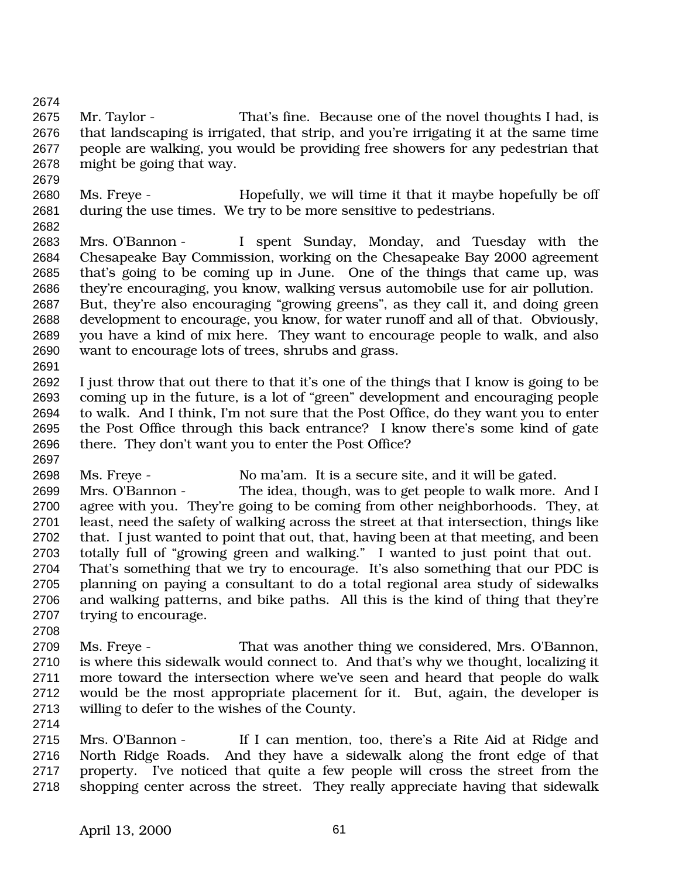Mr. Taylor - That's fine. Because one of the novel thoughts I had, is that landscaping is irrigated, that strip, and you're irrigating it at the same time people are walking, you would be providing free showers for any pedestrian that might be going that way.

- Ms. Freye Hopefully, we will time it that it maybe hopefully be off during the use times. We try to be more sensitive to pedestrians.
- 

 Mrs. O'Bannon - I spent Sunday, Monday, and Tuesday with the Chesapeake Bay Commission, working on the Chesapeake Bay 2000 agreement that's going to be coming up in June. One of the things that came up, was they're encouraging, you know, walking versus automobile use for air pollution. But, they're also encouraging "growing greens", as they call it, and doing green development to encourage, you know, for water runoff and all of that. Obviously, you have a kind of mix here. They want to encourage people to walk, and also want to encourage lots of trees, shrubs and grass.

 I just throw that out there to that it's one of the things that I know is going to be coming up in the future, is a lot of "green" development and encouraging people to walk. And I think, I'm not sure that the Post Office, do they want you to enter the Post Office through this back entrance? I know there's some kind of gate there. They don't want you to enter the Post Office? 

Ms. Freye - No ma'am. It is a secure site, and it will be gated.

- Mrs. O'Bannon The idea, though, was to get people to walk more. And I agree with you. They're going to be coming from other neighborhoods. They, at least, need the safety of walking across the street at that intersection, things like that. I just wanted to point that out, that, having been at that meeting, and been totally full of "growing green and walking." I wanted to just point that out. 2704 That's something that we try to encourage. It's also something that our PDC is planning on paying a consultant to do a total regional area study of sidewalks and walking patterns, and bike paths. All this is the kind of thing that they're trying to encourage.
- 

 Ms. Freye - That was another thing we considered, Mrs. O'Bannon, is where this sidewalk would connect to. And that's why we thought, localizing it more toward the intersection where we've seen and heard that people do walk would be the most appropriate placement for it. But, again, the developer is willing to defer to the wishes of the County.

 Mrs. O'Bannon - If I can mention, too, there's a Rite Aid at Ridge and North Ridge Roads. And they have a sidewalk along the front edge of that property. I've noticed that quite a few people will cross the street from the shopping center across the street. They really appreciate having that sidewalk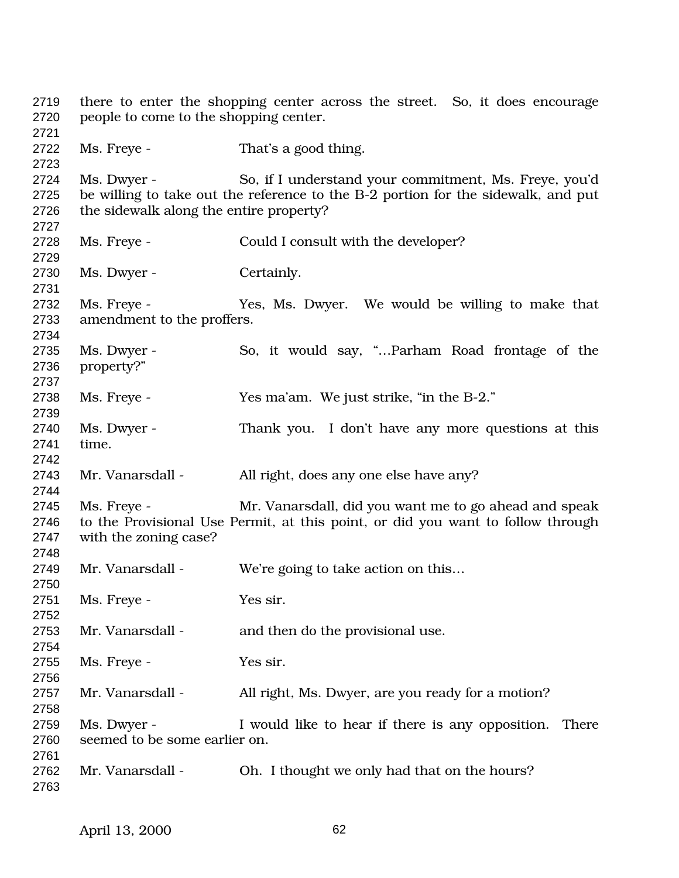there to enter the shopping center across the street. So, it does encourage people to come to the shopping center. 2722 Ms. Freye - That's a good thing. Ms. Dwyer - So, if I understand your commitment, Ms. Freye, you'd be willing to take out the reference to the B-2 portion for the sidewalk, and put the sidewalk along the entire property? Ms. Freye - Could I consult with the developer? 2730 Ms. Dwyer - Certainly. Ms. Freye - Yes, Ms. Dwyer. We would be willing to make that amendment to the proffers. Ms. Dwyer - So, it would say, "…Parham Road frontage of the property?" Ms. Freye - Yes ma'am. We just strike, "in the B-2." Ms. Dwyer - Thank you. I don't have any more questions at this time. Mr. Vanarsdall - All right, does any one else have any? Ms. Freye - Mr. Vanarsdall, did you want me to go ahead and speak to the Provisional Use Permit, at this point, or did you want to follow through with the zoning case? Mr. Vanarsdall - We're going to take action on this… Ms. Freye - Yes sir. 2753 Mr. Vanarsdall - and then do the provisional use. Ms. Freye - Yes sir. 2757 Mr. Vanarsdall - All right, Ms. Dwyer, are you ready for a motion? Ms. Dwyer - I would like to hear if there is any opposition. There seemed to be some earlier on. Mr. Vanarsdall - Oh. I thought we only had that on the hours?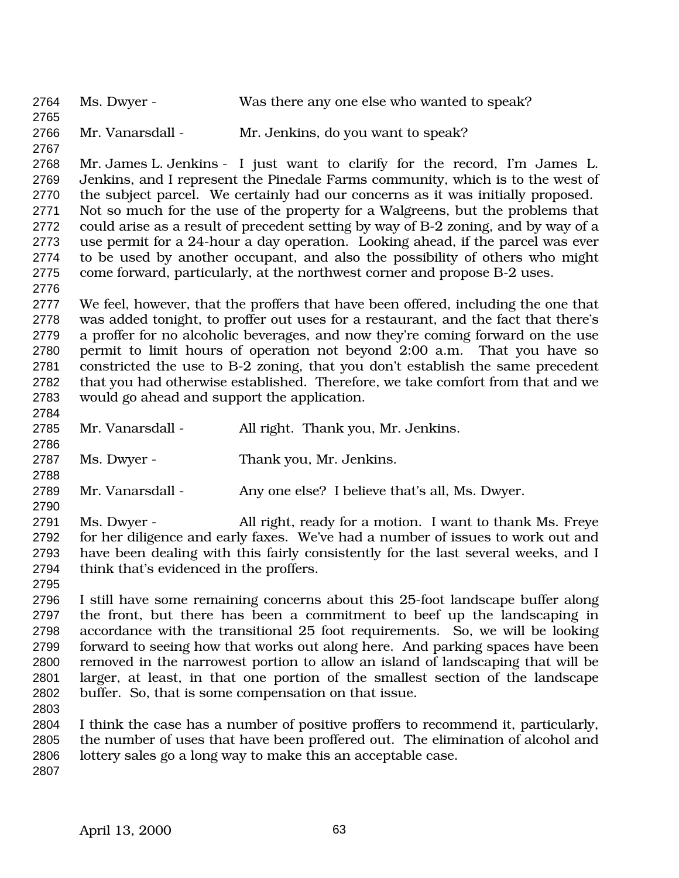Ms. Dwyer - Was there any one else who wanted to speak? Mr. Vanarsdall - Mr. Jenkins, do you want to speak? Mr. James L. Jenkins - I just want to clarify for the record, I'm James L. Jenkins, and I represent the Pinedale Farms community, which is to the west of the subject parcel. We certainly had our concerns as it was initially proposed. Not so much for the use of the property for a Walgreens, but the problems that could arise as a result of precedent setting by way of B-2 zoning, and by way of a use permit for a 24-hour a day operation. Looking ahead, if the parcel was ever to be used by another occupant, and also the possibility of others who might come forward, particularly, at the northwest corner and propose B-2 uses. We feel, however, that the proffers that have been offered, including the one that was added tonight, to proffer out uses for a restaurant, and the fact that there's a proffer for no alcoholic beverages, and now they're coming forward on the use permit to limit hours of operation not beyond 2:00 a.m. That you have so constricted the use to B-2 zoning, that you don't establish the same precedent that you had otherwise established. Therefore, we take comfort from that and we would go ahead and support the application. Mr. Vanarsdall - All right. Thank you, Mr. Jenkins. Ms. Dwyer - Thank you, Mr. Jenkins. 2789 Mr. Vanarsdall - Any one else? I believe that's all, Ms. Dwyer. Ms. Dwyer - All right, ready for a motion. I want to thank Ms. Freye for her diligence and early faxes. We've had a number of issues to work out and have been dealing with this fairly consistently for the last several weeks, and I think that's evidenced in the proffers. I still have some remaining concerns about this 25-foot landscape buffer along the front, but there has been a commitment to beef up the landscaping in accordance with the transitional 25 foot requirements. So, we will be looking forward to seeing how that works out along here. And parking spaces have been removed in the narrowest portion to allow an island of landscaping that will be larger, at least, in that one portion of the smallest section of the landscape buffer. So, that is some compensation on that issue. I think the case has a number of positive proffers to recommend it, particularly, the number of uses that have been proffered out. The elimination of alcohol and lottery sales go a long way to make this an acceptable case.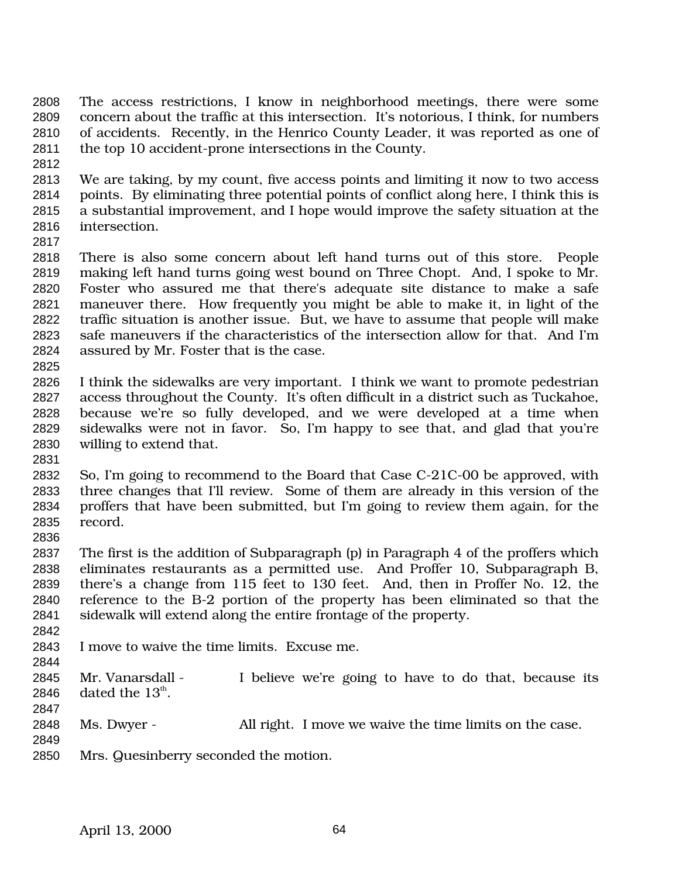- The access restrictions, I know in neighborhood meetings, there were some concern about the traffic at this intersection. It's notorious, I think, for numbers of accidents. Recently, in the Henrico County Leader, it was reported as one of the top 10 accident-prone intersections in the County.
- 
- We are taking, by my count, five access points and limiting it now to two access points. By eliminating three potential points of conflict along here, I think this is a substantial improvement, and I hope would improve the safety situation at the intersection.
- 

 There is also some concern about left hand turns out of this store. People making left hand turns going west bound on Three Chopt. And, I spoke to Mr. Foster who assured me that there's adequate site distance to make a safe maneuver there. How frequently you might be able to make it, in light of the traffic situation is another issue. But, we have to assume that people will make safe maneuvers if the characteristics of the intersection allow for that. And I'm assured by Mr. Foster that is the case.

- 
- I think the sidewalks are very important. I think we want to promote pedestrian access throughout the County. It's often difficult in a district such as Tuckahoe, because we're so fully developed, and we were developed at a time when sidewalks were not in favor. So, I'm happy to see that, and glad that you're willing to extend that.
- 
- So, I'm going to recommend to the Board that Case C-21C-00 be approved, with three changes that I'll review. Some of them are already in this version of the proffers that have been submitted, but I'm going to review them again, for the record.
- The first is the addition of Subparagraph (p) in Paragraph 4 of the proffers which eliminates restaurants as a permitted use. And Proffer 10, Subparagraph B, there's a change from 115 feet to 130 feet. And, then in Proffer No. 12, the reference to the B-2 portion of the property has been eliminated so that the sidewalk will extend along the entire frontage of the property.
- 
- I move to waive the time limits. Excuse me.
- Mr. Vanarsdall - I believe we're going to have to do that, because its 2846 dated the  $13^{\text{th}}$ .
- 
- Ms. Dwyer All right. I move we waive the time limits on the case.
- 
- Mrs. Quesinberry seconded the motion.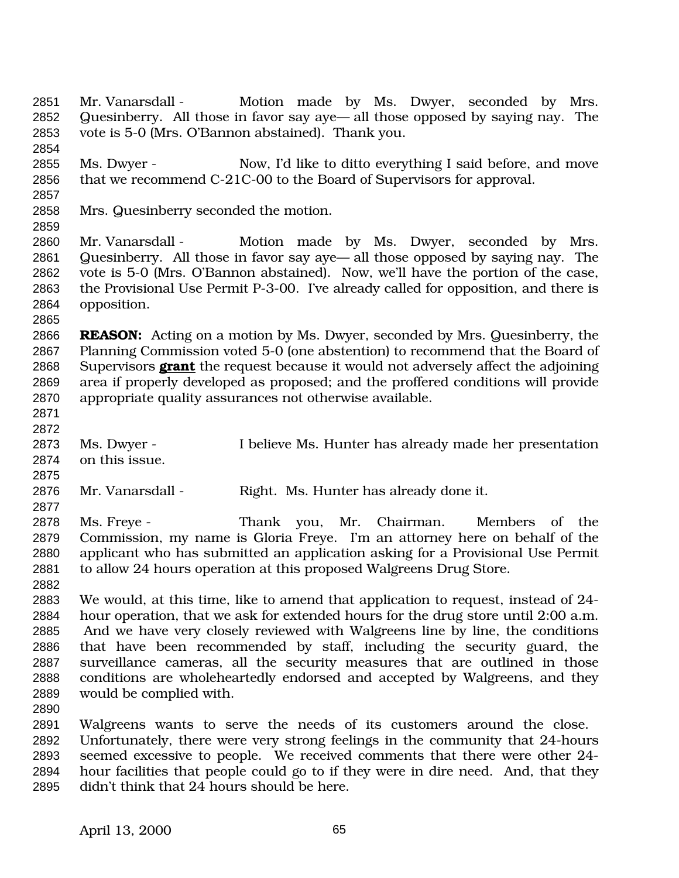2851 Mr. Vanarsdall - Motion made by Ms. Dwyer, seconded by Mrs. Quesinberry. All those in favor say aye— all those opposed by saying nay. The vote is 5-0 (Mrs. O'Bannon abstained). Thank you. 

 Ms. Dwyer - Now, I'd like to ditto everything I said before, and move that we recommend C-21C-00 to the Board of Supervisors for approval.

Mrs. Quesinberry seconded the motion.

 Mr. Vanarsdall - Motion made by Ms. Dwyer, seconded by Mrs. Quesinberry. All those in favor say aye— all those opposed by saying nay. The vote is 5-0 (Mrs. O'Bannon abstained). Now, we'll have the portion of the case, the Provisional Use Permit P-3-00. I've already called for opposition, and there is opposition.

 **REASON:** Acting on a motion by Ms. Dwyer, seconded by Mrs. Quesinberry, the Planning Commission voted 5-0 (one abstention) to recommend that the Board of Supervisors **grant** the request because it would not adversely affect the adjoining area if properly developed as proposed; and the proffered conditions will provide appropriate quality assurances not otherwise available.

 

 Ms. Dwyer - I believe Ms. Hunter has already made her presentation on this issue.

Mr. Vanarsdall - Right. Ms. Hunter has already done it.

 Ms. Freye - Thank you, Mr. Chairman. Members of the Commission, my name is Gloria Freye. I'm an attorney here on behalf of the applicant who has submitted an application asking for a Provisional Use Permit 2881 to allow 24 hours operation at this proposed Walgreens Drug Store. 

 We would, at this time, like to amend that application to request, instead of 24- hour operation, that we ask for extended hours for the drug store until 2:00 a.m. And we have very closely reviewed with Walgreens line by line, the conditions that have been recommended by staff, including the security guard, the surveillance cameras, all the security measures that are outlined in those conditions are wholeheartedly endorsed and accepted by Walgreens, and they would be complied with.

 Walgreens wants to serve the needs of its customers around the close. Unfortunately, there were very strong feelings in the community that 24-hours seemed excessive to people. We received comments that there were other 24- hour facilities that people could go to if they were in dire need. And, that they didn't think that 24 hours should be here.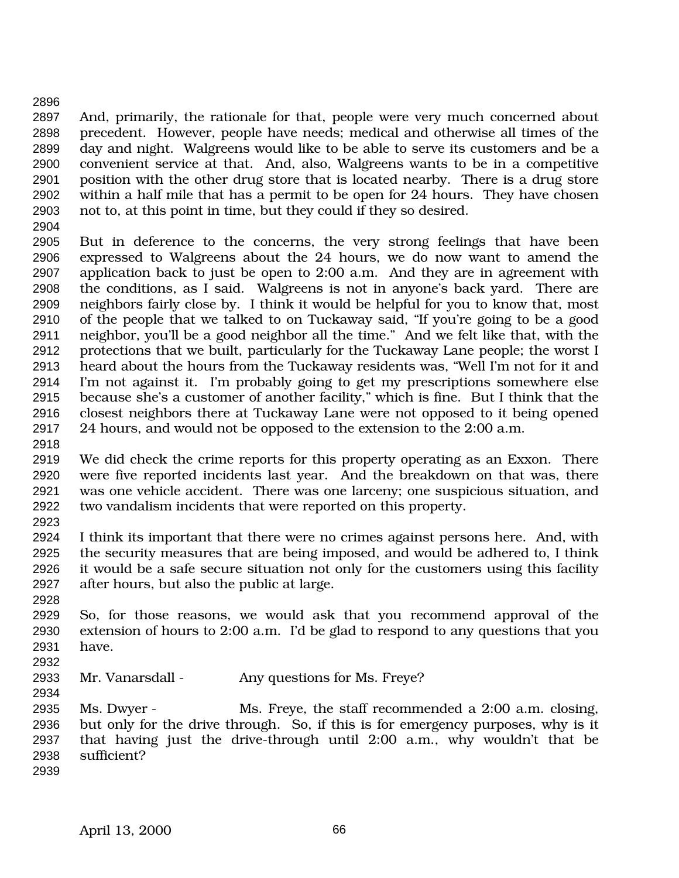And, primarily, the rationale for that, people were very much concerned about precedent. However, people have needs; medical and otherwise all times of the day and night. Walgreens would like to be able to serve its customers and be a convenient service at that. And, also, Walgreens wants to be in a competitive position with the other drug store that is located nearby. There is a drug store within a half mile that has a permit to be open for 24 hours. They have chosen not to, at this point in time, but they could if they so desired.

 But in deference to the concerns, the very strong feelings that have been expressed to Walgreens about the 24 hours, we do now want to amend the application back to just be open to 2:00 a.m. And they are in agreement with the conditions, as I said. Walgreens is not in anyone's back yard. There are neighbors fairly close by. I think it would be helpful for you to know that, most of the people that we talked to on Tuckaway said, "If you're going to be a good neighbor, you'll be a good neighbor all the time." And we felt like that, with the protections that we built, particularly for the Tuckaway Lane people; the worst I heard about the hours from the Tuckaway residents was, "Well I'm not for it and I'm not against it. I'm probably going to get my prescriptions somewhere else because she's a customer of another facility," which is fine. But I think that the closest neighbors there at Tuckaway Lane were not opposed to it being opened 24 hours, and would not be opposed to the extension to the 2:00 a.m.

 We did check the crime reports for this property operating as an Exxon. There were five reported incidents last year. And the breakdown on that was, there was one vehicle accident. There was one larceny; one suspicious situation, and two vandalism incidents that were reported on this property. 

 I think its important that there were no crimes against persons here. And, with the security measures that are being imposed, and would be adhered to, I think it would be a safe secure situation not only for the customers using this facility after hours, but also the public at large.

 So, for those reasons, we would ask that you recommend approval of the extension of hours to 2:00 a.m. I'd be glad to respond to any questions that you have.

Mr. Vanarsdall - Any questions for Ms. Freye?

 Ms. Dwyer - Ms. Freye, the staff recommended a 2:00 a.m. closing, but only for the drive through. So, if this is for emergency purposes, why is it that having just the drive-through until 2:00 a.m., why wouldn't that be sufficient?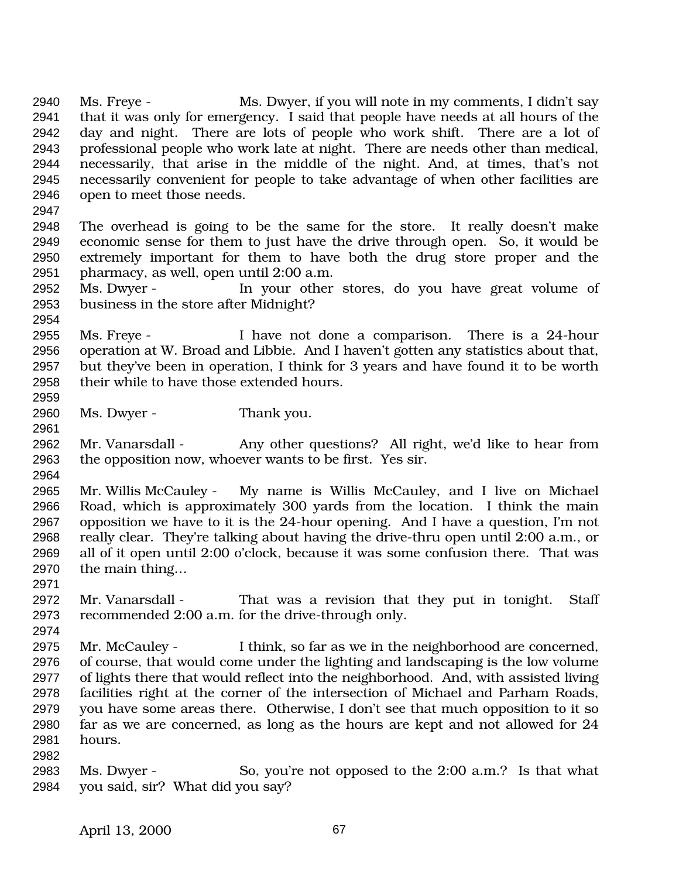Ms. Freye - Ms. Dwyer, if you will note in my comments, I didn't say that it was only for emergency. I said that people have needs at all hours of the day and night. There are lots of people who work shift. There are a lot of professional people who work late at night. There are needs other than medical, necessarily, that arise in the middle of the night. And, at times, that's not necessarily convenient for people to take advantage of when other facilities are open to meet those needs. The overhead is going to be the same for the store. It really doesn't make economic sense for them to just have the drive through open. So, it would be extremely important for them to have both the drug store proper and the pharmacy, as well, open until 2:00 a.m. Ms. Dwyer - In your other stores, do you have great volume of business in the store after Midnight? Ms. Freye - I have not done a comparison. There is a 24-hour operation at W. Broad and Libbie. And I haven't gotten any statistics about that, but they've been in operation, I think for 3 years and have found it to be worth their while to have those extended hours. Ms. Dwyer - Thank you. Mr. Vanarsdall - Any other questions? All right, we'd like to hear from the opposition now, whoever wants to be first. Yes sir. Mr. Willis McCauley - My name is Willis McCauley, and I live on Michael Road, which is approximately 300 yards from the location. I think the main opposition we have to it is the 24-hour opening. And I have a question, I'm not really clear. They're talking about having the drive-thru open until 2:00 a.m., or all of it open until 2:00 o'clock, because it was some confusion there. That was the main thing… Mr. Vanarsdall - That was a revision that they put in tonight. Staff recommended 2:00 a.m. for the drive-through only. Mr. McCauley - I think, so far as we in the neighborhood are concerned, of course, that would come under the lighting and landscaping is the low volume of lights there that would reflect into the neighborhood. And, with assisted living facilities right at the corner of the intersection of Michael and Parham Roads, you have some areas there. Otherwise, I don't see that much opposition to it so far as we are concerned, as long as the hours are kept and not allowed for 24 hours. Ms. Dwyer - So, you're not opposed to the 2:00 a.m.? Is that what you said, sir? What did you say?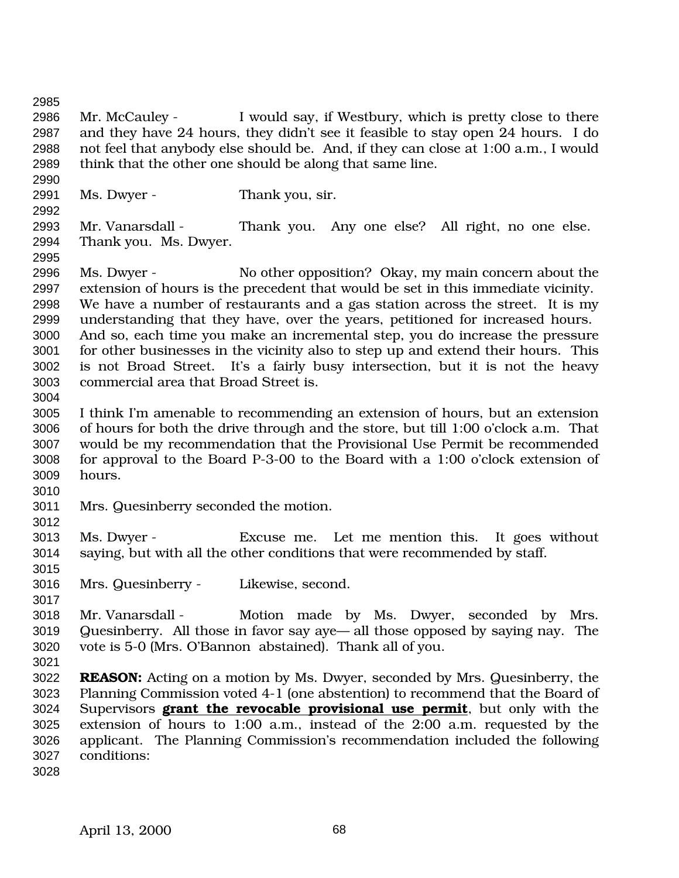Mr. McCauley - I would say, if Westbury, which is pretty close to there and they have 24 hours, they didn't see it feasible to stay open 24 hours. I do not feel that anybody else should be. And, if they can close at 1:00 a.m., I would think that the other one should be along that same line. Ms. Dwyer - Thank you, sir. Mr. Vanarsdall - Thank you. Any one else? All right, no one else. Thank you. Ms. Dwyer. Ms. Dwyer - No other opposition? Okay, my main concern about the extension of hours is the precedent that would be set in this immediate vicinity. We have a number of restaurants and a gas station across the street. It is my understanding that they have, over the years, petitioned for increased hours. And so, each time you make an incremental step, you do increase the pressure for other businesses in the vicinity also to step up and extend their hours. This is not Broad Street. It's a fairly busy intersection, but it is not the heavy commercial area that Broad Street is. I think I'm amenable to recommending an extension of hours, but an extension of hours for both the drive through and the store, but till 1:00 o'clock a.m. That would be my recommendation that the Provisional Use Permit be recommended for approval to the Board P-3-00 to the Board with a 1:00 o'clock extension of hours. Mrs. Quesinberry seconded the motion. Ms. Dwyer - Excuse me. Let me mention this. It goes without saying, but with all the other conditions that were recommended by staff. Mrs. Quesinberry - Likewise, second. Mr. Vanarsdall - Motion made by Ms. Dwyer, seconded by Mrs. Quesinberry. All those in favor say aye— all those opposed by saying nay. The vote is 5-0 (Mrs. O'Bannon abstained). Thank all of you. **REASON:** Acting on a motion by Ms. Dwyer, seconded by Mrs. Quesinberry, the Planning Commission voted 4-1 (one abstention) to recommend that the Board of Supervisors **grant the revocable provisional use permit**, but only with the extension of hours to 1:00 a.m., instead of the 2:00 a.m. requested by the applicant. The Planning Commission's recommendation included the following conditions: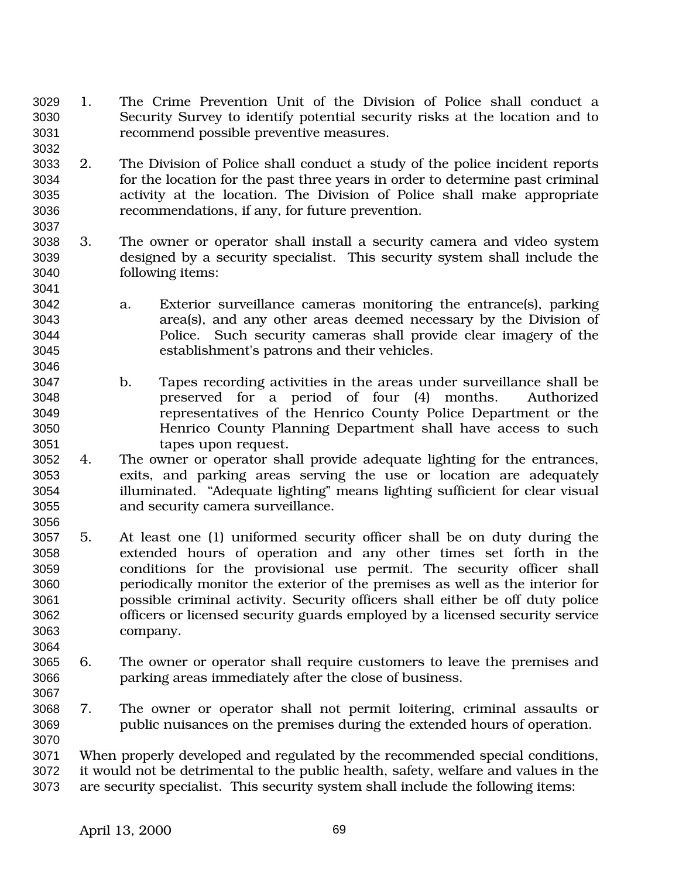- 1. The Crime Prevention Unit of the Division of Police shall conduct a Security Survey to identify potential security risks at the location and to recommend possible preventive measures.
- 2. The Division of Police shall conduct a study of the police incident reports for the location for the past three years in order to determine past criminal activity at the location. The Division of Police shall make appropriate recommendations, if any, for future prevention.
- 3. The owner or operator shall install a security camera and video system designed by a security specialist. This security system shall include the following items:
- a. Exterior surveillance cameras monitoring the entrance(s), parking area(s), and any other areas deemed necessary by the Division of Police. Such security cameras shall provide clear imagery of the establishment's patrons and their vehicles.
- b. Tapes recording activities in the areas under surveillance shall be preserved for a period of four (4) months. Authorized representatives of the Henrico County Police Department or the Henrico County Planning Department shall have access to such tapes upon request.
- 4. The owner or operator shall provide adequate lighting for the entrances, exits, and parking areas serving the use or location are adequately illuminated. "Adequate lighting" means lighting sufficient for clear visual and security camera surveillance.
- 5. At least one (1) uniformed security officer shall be on duty during the extended hours of operation and any other times set forth in the conditions for the provisional use permit. The security officer shall periodically monitor the exterior of the premises as well as the interior for possible criminal activity. Security officers shall either be off duty police officers or licensed security guards employed by a licensed security service company.
- 6. The owner or operator shall require customers to leave the premises and parking areas immediately after the close of business.
- 7. The owner or operator shall not permit loitering, criminal assaults or public nuisances on the premises during the extended hours of operation.
- When properly developed and regulated by the recommended special conditions, it would not be detrimental to the public health, safety, welfare and values in the are security specialist. This security system shall include the following items: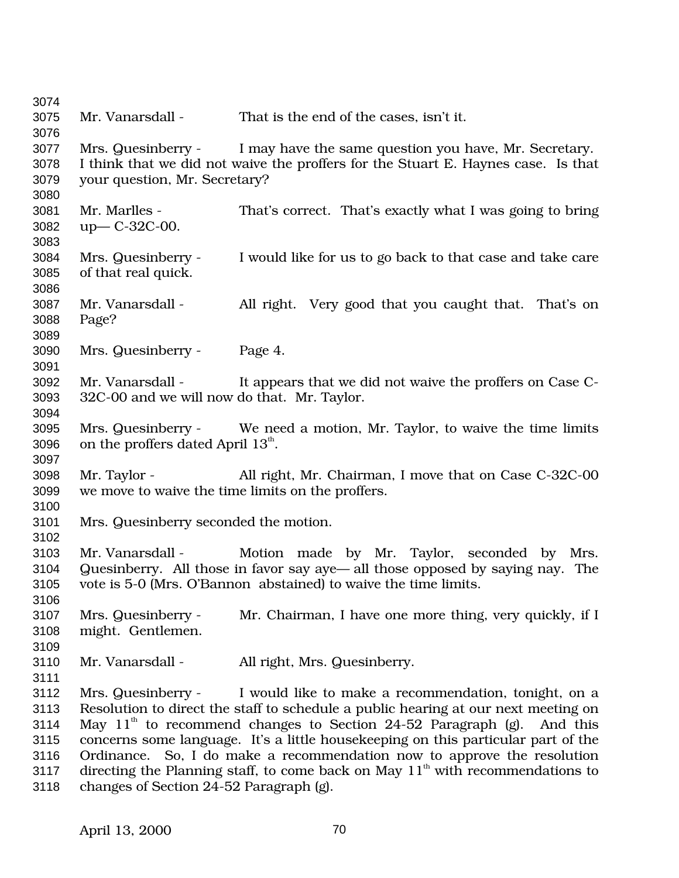Mr. Vanarsdall - That is the end of the cases, isn't it. Mrs. Quesinberry - I may have the same question you have, Mr. Secretary. I think that we did not waive the proffers for the Stuart E. Haynes case. Is that your question, Mr. Secretary? Mr. Marlles - That's correct. That's exactly what I was going to bring up— C-32C-00. Mrs. Quesinberry - I would like for us to go back to that case and take care of that real quick. Mr. Vanarsdall - All right. Very good that you caught that. That's on Page? Mrs. Quesinberry - Page 4. Mr. Vanarsdall - It appears that we did not waive the proffers on Case C- 32C-00 and we will now do that. Mr. Taylor. Mrs. Quesinberry - We need a motion, Mr. Taylor, to waive the time limits 3096 on the proffers dated April  $13<sup>th</sup>$ . Mr. Taylor - All right, Mr. Chairman, I move that on Case C-32C-00 we move to waive the time limits on the proffers. Mrs. Quesinberry seconded the motion. Mr. Vanarsdall - Motion made by Mr. Taylor, seconded by Mrs. Quesinberry. All those in favor say aye— all those opposed by saying nay. The vote is 5-0 (Mrs. O'Bannon abstained) to waive the time limits. Mrs. Quesinberry - Mr. Chairman, I have one more thing, very quickly, if I might. Gentlemen. Mr. Vanarsdall - All right, Mrs. Quesinberry. Mrs. Quesinberry - I would like to make a recommendation, tonight, on a Resolution to direct the staff to schedule a public hearing at our next meeting on 3114 May  $11<sup>th</sup>$  to recommend changes to Section 24-52 Paragraph (g). And this concerns some language. It's a little housekeeping on this particular part of the Ordinance. So, I do make a recommendation now to approve the resolution 3117 directing the Planning staff, to come back on May  $11<sup>th</sup>$  with recommendations to changes of Section 24-52 Paragraph (g).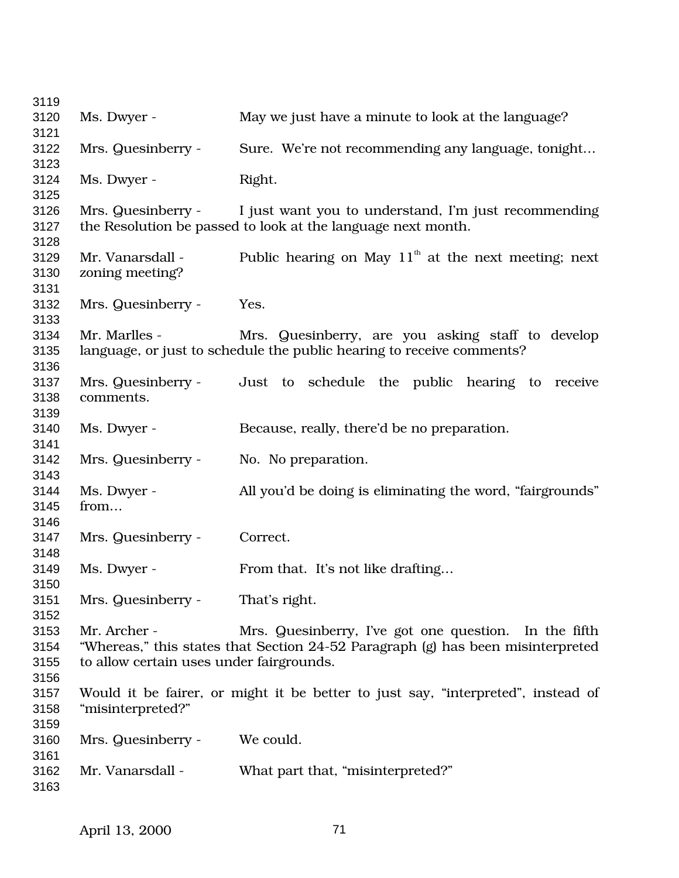| 3119 |                                          |                                                                                  |
|------|------------------------------------------|----------------------------------------------------------------------------------|
| 3120 | Ms. Dwyer -                              | May we just have a minute to look at the language?                               |
| 3121 |                                          |                                                                                  |
| 3122 | Mrs. Quesinberry -                       | Sure. We're not recommending any language, tonight                               |
| 3123 |                                          |                                                                                  |
| 3124 | Ms. Dwyer -                              | Right.                                                                           |
| 3125 |                                          |                                                                                  |
| 3126 | Mrs. Quesinberry -                       | I just want you to understand, I'm just recommending                             |
| 3127 |                                          | the Resolution be passed to look at the language next month.                     |
| 3128 |                                          |                                                                                  |
| 3129 | Mr. Vanarsdall -                         | Public hearing on May $11th$ at the next meeting; next                           |
| 3130 | zoning meeting?                          |                                                                                  |
| 3131 |                                          |                                                                                  |
| 3132 | Mrs. Quesinberry -                       | Yes.                                                                             |
| 3133 |                                          |                                                                                  |
| 3134 | Mr. Marlles -                            | Mrs. Quesinberry, are you asking staff to develop                                |
| 3135 |                                          | language, or just to schedule the public hearing to receive comments?            |
| 3136 |                                          |                                                                                  |
| 3137 | Mrs. Quesinberry -                       | Just to schedule the public hearing to<br>receive                                |
| 3138 | comments.                                |                                                                                  |
| 3139 |                                          |                                                                                  |
| 3140 | Ms. Dwyer -                              | Because, really, there'd be no preparation.                                      |
| 3141 |                                          |                                                                                  |
| 3142 | Mrs. Quesinberry -                       | No. No preparation.                                                              |
| 3143 |                                          |                                                                                  |
| 3144 | Ms. Dwyer -                              | All you'd be doing is eliminating the word, "fairgrounds"                        |
| 3145 | from                                     |                                                                                  |
| 3146 |                                          |                                                                                  |
| 3147 | Mrs. Quesinberry -                       | Correct.                                                                         |
| 3148 |                                          |                                                                                  |
| 3149 | Ms. Dwyer -                              | From that. It's not like drafting                                                |
| 3150 |                                          |                                                                                  |
| 3151 | Mrs. Quesinberry -                       | That's right.                                                                    |
| 3152 |                                          |                                                                                  |
| 3153 | Mr. Archer -                             | Mrs. Quesinberry, I've got one question. In the fifth                            |
| 3154 |                                          | "Whereas," this states that Section 24-52 Paragraph (g) has been misinterpreted  |
| 3155 | to allow certain uses under fairgrounds. |                                                                                  |
| 3156 |                                          |                                                                                  |
| 3157 |                                          | Would it be fairer, or might it be better to just say, "interpreted", instead of |
| 3158 | "misinterpreted?"                        |                                                                                  |
| 3159 |                                          |                                                                                  |
| 3160 | Mrs. Quesinberry -                       | We could.                                                                        |
| 3161 |                                          |                                                                                  |
| 3162 | Mr. Vanarsdall -                         | What part that, "misinterpreted?"                                                |
| 3163 |                                          |                                                                                  |
|      |                                          |                                                                                  |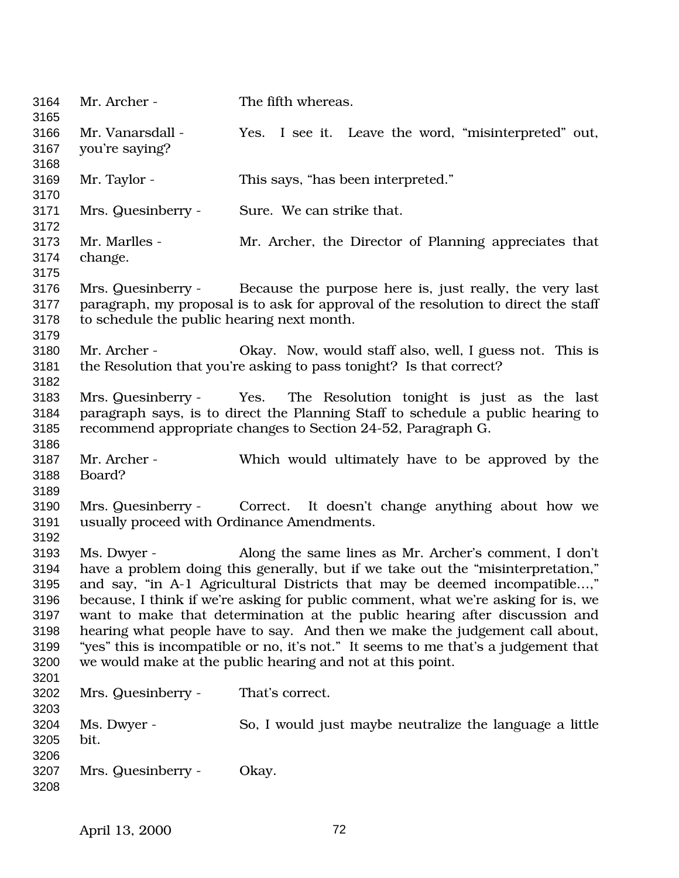Mr. Archer - The fifth whereas. Mr. Vanarsdall - Yes. I see it. Leave the word, "misinterpreted" out, you're saying? Mr. Taylor - This says, "has been interpreted." Mrs. Quesinberry - Sure. We can strike that. Mr. Marlles - Mr. Archer, the Director of Planning appreciates that change. Mrs. Quesinberry - Because the purpose here is, just really, the very last paragraph, my proposal is to ask for approval of the resolution to direct the staff to schedule the public hearing next month. Mr. Archer - Okay. Now, would staff also, well, I guess not. This is the Resolution that you're asking to pass tonight? Is that correct? Mrs. Quesinberry - Yes. The Resolution tonight is just as the last paragraph says, is to direct the Planning Staff to schedule a public hearing to recommend appropriate changes to Section 24-52, Paragraph G. Mr. Archer - Which would ultimately have to be approved by the Board? Mrs. Quesinberry - Correct. It doesn't change anything about how we usually proceed with Ordinance Amendments. Ms. Dwyer - Along the same lines as Mr. Archer's comment, I don't have a problem doing this generally, but if we take out the "misinterpretation," and say, "in A-1 Agricultural Districts that may be deemed incompatible…," because, I think if we're asking for public comment, what we're asking for is, we want to make that determination at the public hearing after discussion and hearing what people have to say. And then we make the judgement call about, "yes" this is incompatible or no, it's not." It seems to me that's a judgement that we would make at the public hearing and not at this point. Mrs. Quesinberry - That's correct. Ms. Dwyer - So, I would just maybe neutralize the language a little bit. Mrs. Quesinberry - Okay.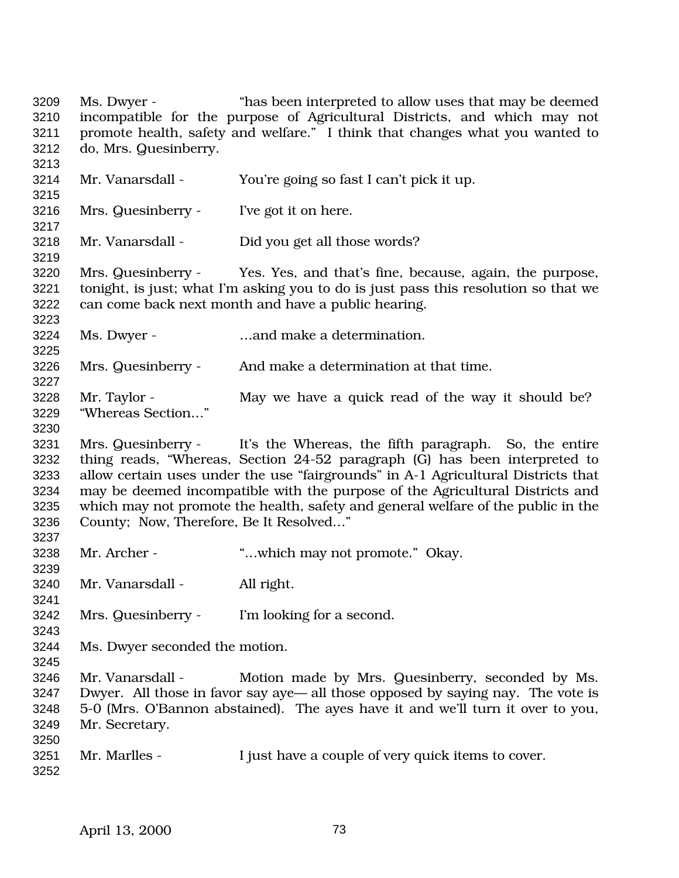Ms. Dwyer - "has been interpreted to allow uses that may be deemed incompatible for the purpose of Agricultural Districts, and which may not promote health, safety and welfare." I think that changes what you wanted to do, Mrs. Quesinberry. Mr. Vanarsdall - You're going so fast I can't pick it up. Mrs. Quesinberry - I've got it on here. Mr. Vanarsdall - Did you get all those words? Mrs. Quesinberry - Yes. Yes, and that's fine, because, again, the purpose, tonight, is just; what I'm asking you to do is just pass this resolution so that we can come back next month and have a public hearing. Ms. Dwyer - …and make a determination. Mrs. Quesinberry - And make a determination at that time. 3228 Mr. Taylor - May we have a quick read of the way it should be? "Whereas Section…" Mrs. Quesinberry - It's the Whereas, the fifth paragraph. So, the entire thing reads, "Whereas, Section 24-52 paragraph (G) has been interpreted to allow certain uses under the use "fairgrounds" in A-1 Agricultural Districts that may be deemed incompatible with the purpose of the Agricultural Districts and which may not promote the health, safety and general welfare of the public in the County; Now, Therefore, Be It Resolved…" Mr. Archer - "…which may not promote." Okay. Mr. Vanarsdall - All right. Mrs. Quesinberry - I'm looking for a second. Ms. Dwyer seconded the motion. Mr. Vanarsdall - Motion made by Mrs. Quesinberry, seconded by Ms. Dwyer. All those in favor say aye— all those opposed by saying nay. The vote is 5-0 (Mrs. O'Bannon abstained). The ayes have it and we'll turn it over to you, Mr. Secretary. 3251 Mr. Marlles - I just have a couple of very quick items to cover.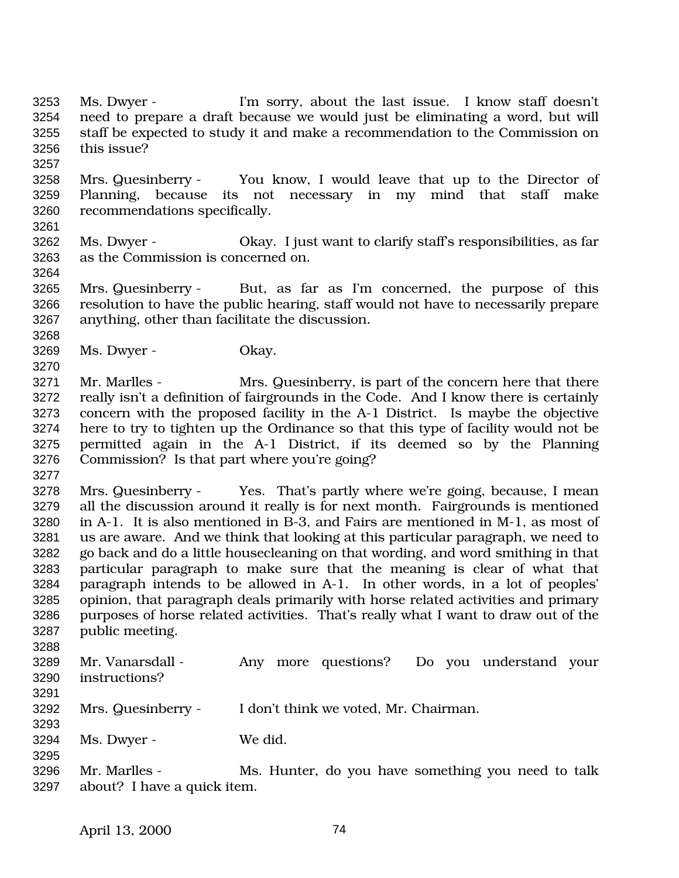Ms. Dwyer - I'm sorry, about the last issue. I know staff doesn't need to prepare a draft because we would just be eliminating a word, but will staff be expected to study it and make a recommendation to the Commission on this issue?

- Mrs. Quesinberry You know, I would leave that up to the Director of Planning, because its not necessary in my mind that staff make recommendations specifically.
- Ms. Dwyer Okay. I just want to clarify staff's responsibilities, as far as the Commission is concerned on.
- Mrs. Quesinberry But, as far as I'm concerned, the purpose of this resolution to have the public hearing, staff would not have to necessarily prepare anything, other than facilitate the discussion.
- Ms. Dwyer Okay.

- Mr. Marlles Mrs. Quesinberry, is part of the concern here that there really isn't a definition of fairgrounds in the Code. And I know there is certainly concern with the proposed facility in the A-1 District. Is maybe the objective here to try to tighten up the Ordinance so that this type of facility would not be permitted again in the A-1 District, if its deemed so by the Planning Commission? Is that part where you're going?
- Mrs. Quesinberry Yes. That's partly where we're going, because, I mean all the discussion around it really is for next month. Fairgrounds is mentioned in A-1. It is also mentioned in B-3, and Fairs are mentioned in M-1, as most of us are aware. And we think that looking at this particular paragraph, we need to go back and do a little housecleaning on that wording, and word smithing in that particular paragraph to make sure that the meaning is clear of what that paragraph intends to be allowed in A-1. In other words, in a lot of peoples' opinion, that paragraph deals primarily with horse related activities and primary purposes of horse related activities. That's really what I want to draw out of the public meeting.
- Mr. Vanarsdall Any more questions? Do you understand your instructions? Mrs. Quesinberry - I don't think we voted, Mr. Chairman. Ms. Dwyer - We did.
- Mr. Marlles Ms. Hunter, do you have something you need to talk about? I have a quick item.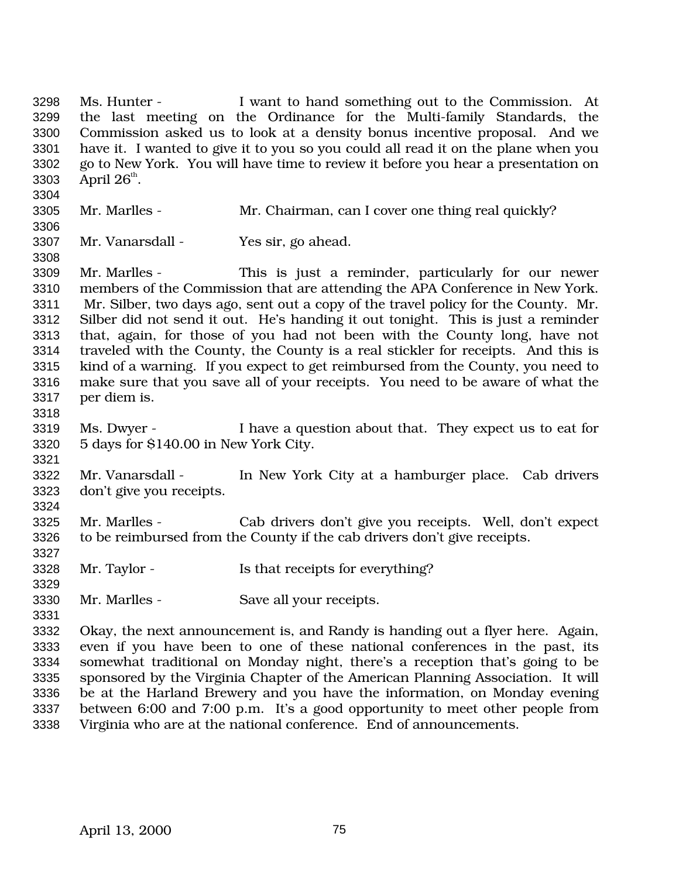Ms. Hunter - I want to hand something out to the Commission. At the last meeting on the Ordinance for the Multi-family Standards, the Commission asked us to look at a density bonus incentive proposal. And we have it. I wanted to give it to you so you could all read it on the plane when you go to New York. You will have time to review it before you hear a presentation on 3303 April  $26^{\text{th}}$ . Mr. Marlles - Mr. Chairman, can I cover one thing real quickly? Mr. Vanarsdall - Yes sir, go ahead. Mr. Marlles - This is just a reminder, particularly for our newer members of the Commission that are attending the APA Conference in New York. Mr. Silber, two days ago, sent out a copy of the travel policy for the County. Mr. Silber did not send it out. He's handing it out tonight. This is just a reminder that, again, for those of you had not been with the County long, have not traveled with the County, the County is a real stickler for receipts. And this is kind of a warning. If you expect to get reimbursed from the County, you need to make sure that you save all of your receipts. You need to be aware of what the per diem is. Ms. Dwyer - I have a question about that. They expect us to eat for 5 days for \$140.00 in New York City. Mr. Vanarsdall - In New York City at a hamburger place. Cab drivers don't give you receipts. Mr. Marlles - Cab drivers don't give you receipts. Well, don't expect to be reimbursed from the County if the cab drivers don't give receipts. Mr. Taylor - Is that receipts for everything? Mr. Marlles - Save all your receipts. Okay, the next announcement is, and Randy is handing out a flyer here. Again, even if you have been to one of these national conferences in the past, its somewhat traditional on Monday night, there's a reception that's going to be sponsored by the Virginia Chapter of the American Planning Association. It will be at the Harland Brewery and you have the information, on Monday evening between 6:00 and 7:00 p.m. It's a good opportunity to meet other people from Virginia who are at the national conference. End of announcements.